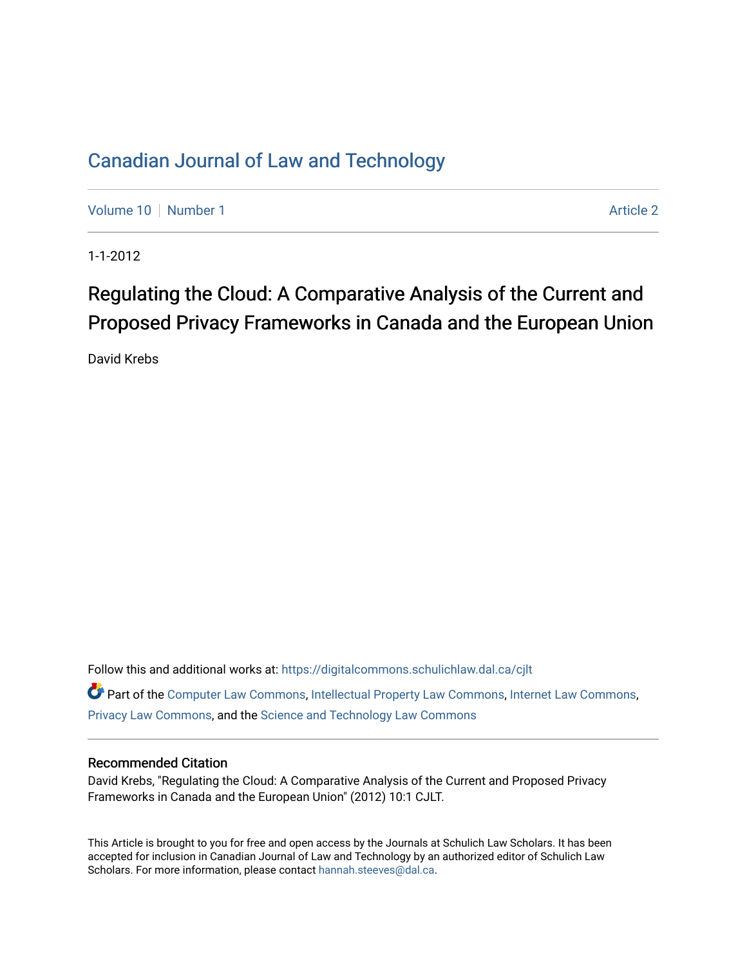## [Canadian Journal of Law and Technology](https://digitalcommons.schulichlaw.dal.ca/cjlt)

[Volume 10](https://digitalcommons.schulichlaw.dal.ca/cjlt/vol10) [Number 1](https://digitalcommons.schulichlaw.dal.ca/cjlt/vol10/iss1) Article 2

1-1-2012

# Regulating the Cloud: A Comparative Analysis of the Current and Proposed Privacy Frameworks in Canada and the European Union

David Krebs

Follow this and additional works at: [https://digitalcommons.schulichlaw.dal.ca/cjlt](https://digitalcommons.schulichlaw.dal.ca/cjlt?utm_source=digitalcommons.schulichlaw.dal.ca%2Fcjlt%2Fvol10%2Fiss1%2F2&utm_medium=PDF&utm_campaign=PDFCoverPages) 

Part of the [Computer Law Commons,](http://network.bepress.com/hgg/discipline/837?utm_source=digitalcommons.schulichlaw.dal.ca%2Fcjlt%2Fvol10%2Fiss1%2F2&utm_medium=PDF&utm_campaign=PDFCoverPages) [Intellectual Property Law Commons,](http://network.bepress.com/hgg/discipline/896?utm_source=digitalcommons.schulichlaw.dal.ca%2Fcjlt%2Fvol10%2Fiss1%2F2&utm_medium=PDF&utm_campaign=PDFCoverPages) [Internet Law Commons,](http://network.bepress.com/hgg/discipline/892?utm_source=digitalcommons.schulichlaw.dal.ca%2Fcjlt%2Fvol10%2Fiss1%2F2&utm_medium=PDF&utm_campaign=PDFCoverPages) [Privacy Law Commons,](http://network.bepress.com/hgg/discipline/1234?utm_source=digitalcommons.schulichlaw.dal.ca%2Fcjlt%2Fvol10%2Fiss1%2F2&utm_medium=PDF&utm_campaign=PDFCoverPages) and the [Science and Technology Law Commons](http://network.bepress.com/hgg/discipline/875?utm_source=digitalcommons.schulichlaw.dal.ca%2Fcjlt%2Fvol10%2Fiss1%2F2&utm_medium=PDF&utm_campaign=PDFCoverPages) 

## Recommended Citation

David Krebs, "Regulating the Cloud: A Comparative Analysis of the Current and Proposed Privacy Frameworks in Canada and the European Union" (2012) 10:1 CJLT.

This Article is brought to you for free and open access by the Journals at Schulich Law Scholars. It has been accepted for inclusion in Canadian Journal of Law and Technology by an authorized editor of Schulich Law Scholars. For more information, please contact [hannah.steeves@dal.ca](mailto:hannah.steeves@dal.ca).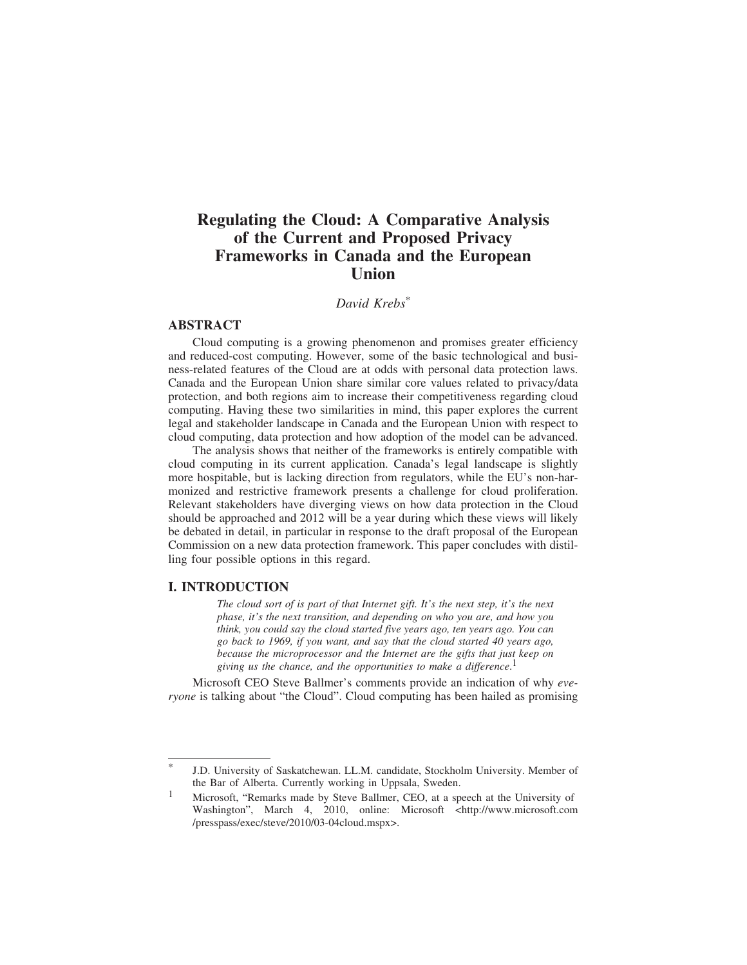## **Regulating the Cloud: A Comparative Analysis of the Current and Proposed Privacy Frameworks in Canada and the European Union**

*David Krebs*\*

## **ABSTRACT**

Cloud computing is a growing phenomenon and promises greater efficiency and reduced-cost computing. However, some of the basic technological and business-related features of the Cloud are at odds with personal data protection laws. Canada and the European Union share similar core values related to privacy/data protection, and both regions aim to increase their competitiveness regarding cloud computing. Having these two similarities in mind, this paper explores the current legal and stakeholder landscape in Canada and the European Union with respect to cloud computing, data protection and how adoption of the model can be advanced.

The analysis shows that neither of the frameworks is entirely compatible with cloud computing in its current application. Canada's legal landscape is slightly more hospitable, but is lacking direction from regulators, while the EU's non-harmonized and restrictive framework presents a challenge for cloud proliferation. Relevant stakeholders have diverging views on how data protection in the Cloud should be approached and 2012 will be a year during which these views will likely be debated in detail, in particular in response to the draft proposal of the European Commission on a new data protection framework. This paper concludes with distilling four possible options in this regard.

## **I. INTRODUCTION**

*The cloud sort of is part of that Internet gift. It's the next step, it's the next phase, it's the next transition, and depending on who you are, and how you think, you could say the cloud started five years ago, ten years ago. You can go back to 1969, if you want, and say that the cloud started 40 years ago, because the microprocessor and the Internet are the gifts that just keep on giving us the chance, and the opportunities to make a difference*. 1

Microsoft CEO Steve Ballmer's comments provide an indication of why *everyone* is talking about "the Cloud". Cloud computing has been hailed as promising

J.D. University of Saskatchewan. LL.M. candidate, Stockholm University. Member of the Bar of Alberta. Currently working in Uppsala, Sweden.

<sup>&</sup>lt;sup>1</sup> Microsoft, "Remarks made by Steve Ballmer, CEO, at a speech at the University of Washington", March 4, 2010, online: Microsoft <http://www.microsoft.com /presspass/exec/steve/2010/03-04cloud.mspx>.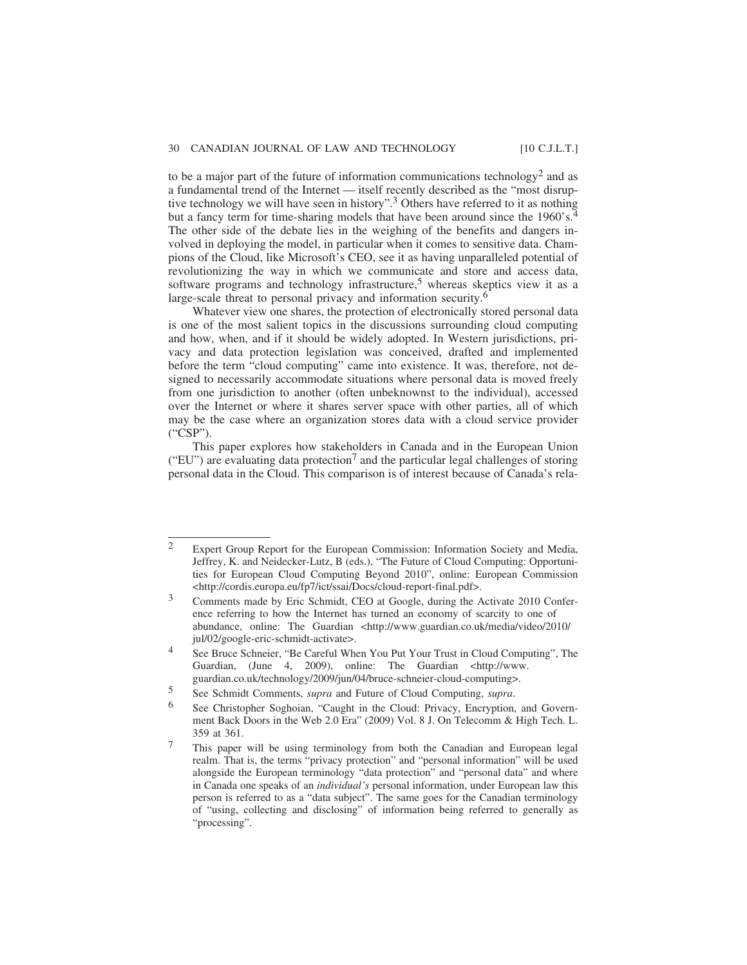to be a major part of the future of information communications technology<sup>2</sup> and as a fundamental trend of the Internet — itself recently described as the "most disruptive technology we will have seen in history".<sup>3</sup> Others have referred to it as nothing but a fancy term for time-sharing models that have been around since the 1960's.<sup>4</sup> The other side of the debate lies in the weighing of the benefits and dangers involved in deploying the model, in particular when it comes to sensitive data. Champions of the Cloud, like Microsoft's CEO, see it as having unparalleled potential of revolutionizing the way in which we communicate and store and access data, software programs and technology infrastructure,<sup>5</sup> whereas skeptics view it as a large-scale threat to personal privacy and information security.<sup>6</sup>

Whatever view one shares, the protection of electronically stored personal data is one of the most salient topics in the discussions surrounding cloud computing and how, when, and if it should be widely adopted. In Western jurisdictions, privacy and data protection legislation was conceived, drafted and implemented before the term "cloud computing" came into existence. It was, therefore, not designed to necessarily accommodate situations where personal data is moved freely from one jurisdiction to another (often unbeknownst to the individual), accessed over the Internet or where it shares server space with other parties, all of which may be the case where an organization stores data with a cloud service provider ("CSP").

This paper explores how stakeholders in Canada and in the European Union ("EU") are evaluating data protection<sup>7</sup> and the particular legal challenges of storing personal data in the Cloud. This comparison is of interest because of Canada's rela-

<sup>2</sup> Expert Group Report for the European Commission: Information Society and Media, Jeffrey, K. and Neidecker-Lutz, B (eds.), "The Future of Cloud Computing: Opportunities for European Cloud Computing Beyond 2010", online: European Commission <http://cordis.europa.eu/fp7/ict/ssai/Docs/cloud-report-final.pdf>.

<sup>3</sup> Comments made by Eric Schmidt, CEO at Google, during the Activate 2010 Conference referring to how the Internet has turned an economy of scarcity to one of abundance, online: The Guardian <http://www.guardian.co.uk/media/video/2010/ jul/02/google-eric-schmidt-activate>.

<sup>4</sup> See Bruce Schneier, "Be Careful When You Put Your Trust in Cloud Computing", The Guardian, (June 4, 2009), online: The Guardian <http://www. guardian.co.uk/technology/2009/jun/04/bruce-schneier-cloud-computing>.

<sup>5</sup> See Schmidt Comments, *supra* and Future of Cloud Computing, *supra*.

<sup>6</sup> See Christopher Soghoian, "Caught in the Cloud: Privacy, Encryption, and Government Back Doors in the Web 2.0 Era" (2009) Vol. 8 J. On Telecomm & High Tech. L. 359 at 361.

<sup>7</sup> This paper will be using terminology from both the Canadian and European legal realm. That is, the terms "privacy protection" and "personal information" will be used alongside the European terminology "data protection" and "personal data" and where in Canada one speaks of an *individual's* personal information, under European law this person is referred to as a "data subject". The same goes for the Canadian terminology of "using, collecting and disclosing" of information being referred to generally as "processing".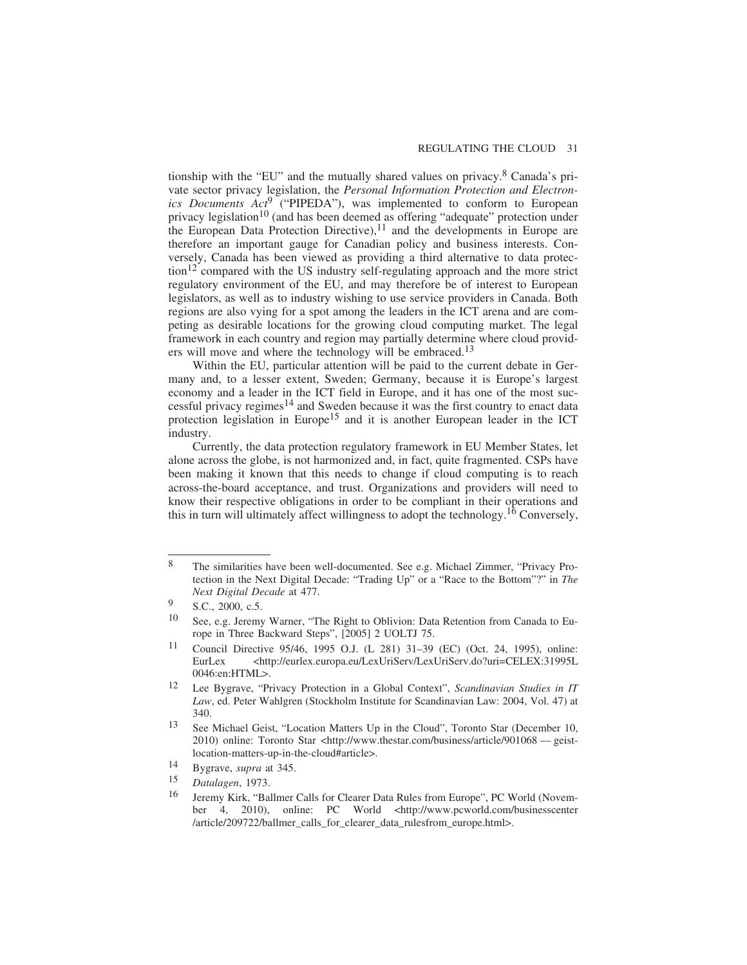tionship with the "EU" and the mutually shared values on privacy.<sup>8</sup> Canada's private sector privacy legislation, the *Personal Information Protection and Electronics Documents Act*9 ("PIPEDA"), was implemented to conform to European privacy legislation<sup>10</sup> (and has been deemed as offering "adequate" protection under the European Data Protection Directive),<sup>11</sup> and the developments in Europe are therefore an important gauge for Canadian policy and business interests. Conversely, Canada has been viewed as providing a third alternative to data protection<sup>12</sup> compared with the US industry self-regulating approach and the more strict regulatory environment of the EU, and may therefore be of interest to European legislators, as well as to industry wishing to use service providers in Canada. Both regions are also vying for a spot among the leaders in the ICT arena and are competing as desirable locations for the growing cloud computing market. The legal framework in each country and region may partially determine where cloud providers will move and where the technology will be embraced.<sup>13</sup>

Within the EU, particular attention will be paid to the current debate in Germany and, to a lesser extent, Sweden; Germany, because it is Europe's largest economy and a leader in the ICT field in Europe, and it has one of the most successful privacy regimes<sup>14</sup> and Sweden because it was the first country to enact data protection legislation in Europe<sup>15</sup> and it is another European leader in the ICT industry.

Currently, the data protection regulatory framework in EU Member States, let alone across the globe, is not harmonized and, in fact, quite fragmented. CSPs have been making it known that this needs to change if cloud computing is to reach across-the-board acceptance, and trust. Organizations and providers will need to know their respective obligations in order to be compliant in their operations and this in turn will ultimately affect willingness to adopt the technology.16 Conversely,

15 *Datalagen*, 1973.

<sup>8</sup> The similarities have been well-documented. See e.g. Michael Zimmer, "Privacy Protection in the Next Digital Decade: "Trading Up" or a "Race to the Bottom"?" in *The Next Digital Decade* at 477.

<sup>9</sup> S.C., 2000, c.5.

<sup>10</sup> See, e.g. Jeremy Warner, "The Right to Oblivion: Data Retention from Canada to Europe in Three Backward Steps", [2005] 2 UOLTJ 75.

<sup>11</sup> Council Directive 95/46, 1995 O.J. (L 281) 31–39 (EC) (Oct. 24, 1995), online: EurLex <http://eurlex.europa.eu/LexUriServ/LexUriServ.do?uri=CELEX:31995L 0046:en:HTML>.

<sup>12</sup> Lee Bygrave, "Privacy Protection in a Global Context", *Scandinavian Studies in IT Law*, ed. Peter Wahlgren (Stockholm Institute for Scandinavian Law: 2004, Vol. 47) at 340.

<sup>&</sup>lt;sup>13</sup> See Michael Geist, "Location Matters Up in the Cloud", Toronto Star (December 10, 2010) online: Toronto Star <http://www.thestar.com/business/article/901068 — geistlocation-matters-up-in-the-cloud#article>.

<sup>14</sup> Bygrave, *supra* at 345.

<sup>&</sup>lt;sup>16</sup> Jeremy Kirk, "Ballmer Calls for Clearer Data Rules from Europe", PC World (November 4, 2010), online: PC World <http://www.pcworld.com/businesscenter /article/209722/ballmer\_calls\_for\_clearer\_data\_rulesfrom\_europe.html>.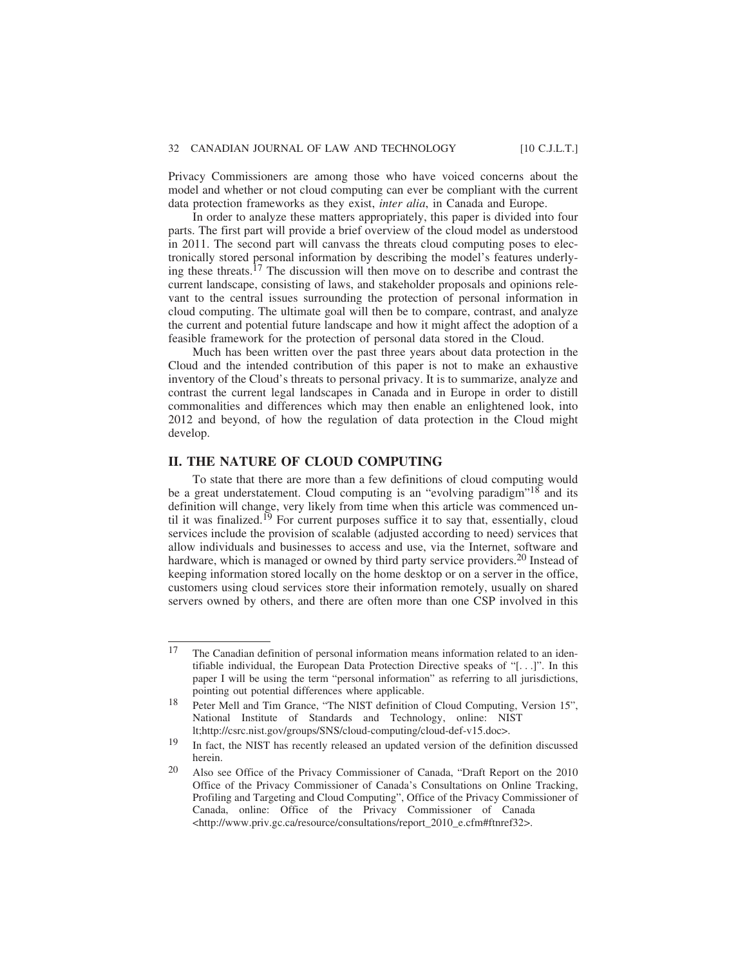Privacy Commissioners are among those who have voiced concerns about the model and whether or not cloud computing can ever be compliant with the current data protection frameworks as they exist, *inter alia*, in Canada and Europe.

In order to analyze these matters appropriately, this paper is divided into four parts. The first part will provide a brief overview of the cloud model as understood in 2011. The second part will canvass the threats cloud computing poses to electronically stored personal information by describing the model's features underlying these threats.17 The discussion will then move on to describe and contrast the current landscape, consisting of laws, and stakeholder proposals and opinions relevant to the central issues surrounding the protection of personal information in cloud computing. The ultimate goal will then be to compare, contrast, and analyze the current and potential future landscape and how it might affect the adoption of a feasible framework for the protection of personal data stored in the Cloud.

Much has been written over the past three years about data protection in the Cloud and the intended contribution of this paper is not to make an exhaustive inventory of the Cloud's threats to personal privacy. It is to summarize, analyze and contrast the current legal landscapes in Canada and in Europe in order to distill commonalities and differences which may then enable an enlightened look, into 2012 and beyond, of how the regulation of data protection in the Cloud might develop.

## **II. THE NATURE OF CLOUD COMPUTING**

To state that there are more than a few definitions of cloud computing would be a great understatement. Cloud computing is an "evolving paradigm"<sup>18</sup> and its definition will change, very likely from time when this article was commenced until it was finalized.<sup>19</sup> For current purposes suffice it to say that, essentially, cloud services include the provision of scalable (adjusted according to need) services that allow individuals and businesses to access and use, via the Internet, software and hardware, which is managed or owned by third party service providers.20 Instead of keeping information stored locally on the home desktop or on a server in the office, customers using cloud services store their information remotely, usually on shared servers owned by others, and there are often more than one CSP involved in this

<sup>&</sup>lt;sup>17</sup> The Canadian definition of personal information means information related to an identifiable individual, the European Data Protection Directive speaks of "[. . .]". In this paper I will be using the term "personal information" as referring to all jurisdictions, pointing out potential differences where applicable.

<sup>&</sup>lt;sup>18</sup> Peter Mell and Tim Grance, "The NIST definition of Cloud Computing, Version 15", National Institute of Standards and Technology, online: NIST lt;http://csrc.nist.gov/groups/SNS/cloud-computing/cloud-def-v15.doc>.

 $19$  In fact, the NIST has recently released an updated version of the definition discussed herein.

<sup>20</sup> Also see Office of the Privacy Commissioner of Canada, "Draft Report on the 2010 Office of the Privacy Commissioner of Canada's Consultations on Online Tracking, Profiling and Targeting and Cloud Computing", Office of the Privacy Commissioner of Canada, online: Office of the Privacy Commissioner of Canada <http://www.priv.gc.ca/resource/consultations/report\_2010\_e.cfm#ftnref32>.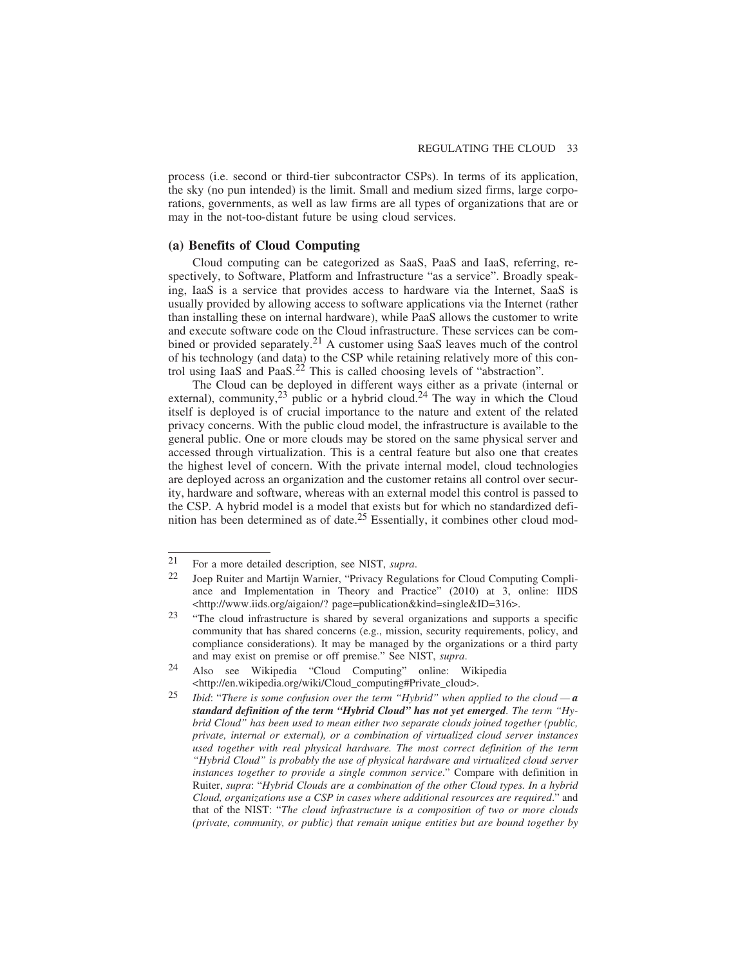process (i.e. second or third-tier subcontractor CSPs). In terms of its application, the sky (no pun intended) is the limit. Small and medium sized firms, large corporations, governments, as well as law firms are all types of organizations that are or may in the not-too-distant future be using cloud services.

## **(a) Benefits of Cloud Computing**

Cloud computing can be categorized as SaaS, PaaS and IaaS, referring, respectively, to Software, Platform and Infrastructure "as a service". Broadly speaking, IaaS is a service that provides access to hardware via the Internet, SaaS is usually provided by allowing access to software applications via the Internet (rather than installing these on internal hardware), while PaaS allows the customer to write and execute software code on the Cloud infrastructure. These services can be combined or provided separately.<sup>21</sup> A customer using SaaS leaves much of the control of his technology (and data) to the CSP while retaining relatively more of this control using IaaS and PaaS.22 This is called choosing levels of "abstraction".

The Cloud can be deployed in different ways either as a private (internal or external), community,  $^{23}$  public or a hybrid cloud.<sup>24</sup> The way in which the Cloud itself is deployed is of crucial importance to the nature and extent of the related privacy concerns. With the public cloud model, the infrastructure is available to the general public. One or more clouds may be stored on the same physical server and accessed through virtualization. This is a central feature but also one that creates the highest level of concern. With the private internal model, cloud technologies are deployed across an organization and the customer retains all control over security, hardware and software, whereas with an external model this control is passed to the CSP. A hybrid model is a model that exists but for which no standardized definition has been determined as of date.<sup>25</sup> Essentially, it combines other cloud mod-

<sup>21</sup> For a more detailed description, see NIST, *supra*.

Joep Ruiter and Martijn Warnier, "Privacy Regulations for Cloud Computing Compliance and Implementation in Theory and Practice" (2010) at 3, online: IIDS <http://www.iids.org/aigaion/? page=publication&kind=single&ID=316>.

<sup>&</sup>lt;sup>23</sup> "The cloud infrastructure is shared by several organizations and supports a specific community that has shared concerns (e.g., mission, security requirements, policy, and compliance considerations). It may be managed by the organizations or a third party and may exist on premise or off premise." See NIST, *supra*.

<sup>24</sup> Also see Wikipedia "Cloud Computing" online: Wikipedia <http://en.wikipedia.org/wiki/Cloud\_computing#Private\_cloud>.

<sup>25</sup> *Ibid*: "*There is some confusion over the term "Hybrid" when applied to the cloud — a standard definition of the term "Hybrid Cloud" has not yet emerged. The term "Hybrid Cloud" has been used to mean either two separate clouds joined together (public, private, internal or external), or a combination of virtualized cloud server instances used together with real physical hardware. The most correct definition of the term "Hybrid Cloud" is probably the use of physical hardware and virtualized cloud server instances together to provide a single common service*." Compare with definition in Ruiter, *supra*: "*Hybrid Clouds are a combination of the other Cloud types. In a hybrid Cloud, organizations use a CSP in cases where additional resources are required*." and that of the NIST: "*The cloud infrastructure is a composition of two or more clouds (private, community, or public) that remain unique entities but are bound together by*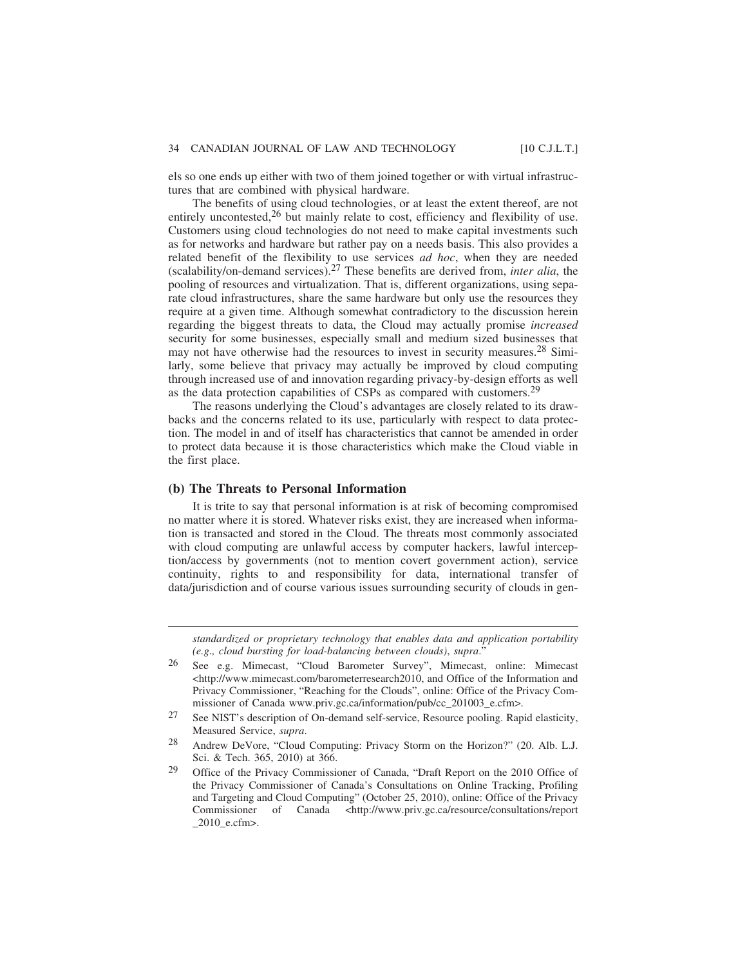els so one ends up either with two of them joined together or with virtual infrastructures that are combined with physical hardware.

The benefits of using cloud technologies, or at least the extent thereof, are not entirely uncontested,<sup>26</sup> but mainly relate to cost, efficiency and flexibility of use. Customers using cloud technologies do not need to make capital investments such as for networks and hardware but rather pay on a needs basis. This also provides a related benefit of the flexibility to use services *ad hoc*, when they are needed (scalability/on-demand services).27 These benefits are derived from, *inter alia*, the pooling of resources and virtualization. That is, different organizations, using separate cloud infrastructures, share the same hardware but only use the resources they require at a given time. Although somewhat contradictory to the discussion herein regarding the biggest threats to data, the Cloud may actually promise *increased* security for some businesses, especially small and medium sized businesses that may not have otherwise had the resources to invest in security measures.<sup>28</sup> Similarly, some believe that privacy may actually be improved by cloud computing through increased use of and innovation regarding privacy-by-design efforts as well as the data protection capabilities of CSPs as compared with customers.<sup>29</sup>

The reasons underlying the Cloud's advantages are closely related to its drawbacks and the concerns related to its use, particularly with respect to data protection. The model in and of itself has characteristics that cannot be amended in order to protect data because it is those characteristics which make the Cloud viable in the first place.

### **(b) The Threats to Personal Information**

It is trite to say that personal information is at risk of becoming compromised no matter where it is stored. Whatever risks exist, they are increased when information is transacted and stored in the Cloud. The threats most commonly associated with cloud computing are unlawful access by computer hackers, lawful interception/access by governments (not to mention covert government action), service continuity, rights to and responsibility for data, international transfer of data/jurisdiction and of course various issues surrounding security of clouds in gen-

*standardized or proprietary technology that enables data and application portability (e.g., cloud bursting for load-balancing between clouds)*, *supra*."

<sup>26</sup> See e.g. Mimecast, "Cloud Barometer Survey", Mimecast, online: Mimecast <http://www.mimecast.com/barometerresearch2010, and Office of the Information and Privacy Commissioner, "Reaching for the Clouds", online: Office of the Privacy Commissioner of Canada www.priv.gc.ca/information/pub/cc\_201003\_e.cfm>.

<sup>27</sup> See NIST's description of On-demand self-service, Resource pooling. Rapid elasticity, Measured Service, *supra*.

<sup>28</sup> Andrew DeVore, "Cloud Computing: Privacy Storm on the Horizon?" (20. Alb. L.J. Sci. & Tech. 365, 2010) at 366.

<sup>&</sup>lt;sup>29</sup> Office of the Privacy Commissioner of Canada, "Draft Report on the 2010 Office of the Privacy Commissioner of Canada's Consultations on Online Tracking, Profiling and Targeting and Cloud Computing" (October 25, 2010), online: Office of the Privacy Commissioner of Canada <http://www.priv.gc.ca/resource/consultations/report \_2010\_e.cfm>.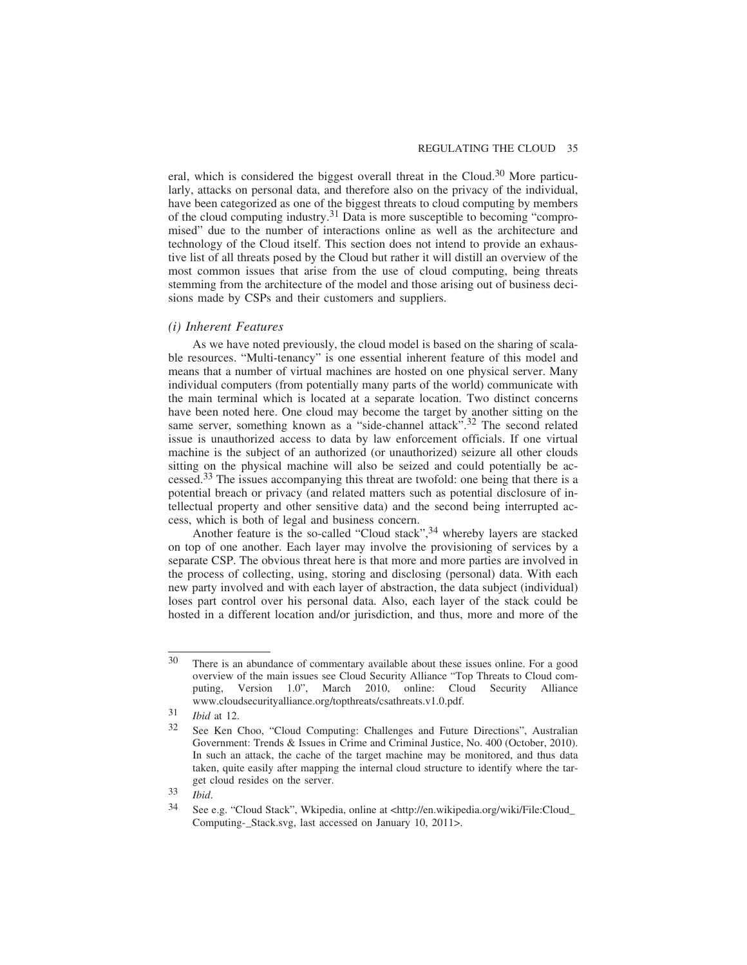eral, which is considered the biggest overall threat in the Cloud.30 More particularly, attacks on personal data, and therefore also on the privacy of the individual, have been categorized as one of the biggest threats to cloud computing by members of the cloud computing industry.31 Data is more susceptible to becoming "compromised" due to the number of interactions online as well as the architecture and technology of the Cloud itself. This section does not intend to provide an exhaustive list of all threats posed by the Cloud but rather it will distill an overview of the most common issues that arise from the use of cloud computing, being threats stemming from the architecture of the model and those arising out of business decisions made by CSPs and their customers and suppliers.

#### *(i) Inherent Features*

As we have noted previously, the cloud model is based on the sharing of scalable resources. "Multi-tenancy" is one essential inherent feature of this model and means that a number of virtual machines are hosted on one physical server. Many individual computers (from potentially many parts of the world) communicate with the main terminal which is located at a separate location. Two distinct concerns have been noted here. One cloud may become the target by another sitting on the same server, something known as a "side-channel attack".<sup>32</sup> The second related issue is unauthorized access to data by law enforcement officials. If one virtual machine is the subject of an authorized (or unauthorized) seizure all other clouds sitting on the physical machine will also be seized and could potentially be accessed.<sup>33</sup> The issues accompanying this threat are twofold: one being that there is a potential breach or privacy (and related matters such as potential disclosure of intellectual property and other sensitive data) and the second being interrupted access, which is both of legal and business concern.

Another feature is the so-called "Cloud stack",  $34$  whereby layers are stacked on top of one another. Each layer may involve the provisioning of services by a separate CSP. The obvious threat here is that more and more parties are involved in the process of collecting, using, storing and disclosing (personal) data. With each new party involved and with each layer of abstraction, the data subject (individual) loses part control over his personal data. Also, each layer of the stack could be hosted in a different location and/or jurisdiction, and thus, more and more of the

<sup>30</sup> There is an abundance of commentary available about these issues online. For a good overview of the main issues see Cloud Security Alliance "Top Threats to Cloud computing, Version 1.0", March 2010, online: Cloud Security Alliance www.cloudsecurityalliance.org/topthreats/csathreats.v1.0.pdf.

<sup>31</sup> *Ibid* at 12.

See Ken Choo, "Cloud Computing: Challenges and Future Directions", Australian Government: Trends & Issues in Crime and Criminal Justice, No. 400 (October, 2010). In such an attack, the cache of the target machine may be monitored, and thus data taken, quite easily after mapping the internal cloud structure to identify where the target cloud resides on the server.

<sup>33</sup> *Ibid*.

<sup>34</sup> See e.g. "Cloud Stack", Wkipedia, online at <http://en.wikipedia.org/wiki/File:Cloud\_ Computing-\_Stack.svg, last accessed on January 10, 2011>.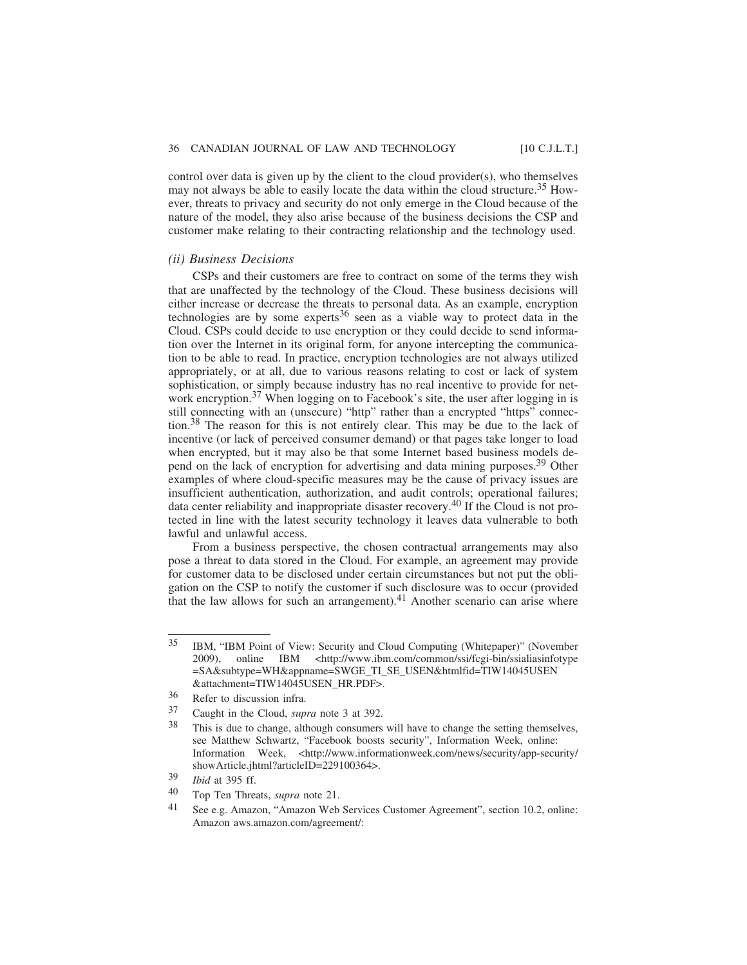control over data is given up by the client to the cloud provider(s), who themselves may not always be able to easily locate the data within the cloud structure.<sup>35</sup> However, threats to privacy and security do not only emerge in the Cloud because of the nature of the model, they also arise because of the business decisions the CSP and customer make relating to their contracting relationship and the technology used.

#### *(ii) Business Decisions*

CSPs and their customers are free to contract on some of the terms they wish that are unaffected by the technology of the Cloud. These business decisions will either increase or decrease the threats to personal data. As an example, encryption technologies are by some experts<sup>36</sup> seen as a viable way to protect data in the Cloud. CSPs could decide to use encryption or they could decide to send information over the Internet in its original form, for anyone intercepting the communication to be able to read. In practice, encryption technologies are not always utilized appropriately, or at all, due to various reasons relating to cost or lack of system sophistication, or simply because industry has no real incentive to provide for network encryption.<sup>37</sup> When logging on to Facebook's site, the user after logging in is still connecting with an (unsecure) "http" rather than a encrypted "https" connection.<sup>38</sup> The reason for this is not entirely clear. This may be due to the lack of incentive (or lack of perceived consumer demand) or that pages take longer to load when encrypted, but it may also be that some Internet based business models depend on the lack of encryption for advertising and data mining purposes.39 Other examples of where cloud-specific measures may be the cause of privacy issues are insufficient authentication, authorization, and audit controls; operational failures; data center reliability and inappropriate disaster recovery.40 If the Cloud is not protected in line with the latest security technology it leaves data vulnerable to both lawful and unlawful access.

From a business perspective, the chosen contractual arrangements may also pose a threat to data stored in the Cloud. For example, an agreement may provide for customer data to be disclosed under certain circumstances but not put the obligation on the CSP to notify the customer if such disclosure was to occur (provided that the law allows for such an arrangement). $41$  Another scenario can arise where

39 *Ibid* at 395 ff.

<sup>35</sup> IBM, "IBM Point of View: Security and Cloud Computing (Whitepaper)" (November 2009), online IBM <http://www.ibm.com/common/ssi/fcgi-bin/ssialiasinfotype =SA&subtype=WH&appname=SWGE\_TI\_SE\_USEN&htmlfid=TIW14045USEN &attachment=TIW14045USEN\_HR.PDF>.

<sup>36</sup> Refer to discussion infra.

<sup>37</sup> Caught in the Cloud, *supra* note 3 at 392.

<sup>38</sup> This is due to change, although consumers will have to change the setting themselves, see Matthew Schwartz, "Facebook boosts security", Information Week, online: Information Week, <http://www.informationweek.com/news/security/app-security/ showArticle.jhtml?articleID=229100364>.

<sup>40</sup> Top Ten Threats, *supra* note 21.

<sup>41</sup> See e.g. Amazon, "Amazon Web Services Customer Agreement", section 10.2, online: Amazon aws.amazon.com/agreement/: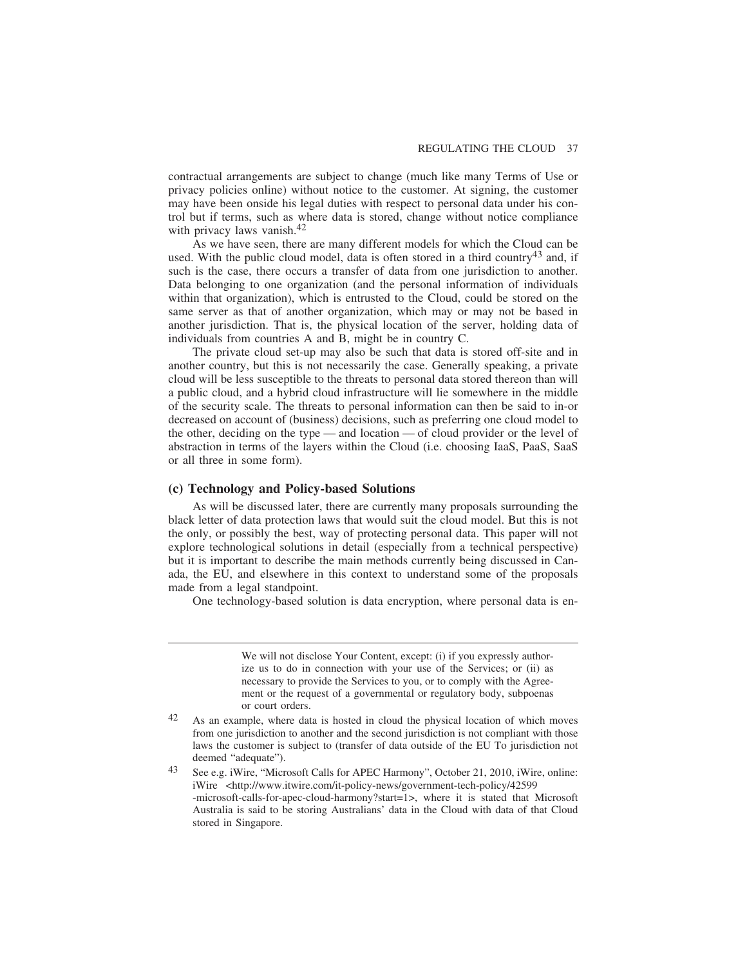contractual arrangements are subject to change (much like many Terms of Use or privacy policies online) without notice to the customer. At signing, the customer may have been onside his legal duties with respect to personal data under his control but if terms, such as where data is stored, change without notice compliance with privacy laws vanish.<sup>42</sup>

As we have seen, there are many different models for which the Cloud can be used. With the public cloud model, data is often stored in a third country  $43$  and, if such is the case, there occurs a transfer of data from one jurisdiction to another. Data belonging to one organization (and the personal information of individuals within that organization), which is entrusted to the Cloud, could be stored on the same server as that of another organization, which may or may not be based in another jurisdiction. That is, the physical location of the server, holding data of individuals from countries A and B, might be in country C.

The private cloud set-up may also be such that data is stored off-site and in another country, but this is not necessarily the case. Generally speaking, a private cloud will be less susceptible to the threats to personal data stored thereon than will a public cloud, and a hybrid cloud infrastructure will lie somewhere in the middle of the security scale. The threats to personal information can then be said to in-or decreased on account of (business) decisions, such as preferring one cloud model to the other, deciding on the type — and location — of cloud provider or the level of abstraction in terms of the layers within the Cloud (i.e. choosing IaaS, PaaS, SaaS or all three in some form).

## **(c) Technology and Policy-based Solutions**

As will be discussed later, there are currently many proposals surrounding the black letter of data protection laws that would suit the cloud model. But this is not the only, or possibly the best, way of protecting personal data. This paper will not explore technological solutions in detail (especially from a technical perspective) but it is important to describe the main methods currently being discussed in Canada, the EU, and elsewhere in this context to understand some of the proposals made from a legal standpoint.

One technology-based solution is data encryption, where personal data is en-

We will not disclose Your Content, except: (i) if you expressly authorize us to do in connection with your use of the Services; or (ii) as necessary to provide the Services to you, or to comply with the Agreement or the request of a governmental or regulatory body, subpoenas or court orders.

<sup>42</sup> As an example, where data is hosted in cloud the physical location of which moves from one jurisdiction to another and the second jurisdiction is not compliant with those laws the customer is subject to (transfer of data outside of the EU To jurisdiction not deemed "adequate").

<sup>43</sup> See e.g. iWire, "Microsoft Calls for APEC Harmony", October 21, 2010, iWire, online: iWire <http://www.itwire.com/it-policy-news/government-tech-policy/42599 -microsoft-calls-for-apec-cloud-harmony?start=1>, where it is stated that Microsoft Australia is said to be storing Australians' data in the Cloud with data of that Cloud stored in Singapore.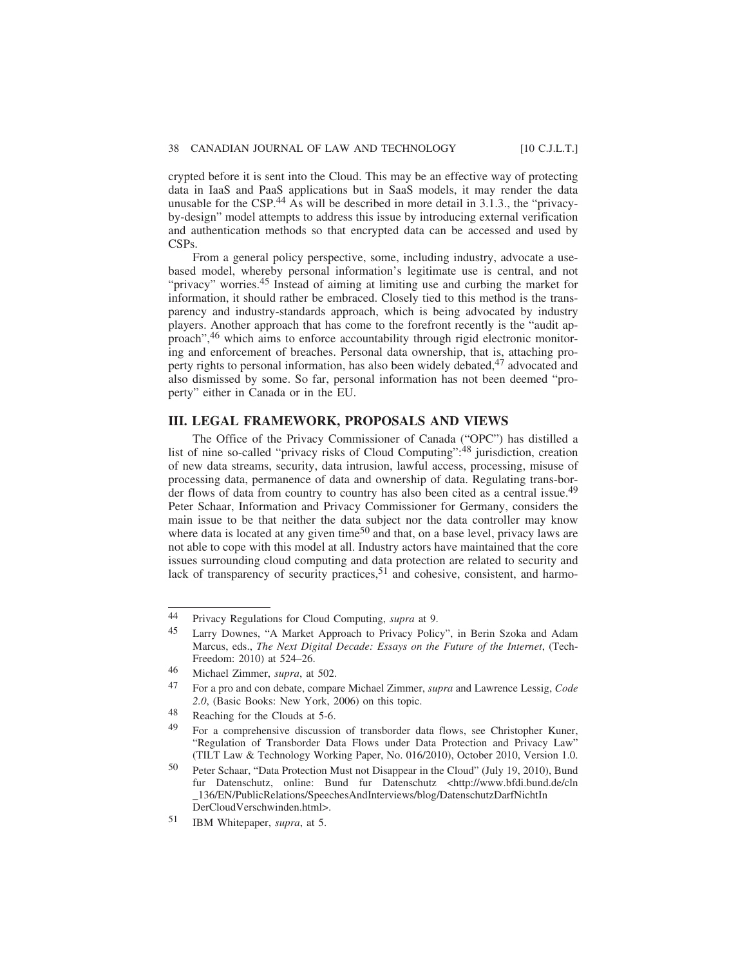crypted before it is sent into the Cloud. This may be an effective way of protecting data in IaaS and PaaS applications but in SaaS models, it may render the data unusable for the CSP.<sup>44</sup> As will be described in more detail in  $3.1.3$ ., the "privacyby-design" model attempts to address this issue by introducing external verification and authentication methods so that encrypted data can be accessed and used by CSPs.

From a general policy perspective, some, including industry, advocate a usebased model, whereby personal information's legitimate use is central, and not "privacy" worries.<sup>45</sup> Instead of aiming at limiting use and curbing the market for information, it should rather be embraced. Closely tied to this method is the transparency and industry-standards approach, which is being advocated by industry players. Another approach that has come to the forefront recently is the "audit approach",<sup>46</sup> which aims to enforce accountability through rigid electronic monitoring and enforcement of breaches. Personal data ownership, that is, attaching property rights to personal information, has also been widely debated, <sup>47</sup> advocated and also dismissed by some. So far, personal information has not been deemed "property" either in Canada or in the EU.

## **III. LEGAL FRAMEWORK, PROPOSALS AND VIEWS**

The Office of the Privacy Commissioner of Canada ("OPC") has distilled a list of nine so-called "privacy risks of Cloud Computing":48 jurisdiction, creation of new data streams, security, data intrusion, lawful access, processing, misuse of processing data, permanence of data and ownership of data. Regulating trans-border flows of data from country to country has also been cited as a central issue.<sup>49</sup> Peter Schaar, Information and Privacy Commissioner for Germany, considers the main issue to be that neither the data subject nor the data controller may know where data is located at any given time<sup>50</sup> and that, on a base level, privacy laws are not able to cope with this model at all. Industry actors have maintained that the core issues surrounding cloud computing and data protection are related to security and lack of transparency of security practices, $51$  and cohesive, consistent, and harmo-

<sup>44</sup> Privacy Regulations for Cloud Computing, *supra* at 9.<br>45 I arry Downes "A Market Approach to Privacy Polic

Larry Downes, "A Market Approach to Privacy Policy", in Berin Szoka and Adam Marcus, eds., *The Next Digital Decade: Essays on the Future of the Internet*, (Tech-Freedom: 2010) at 524–26.

<sup>46</sup> Michael Zimmer, *supra*, at 502.

<sup>47</sup> For a pro and con debate, compare Michael Zimmer, *supra* and Lawrence Lessig, *Code 2.0*, (Basic Books: New York, 2006) on this topic.

 $^{48}$  Reaching for the Clouds at 5-6.<br> $^{49}$  Equation represents diameters

<sup>49</sup> For a comprehensive discussion of transborder data flows, see Christopher Kuner, "Regulation of Transborder Data Flows under Data Protection and Privacy Law" (TILT Law & Technology Working Paper, No. 016/2010), October 2010, Version 1.0.

<sup>50</sup> Peter Schaar, "Data Protection Must not Disappear in the Cloud" (July 19, 2010), Bund fur Datenschutz, online: Bund fur Datenschutz <http://www.bfdi.bund.de/cln \_136/EN/PublicRelations/SpeechesAndInterviews/blog/DatenschutzDarfNichtIn DerCloudVerschwinden.html>.

<sup>51</sup> IBM Whitepaper, *supra*, at 5.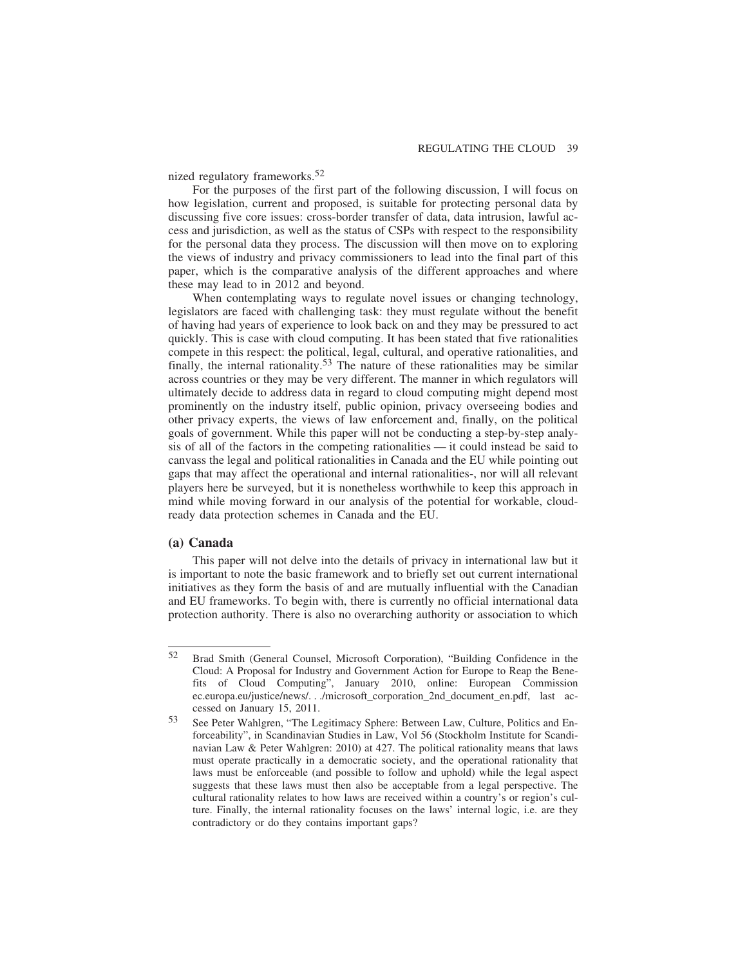nized regulatory frameworks.52

For the purposes of the first part of the following discussion, I will focus on how legislation, current and proposed, is suitable for protecting personal data by discussing five core issues: cross-border transfer of data, data intrusion, lawful access and jurisdiction, as well as the status of CSPs with respect to the responsibility for the personal data they process. The discussion will then move on to exploring the views of industry and privacy commissioners to lead into the final part of this paper, which is the comparative analysis of the different approaches and where these may lead to in 2012 and beyond.

When contemplating ways to regulate novel issues or changing technology, legislators are faced with challenging task: they must regulate without the benefit of having had years of experience to look back on and they may be pressured to act quickly. This is case with cloud computing. It has been stated that five rationalities compete in this respect: the political, legal, cultural, and operative rationalities, and finally, the internal rationality.53 The nature of these rationalities may be similar across countries or they may be very different. The manner in which regulators will ultimately decide to address data in regard to cloud computing might depend most prominently on the industry itself, public opinion, privacy overseeing bodies and other privacy experts, the views of law enforcement and, finally, on the political goals of government. While this paper will not be conducting a step-by-step analysis of all of the factors in the competing rationalities — it could instead be said to canvass the legal and political rationalities in Canada and the EU while pointing out gaps that may affect the operational and internal rationalities-, nor will all relevant players here be surveyed, but it is nonetheless worthwhile to keep this approach in mind while moving forward in our analysis of the potential for workable, cloudready data protection schemes in Canada and the EU.

## **(a) Canada**

This paper will not delve into the details of privacy in international law but it is important to note the basic framework and to briefly set out current international initiatives as they form the basis of and are mutually influential with the Canadian and EU frameworks. To begin with, there is currently no official international data protection authority. There is also no overarching authority or association to which

<sup>52</sup> Brad Smith (General Counsel, Microsoft Corporation), "Building Confidence in the Cloud: A Proposal for Industry and Government Action for Europe to Reap the Benefits of Cloud Computing", January 2010, online: European Commission ec.europa.eu/justice/news/. . ./microsoft\_corporation\_2nd\_document\_en.pdf, last accessed on January 15, 2011.

<sup>53</sup> See Peter Wahlgren, "The Legitimacy Sphere: Between Law, Culture, Politics and Enforceability", in Scandinavian Studies in Law, Vol 56 (Stockholm Institute for Scandinavian Law & Peter Wahlgren: 2010) at 427. The political rationality means that laws must operate practically in a democratic society, and the operational rationality that laws must be enforceable (and possible to follow and uphold) while the legal aspect suggests that these laws must then also be acceptable from a legal perspective. The cultural rationality relates to how laws are received within a country's or region's culture. Finally, the internal rationality focuses on the laws' internal logic, i.e. are they contradictory or do they contains important gaps?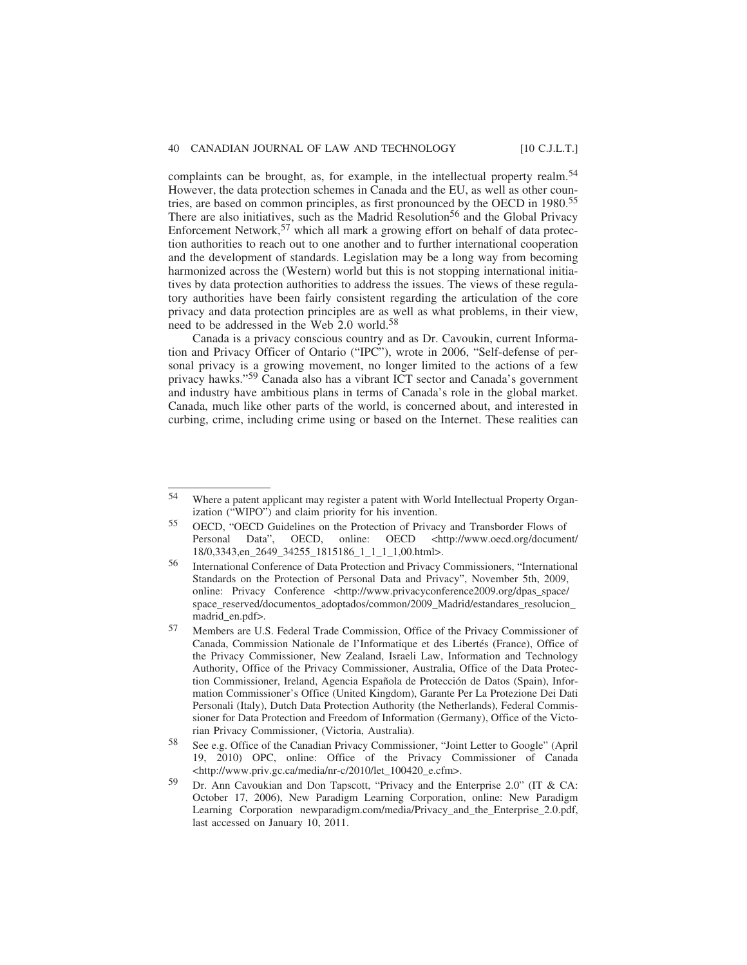complaints can be brought, as, for example, in the intellectual property realm.<sup>54</sup> However, the data protection schemes in Canada and the EU, as well as other countries, are based on common principles, as first pronounced by the OECD in 1980.<sup>55</sup> There are also initiatives, such as the Madrid Resolution<sup>56</sup> and the Global Privacy Enforcement Network,57 which all mark a growing effort on behalf of data protection authorities to reach out to one another and to further international cooperation and the development of standards. Legislation may be a long way from becoming harmonized across the (Western) world but this is not stopping international initiatives by data protection authorities to address the issues. The views of these regulatory authorities have been fairly consistent regarding the articulation of the core privacy and data protection principles are as well as what problems, in their view, need to be addressed in the Web 2.0 world.<sup>58</sup>

Canada is a privacy conscious country and as Dr. Cavoukin, current Information and Privacy Officer of Ontario ("IPC"), wrote in 2006, "Self-defense of personal privacy is a growing movement, no longer limited to the actions of a few privacy hawks."59 Canada also has a vibrant ICT sector and Canada's government and industry have ambitious plans in terms of Canada's role in the global market. Canada, much like other parts of the world, is concerned about, and interested in curbing, crime, including crime using or based on the Internet. These realities can

<sup>54</sup> Where a patent applicant may register a patent with World Intellectual Property Organization ("WIPO") and claim priority for his invention.

<sup>55</sup> OECD, "OECD Guidelines on the Protection of Privacy and Transborder Flows of Personal Data", OECD, online: OECD <http://www.oecd.org/document/ 18/0,3343,en\_2649\_34255\_1815186\_1\_1\_1\_1,00.html>.

<sup>56</sup> International Conference of Data Protection and Privacy Commissioners, "International Standards on the Protection of Personal Data and Privacy", November 5th, 2009, online: Privacy Conference <http://www.privacyconference2009.org/dpas\_space/ space\_reserved/documentos\_adoptados/common/2009\_Madrid/estandares\_resolucion\_ madrid\_en.pdf>.

<sup>57</sup> Members are U.S. Federal Trade Commission, Office of the Privacy Commissioner of Canada, Commission Nationale de l'Informatique et des Libertés (France), Office of the Privacy Commissioner, New Zealand, Israeli Law, Information and Technology Authority, Office of the Privacy Commissioner, Australia, Office of the Data Protection Commissioner, Ireland, Agencia Española de Protección de Datos (Spain), Information Commissioner's Office (United Kingdom), Garante Per La Protezione Dei Dati Personali (Italy), Dutch Data Protection Authority (the Netherlands), Federal Commissioner for Data Protection and Freedom of Information (Germany), Office of the Victorian Privacy Commissioner, (Victoria, Australia).

<sup>58</sup> See e.g. Office of the Canadian Privacy Commissioner, "Joint Letter to Google" (April 19, 2010) OPC, online: Office of the Privacy Commissioner of Canada <http://www.priv.gc.ca/media/nr-c/2010/let\_100420\_e.cfm>.

<sup>59</sup> Dr. Ann Cavoukian and Don Tapscott, "Privacy and the Enterprise 2.0" (IT & CA: October 17, 2006), New Paradigm Learning Corporation, online: New Paradigm Learning Corporation newparadigm.com/media/Privacy\_and\_the\_Enterprise\_2.0.pdf, last accessed on January 10, 2011.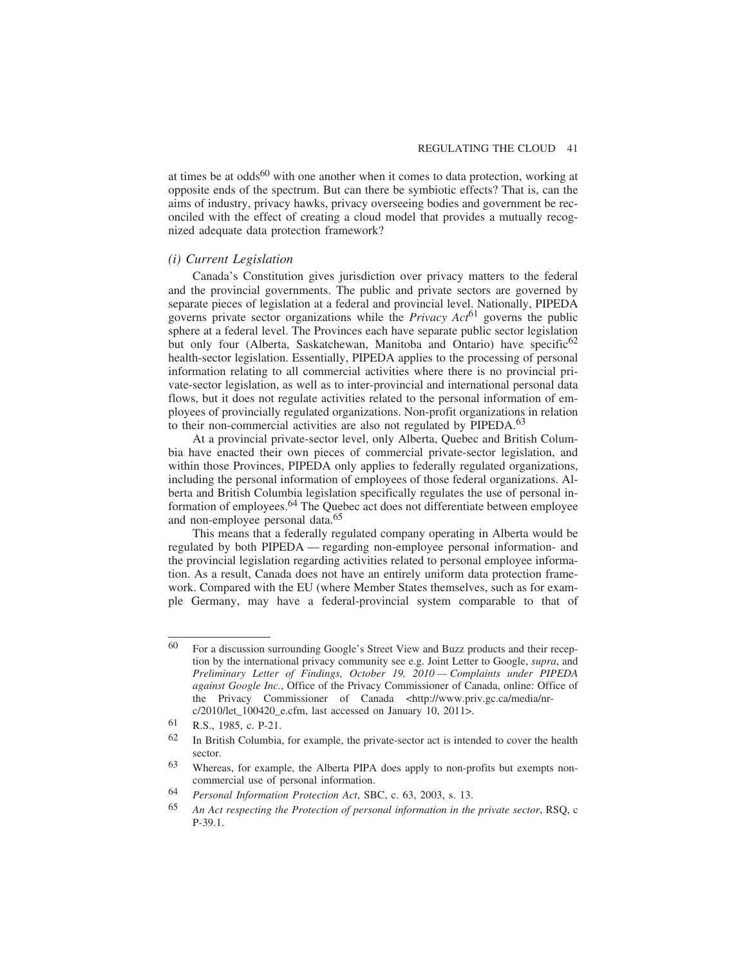at times be at odds<sup>60</sup> with one another when it comes to data protection, working at opposite ends of the spectrum. But can there be symbiotic effects? That is, can the aims of industry, privacy hawks, privacy overseeing bodies and government be reconciled with the effect of creating a cloud model that provides a mutually recognized adequate data protection framework?

## *(i) Current Legislation*

Canada's Constitution gives jurisdiction over privacy matters to the federal and the provincial governments. The public and private sectors are governed by separate pieces of legislation at a federal and provincial level. Nationally, PIPEDA governs private sector organizations while the *Privacy Act*61 governs the public sphere at a federal level. The Provinces each have separate public sector legislation but only four (Alberta, Saskatchewan, Manitoba and Ontario) have specific<sup>62</sup> health-sector legislation. Essentially, PIPEDA applies to the processing of personal information relating to all commercial activities where there is no provincial private-sector legislation, as well as to inter-provincial and international personal data flows, but it does not regulate activities related to the personal information of employees of provincially regulated organizations. Non-profit organizations in relation to their non-commercial activities are also not regulated by PIPEDA.63

At a provincial private-sector level, only Alberta, Quebec and British Columbia have enacted their own pieces of commercial private-sector legislation, and within those Provinces, PIPEDA only applies to federally regulated organizations, including the personal information of employees of those federal organizations. Alberta and British Columbia legislation specifically regulates the use of personal information of employees.64 The Quebec act does not differentiate between employee and non-employee personal data.65

This means that a federally regulated company operating in Alberta would be regulated by both PIPEDA — regarding non-employee personal information- and the provincial legislation regarding activities related to personal employee information. As a result, Canada does not have an entirely uniform data protection framework. Compared with the EU (where Member States themselves, such as for example Germany, may have a federal-provincial system comparable to that of

<sup>60</sup> For a discussion surrounding Google's Street View and Buzz products and their reception by the international privacy community see e.g. Joint Letter to Google, *supra*, and *Preliminary Letter of Findings, October 19, 2010 — Complaints under PIPEDA against Google Inc.*, Office of the Privacy Commissioner of Canada, online: Office of the Privacy Commissioner of Canada <http://www.priv.gc.ca/media/nrc/2010/let\_100420\_e.cfm, last accessed on January 10, 2011>.

<sup>61</sup> R.S., 1985, c. P-21.

<sup>62</sup> In British Columbia, for example, the private-sector act is intended to cover the health sector.

<sup>63</sup> Whereas, for example, the Alberta PIPA does apply to non-profits but exempts noncommercial use of personal information.

<sup>64</sup> *Personal Information Protection Act*, SBC, c. 63, 2003, s. 13.

<sup>65</sup> *An Act respecting the Protection of personal information in the private sector*, RSQ, c P-39.1.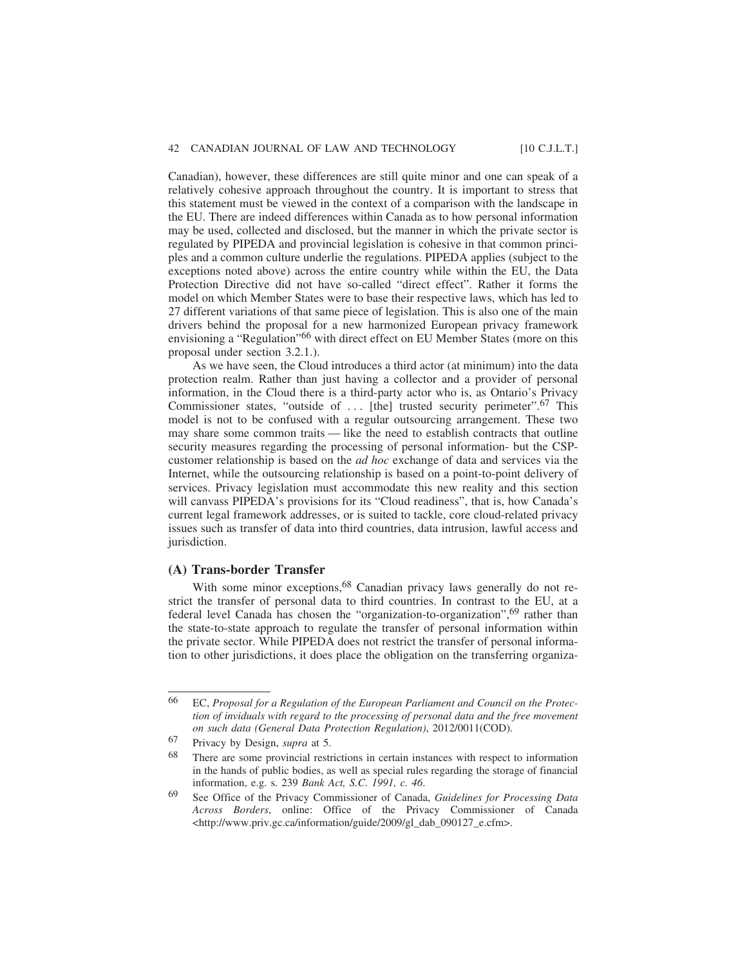Canadian), however, these differences are still quite minor and one can speak of a relatively cohesive approach throughout the country. It is important to stress that this statement must be viewed in the context of a comparison with the landscape in the EU. There are indeed differences within Canada as to how personal information may be used, collected and disclosed, but the manner in which the private sector is regulated by PIPEDA and provincial legislation is cohesive in that common principles and a common culture underlie the regulations. PIPEDA applies (subject to the exceptions noted above) across the entire country while within the EU, the Data Protection Directive did not have so-called "direct effect". Rather it forms the model on which Member States were to base their respective laws, which has led to 27 different variations of that same piece of legislation. This is also one of the main drivers behind the proposal for a new harmonized European privacy framework envisioning a "Regulation"<sup>66</sup> with direct effect on EU Member States (more on this proposal under section 3.2.1.).

As we have seen, the Cloud introduces a third actor (at minimum) into the data protection realm. Rather than just having a collector and a provider of personal information, in the Cloud there is a third-party actor who is, as Ontario's Privacy Commissioner states, "outside of  $\dots$  [the] trusted security perimeter".<sup>67</sup> This model is not to be confused with a regular outsourcing arrangement. These two may share some common traits — like the need to establish contracts that outline security measures regarding the processing of personal information- but the CSPcustomer relationship is based on the *ad hoc* exchange of data and services via the Internet, while the outsourcing relationship is based on a point-to-point delivery of services. Privacy legislation must accommodate this new reality and this section will canvass PIPEDA's provisions for its "Cloud readiness", that is, how Canada's current legal framework addresses, or is suited to tackle, core cloud-related privacy issues such as transfer of data into third countries, data intrusion, lawful access and jurisdiction.

## **(A) Trans-border Transfer**

With some minor exceptions, <sup>68</sup> Canadian privacy laws generally do not restrict the transfer of personal data to third countries. In contrast to the EU, at a federal level Canada has chosen the "organization-to-organization", <sup>69</sup> rather than the state-to-state approach to regulate the transfer of personal information within the private sector. While PIPEDA does not restrict the transfer of personal information to other jurisdictions, it does place the obligation on the transferring organiza-

<sup>66</sup> EC, *Proposal for a Regulation of the European Parliament and Council on the Protection of inviduals with regard to the processing of personal data and the free movement on such data (General Data Protection Regulation)*, 2012/0011(COD).

<sup>67</sup> Privacy by Design, *supra* at 5.

<sup>68</sup> There are some provincial restrictions in certain instances with respect to information in the hands of public bodies, as well as special rules regarding the storage of financial information, e.g. s. 239 *Bank Act, S.C. 1991, c. 46*.

<sup>69</sup> See Office of the Privacy Commissioner of Canada, *Guidelines for Processing Data Across Borders*, online: Office of the Privacy Commissioner of Canada <http://www.priv.gc.ca/information/guide/2009/gl\_dab\_090127\_e.cfm>.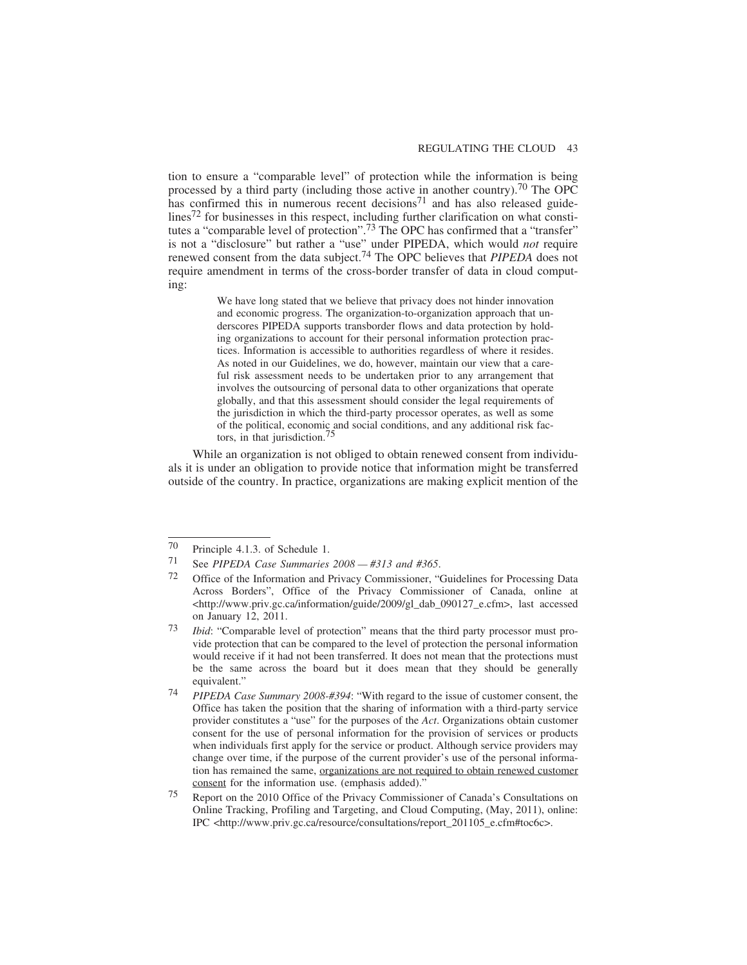tion to ensure a "comparable level" of protection while the information is being processed by a third party (including those active in another country).<sup>70</sup> The OPC has confirmed this in numerous recent decisions<sup>71</sup> and has also released guidelines<sup>72</sup> for businesses in this respect, including further clarification on what constitutes a "comparable level of protection".<sup>73</sup> The OPC has confirmed that a "transfer" is not a "disclosure" but rather a "use" under PIPEDA, which would *not* require renewed consent from the data subject.74 The OPC believes that *PIPEDA* does not require amendment in terms of the cross-border transfer of data in cloud computing:

> We have long stated that we believe that privacy does not hinder innovation and economic progress. The organization-to-organization approach that underscores PIPEDA supports transborder flows and data protection by holding organizations to account for their personal information protection practices. Information is accessible to authorities regardless of where it resides. As noted in our Guidelines, we do, however, maintain our view that a careful risk assessment needs to be undertaken prior to any arrangement that involves the outsourcing of personal data to other organizations that operate globally, and that this assessment should consider the legal requirements of the jurisdiction in which the third-party processor operates, as well as some of the political, economic and social conditions, and any additional risk factors, in that jurisdiction.75

While an organization is not obliged to obtain renewed consent from individuals it is under an obligation to provide notice that information might be transferred outside of the country. In practice, organizations are making explicit mention of the

 $70$  Principle 4.1.3. of Schedule 1.<br>  $71$  See *BIBEDA* Gase Summaries

<sup>71</sup> See *PIPEDA Case Summaries 2008 — #313 and #365*.

Office of the Information and Privacy Commissioner, "Guidelines for Processing Data Across Borders", Office of the Privacy Commissioner of Canada, online at <http://www.priv.gc.ca/information/guide/2009/gl\_dab\_090127\_e.cfm>, last accessed on January 12, 2011.

<sup>73</sup> *Ibid*: "Comparable level of protection" means that the third party processor must provide protection that can be compared to the level of protection the personal information would receive if it had not been transferred. It does not mean that the protections must be the same across the board but it does mean that they should be generally equivalent."

<sup>74</sup> *PIPEDA Case Summary 2008-#394*: "With regard to the issue of customer consent, the Office has taken the position that the sharing of information with a third-party service provider constitutes a "use" for the purposes of the *Act*. Organizations obtain customer consent for the use of personal information for the provision of services or products when individuals first apply for the service or product. Although service providers may change over time, if the purpose of the current provider's use of the personal information has remained the same, organizations are not required to obtain renewed customer consent for the information use. (emphasis added)."

<sup>75</sup> Report on the 2010 Office of the Privacy Commissioner of Canada's Consultations on Online Tracking, Profiling and Targeting, and Cloud Computing, (May, 2011), online: IPC <http://www.priv.gc.ca/resource/consultations/report\_201105\_e.cfm#toc6c>.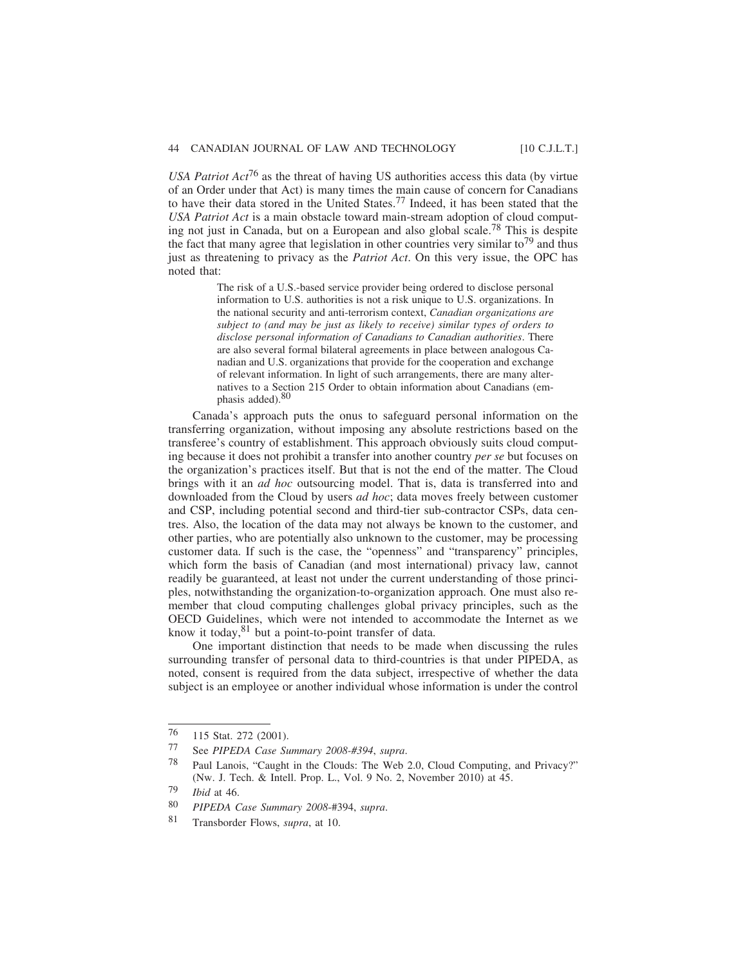*USA Patriot Act*76 as the threat of having US authorities access this data (by virtue of an Order under that Act) is many times the main cause of concern for Canadians to have their data stored in the United States.77 Indeed, it has been stated that the *USA Patriot Act* is a main obstacle toward main-stream adoption of cloud computing not just in Canada, but on a European and also global scale.78 This is despite the fact that many agree that legislation in other countries very similar to<sup>79</sup> and thus just as threatening to privacy as the *Patriot Act*. On this very issue, the OPC has noted that:

> The risk of a U.S.-based service provider being ordered to disclose personal information to U.S. authorities is not a risk unique to U.S. organizations. In the national security and anti-terrorism context, *Canadian organizations are subject to (and may be just as likely to receive) similar types of orders to disclose personal information of Canadians to Canadian authorities*. There are also several formal bilateral agreements in place between analogous Canadian and U.S. organizations that provide for the cooperation and exchange of relevant information. In light of such arrangements, there are many alternatives to a Section 215 Order to obtain information about Canadians (emphasis added).<sup>80</sup>

Canada's approach puts the onus to safeguard personal information on the transferring organization, without imposing any absolute restrictions based on the transferee's country of establishment. This approach obviously suits cloud computing because it does not prohibit a transfer into another country *per se* but focuses on the organization's practices itself. But that is not the end of the matter. The Cloud brings with it an *ad hoc* outsourcing model. That is, data is transferred into and downloaded from the Cloud by users *ad hoc*; data moves freely between customer and CSP, including potential second and third-tier sub-contractor CSPs, data centres. Also, the location of the data may not always be known to the customer, and other parties, who are potentially also unknown to the customer, may be processing customer data. If such is the case, the "openness" and "transparency" principles, which form the basis of Canadian (and most international) privacy law, cannot readily be guaranteed, at least not under the current understanding of those principles, notwithstanding the organization-to-organization approach. One must also remember that cloud computing challenges global privacy principles, such as the OECD Guidelines, which were not intended to accommodate the Internet as we know it today, <sup>81</sup> but a point-to-point transfer of data.

One important distinction that needs to be made when discussing the rules surrounding transfer of personal data to third-countries is that under PIPEDA, as noted, consent is required from the data subject, irrespective of whether the data subject is an employee or another individual whose information is under the control

<sup>76</sup> 115 Stat. 272 (2001).

<sup>77</sup> See *PIPEDA Case Summary 2008-#394*, *supra*.

<sup>78</sup> Paul Lanois, "Caught in the Clouds: The Web 2.0, Cloud Computing, and Privacy?" (Nw. J. Tech. & Intell. Prop. L., Vol. 9 No. 2, November 2010) at 45.

 $\frac{79}{80}$  *Ibid* at 46.

<sup>80</sup> *PIPEDA Case Summary 2008*-#394, *supra*.

<sup>81</sup> Transborder Flows, *supra*, at 10.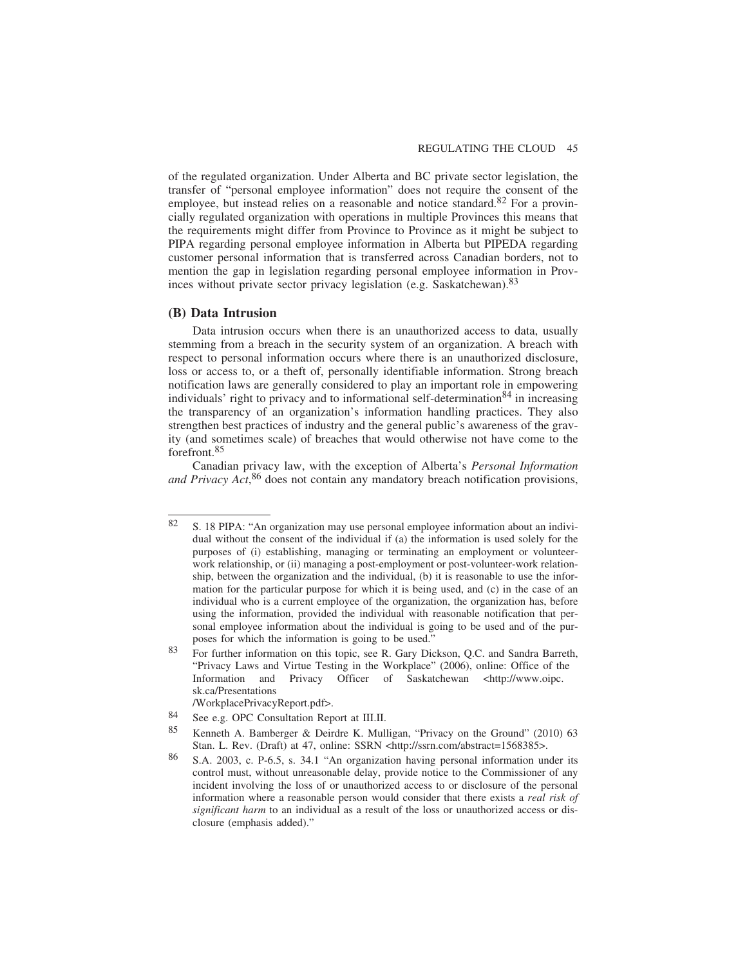of the regulated organization. Under Alberta and BC private sector legislation, the transfer of "personal employee information" does not require the consent of the employee, but instead relies on a reasonable and notice standard.<sup>82</sup> For a provincially regulated organization with operations in multiple Provinces this means that the requirements might differ from Province to Province as it might be subject to PIPA regarding personal employee information in Alberta but PIPEDA regarding customer personal information that is transferred across Canadian borders, not to mention the gap in legislation regarding personal employee information in Provinces without private sector privacy legislation (e.g. Saskatchewan).83

## **(B) Data Intrusion**

Data intrusion occurs when there is an unauthorized access to data, usually stemming from a breach in the security system of an organization. A breach with respect to personal information occurs where there is an unauthorized disclosure, loss or access to, or a theft of, personally identifiable information. Strong breach notification laws are generally considered to play an important role in empowering individuals' right to privacy and to informational self-determination<sup>84</sup> in increasing the transparency of an organization's information handling practices. They also strengthen best practices of industry and the general public's awareness of the gravity (and sometimes scale) of breaches that would otherwise not have come to the forefront<sup>85</sup>

Canadian privacy law, with the exception of Alberta's *Personal Information and Privacy Act*, 86 does not contain any mandatory breach notification provisions,

<sup>82</sup> S. 18 PIPA: "An organization may use personal employee information about an individual without the consent of the individual if (a) the information is used solely for the purposes of (i) establishing, managing or terminating an employment or volunteerwork relationship, or (ii) managing a post-employment or post-volunteer-work relationship, between the organization and the individual, (b) it is reasonable to use the information for the particular purpose for which it is being used, and (c) in the case of an individual who is a current employee of the organization, the organization has, before using the information, provided the individual with reasonable notification that personal employee information about the individual is going to be used and of the purposes for which the information is going to be used."

<sup>83</sup> For further information on this topic, see R. Gary Dickson, Q.C. and Sandra Barreth, "Privacy Laws and Virtue Testing in the Workplace" (2006), online: Office of the Information and Privacy Officer of Saskatchewan <http://www.oipc. sk.ca/Presentations

<sup>/</sup>WorkplacePrivacyReport.pdf>.

<sup>84</sup> See e.g. OPC Consultation Report at III.II.

<sup>85</sup> Kenneth A. Bamberger & Deirdre K. Mulligan, "Privacy on the Ground" (2010) 63 Stan. L. Rev. (Draft) at 47, online: SSRN <http://ssrn.com/abstract=1568385>.

<sup>86</sup> S.A. 2003, c. P-6.5, s. 34.1 "An organization having personal information under its control must, without unreasonable delay, provide notice to the Commissioner of any incident involving the loss of or unauthorized access to or disclosure of the personal information where a reasonable person would consider that there exists a *real risk of significant harm* to an individual as a result of the loss or unauthorized access or disclosure (emphasis added)."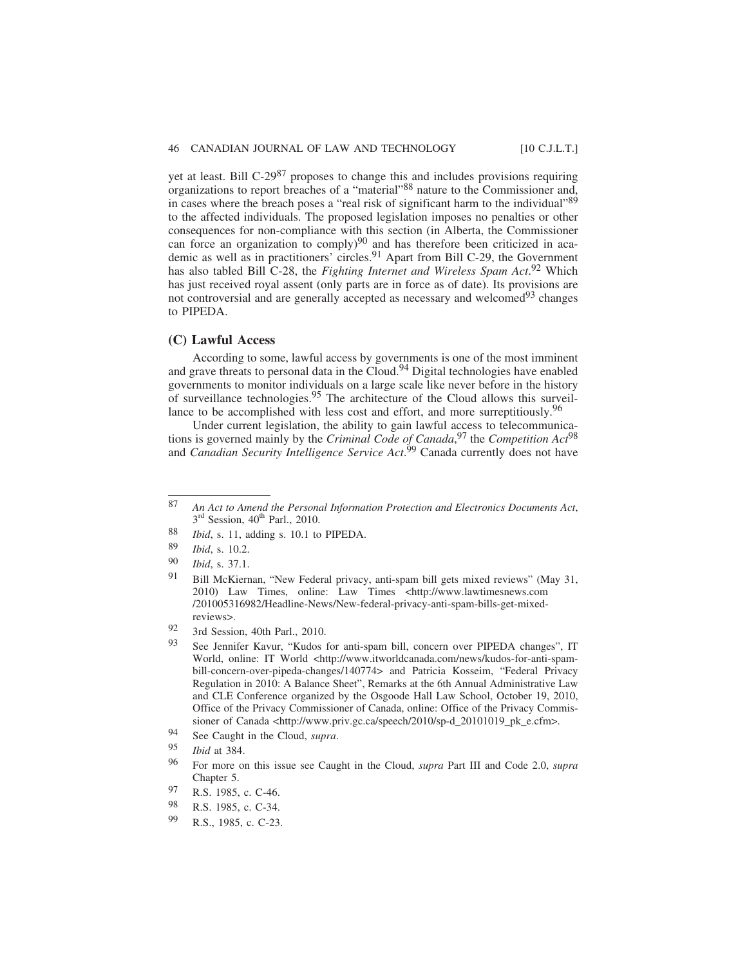yet at least. Bill  $C-29^{87}$  proposes to change this and includes provisions requiring organizations to report breaches of a "material"88 nature to the Commissioner and, in cases where the breach poses a "real risk of significant harm to the individual"89 to the affected individuals. The proposed legislation imposes no penalties or other consequences for non-compliance with this section (in Alberta, the Commissioner can force an organization to comply) $90$  and has therefore been criticized in academic as well as in practitioners' circles.<sup>91</sup> Apart from Bill C-29, the Government has also tabled Bill C-28, the *Fighting Internet and Wireless Spam Act*. 92 Which has just received royal assent (only parts are in force as of date). Its provisions are not controversial and are generally accepted as necessary and welcomed<sup>93</sup> changes to PIPEDA.

## **(C) Lawful Access**

According to some, lawful access by governments is one of the most imminent and grave threats to personal data in the Cloud.<sup>94</sup> Digital technologies have enabled governments to monitor individuals on a large scale like never before in the history of surveillance technologies.95 The architecture of the Cloud allows this surveillance to be accomplished with less cost and effort, and more surreptitiously.<sup>96</sup>

Under current legislation, the ability to gain lawful access to telecommunications is governed mainly by the *Criminal Code of Canada*, 97 the *Competition Act*<sup>98</sup> and *Canadian Security Intelligence Service Act*. 99 Canada currently does not have

- 92 3rd Session, 40th Parl., 2010.
- 93 See Jennifer Kavur, "Kudos for anti-spam bill, concern over PIPEDA changes", IT World, online: IT World <http://www.itworldcanada.com/news/kudos-for-anti-spambill-concern-over-pipeda-changes/140774> and Patricia Kosseim, "Federal Privacy Regulation in 2010: A Balance Sheet", Remarks at the 6th Annual Administrative Law and CLE Conference organized by the Osgoode Hall Law School, October 19, 2010, Office of the Privacy Commissioner of Canada, online: Office of the Privacy Commissioner of Canada <http://www.priv.gc.ca/speech/2010/sp-d\_20101019\_pk\_e.cfm>.
- 94 See Caught in the Cloud, *supra*.
- 95 *Ibid* at 384.
- 96 For more on this issue see Caught in the Cloud, *supra* Part III and Code 2.0, *supra* Chapter 5.
- 97 R.S. 1985, c. C-46.
- 98 R.S. 1985, c. C-34.
- 99 R.S., 1985, c. C-23.

<sup>87</sup> *An Act to Amend the Personal Information Protection and Electronics Documents Act*,  $3<sup>rd</sup>$  Session,  $40<sup>th</sup>$  Parl., 2010.

<sup>88</sup> *Ibid*, s. 11, adding s. 10.1 to PIPEDA.

<sup>89</sup> *Ibid*, s. 10.2.

<sup>90</sup> *Ibid*, s. 37.1.<br>91 **Bill McKierr** 

Bill McKiernan, "New Federal privacy, anti-spam bill gets mixed reviews" (May 31, 2010) Law Times, online: Law Times <http://www.lawtimesnews.com /201005316982/Headline-News/New-federal-privacy-anti-spam-bills-get-mixedreviews>.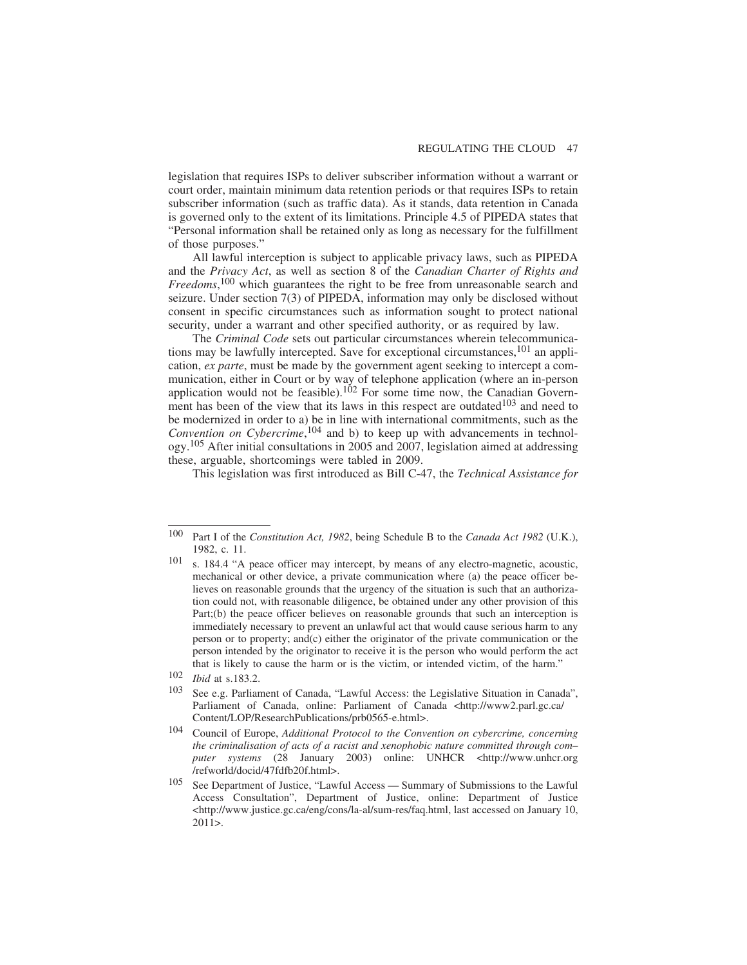legislation that requires ISPs to deliver subscriber information without a warrant or court order, maintain minimum data retention periods or that requires ISPs to retain subscriber information (such as traffic data). As it stands, data retention in Canada is governed only to the extent of its limitations. Principle 4.5 of PIPEDA states that "Personal information shall be retained only as long as necessary for the fulfillment of those purposes."

All lawful interception is subject to applicable privacy laws, such as PIPEDA and the *Privacy Act*, as well as section 8 of the *Canadian Charter of Rights and Freedoms*, 100 which guarantees the right to be free from unreasonable search and seizure. Under section 7(3) of PIPEDA, information may only be disclosed without consent in specific circumstances such as information sought to protect national security, under a warrant and other specified authority, or as required by law.

The *Criminal Code* sets out particular circumstances wherein telecommunications may be lawfully intercepted. Save for exceptional circumstances,  $^{101}$  an application, *ex parte*, must be made by the government agent seeking to intercept a communication, either in Court or by way of telephone application (where an in-person application would not be feasible).102 For some time now, the Canadian Government has been of the view that its laws in this respect are outdated $103$  and need to be modernized in order to a) be in line with international commitments, such as the *Convention on Cybercrime*, 104 and b) to keep up with advancements in technology.105 After initial consultations in 2005 and 2007, legislation aimed at addressing these, arguable, shortcomings were tabled in 2009.

This legislation was first introduced as Bill C-47, the *Technical Assistance for*

- 101 s. 184.4 "A peace officer may intercept, by means of any electro-magnetic, acoustic, mechanical or other device, a private communication where (a) the peace officer believes on reasonable grounds that the urgency of the situation is such that an authorization could not, with reasonable diligence, be obtained under any other provision of this Part;(b) the peace officer believes on reasonable grounds that such an interception is immediately necessary to prevent an unlawful act that would cause serious harm to any person or to property; and(c) either the originator of the private communication or the person intended by the originator to receive it is the person who would perform the act that is likely to cause the harm or is the victim, or intended victim, of the harm."
- 102 *Ibid* at s.183.2.
- <sup>103</sup> See e.g. Parliament of Canada, "Lawful Access: the Legislative Situation in Canada", Parliament of Canada, online: Parliament of Canada <http://www2.parl.gc.ca/ Content/LOP/ResearchPublications/prb0565-e.html>.
- 104 Council of Europe, *Additional Protocol to the Convention on cybercrime, concerning the criminalisation of acts of a racist and xenophobic nature committed through com– puter systems* (28 January 2003) online: UNHCR <http://www.unhcr.org /refworld/docid/47fdfb20f.html>.
- 105 See Department of Justice, "Lawful Access Summary of Submissions to the Lawful Access Consultation", Department of Justice, online: Department of Justice <http://www.justice.gc.ca/eng/cons/la-al/sum-res/faq.html, last accessed on January 10, 2011>.

<sup>100</sup> Part I of the *Constitution Act, 1982*, being Schedule B to the *Canada Act 1982* (U.K.), 1982, c. 11.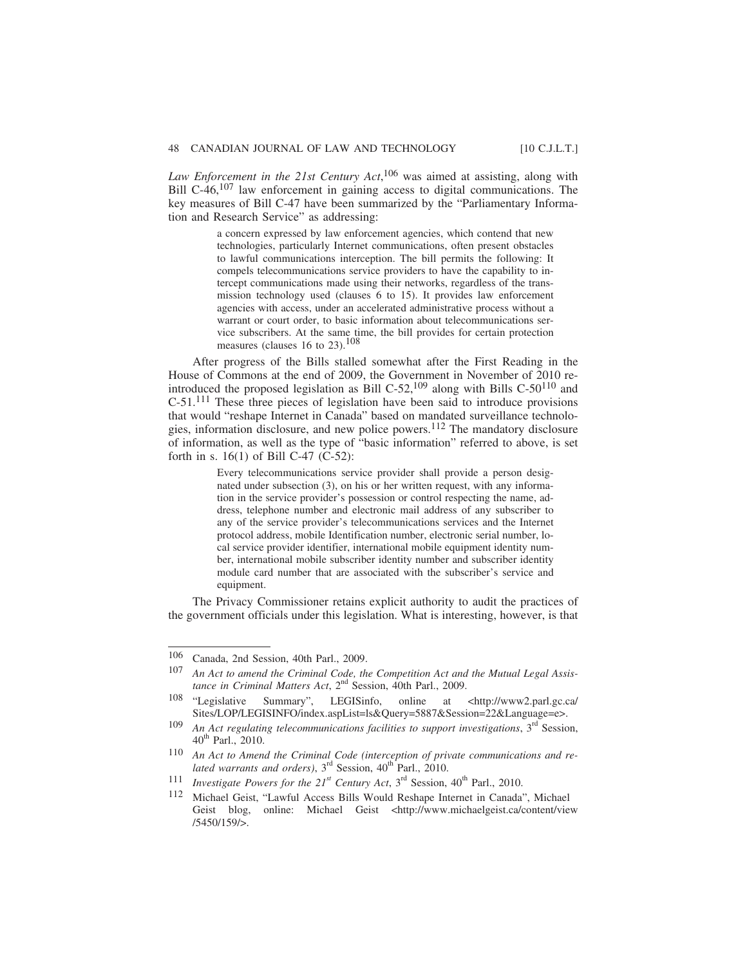*Law Enforcement in the 21st Century Act*, 106 was aimed at assisting, along with Bill C-46,107 law enforcement in gaining access to digital communications. The key measures of Bill C-47 have been summarized by the "Parliamentary Information and Research Service" as addressing:

> a concern expressed by law enforcement agencies, which contend that new technologies, particularly Internet communications, often present obstacles to lawful communications interception. The bill permits the following: It compels telecommunications service providers to have the capability to intercept communications made using their networks, regardless of the transmission technology used (clauses 6 to 15). It provides law enforcement agencies with access, under an accelerated administrative process without a warrant or court order, to basic information about telecommunications service subscribers. At the same time, the bill provides for certain protection measures (clauses 16 to 23).<sup>108</sup>

After progress of the Bills stalled somewhat after the First Reading in the House of Commons at the end of 2009, the Government in November of 2010 reintroduced the proposed legislation as Bill C-52,<sup>109</sup> along with Bills C-50<sup>110</sup> and C-51.111 These three pieces of legislation have been said to introduce provisions that would "reshape Internet in Canada" based on mandated surveillance technologies, information disclosure, and new police powers.112 The mandatory disclosure of information, as well as the type of "basic information" referred to above, is set forth in s. 16(1) of Bill C-47 (C-52):

> Every telecommunications service provider shall provide a person designated under subsection (3), on his or her written request, with any information in the service provider's possession or control respecting the name, address, telephone number and electronic mail address of any subscriber to any of the service provider's telecommunications services and the Internet protocol address, mobile Identification number, electronic serial number, local service provider identifier, international mobile equipment identity number, international mobile subscriber identity number and subscriber identity module card number that are associated with the subscriber's service and equipment.

The Privacy Commissioner retains explicit authority to audit the practices of the government officials under this legislation. What is interesting, however, is that

<sup>106</sup> Canada, 2nd Session, 40th Parl., 2009.

<sup>107</sup> *An Act to amend the Criminal Code, the Competition Act and the Mutual Legal Assistance in Criminal Matters Act*, 2<sup>nd</sup> Session, 40th Parl., 2009.

<sup>108</sup> "Legislative Summary", LEGISinfo, online at <http://www2.parl.gc.ca/ Sites/LOP/LEGISINFO/index.aspList=ls&Query=5887&Session=22&Language=e>.

<sup>109</sup> *An Act regulating telecommunications facilities to support investigations*, 3rd Session,  $40^{th}$  Parl., 2010.

<sup>110</sup> *An Act to Amend the Criminal Code (interception of private communications and related warrants and orders*), 3<sup>rd</sup> Session, 40<sup>th</sup> Parl., 2010.

<sup>&</sup>lt;sup>111</sup> *Investigate Powers for the 21<sup>st</sup> Century Act*, 3<sup>rd</sup> Session, 40<sup>th</sup> Parl., 2010.

<sup>112</sup> Michael Geist, "Lawful Access Bills Would Reshape Internet in Canada", Michael Geist blog, online: Michael Geist <http://www.michaelgeist.ca/content/view /5450/159/>.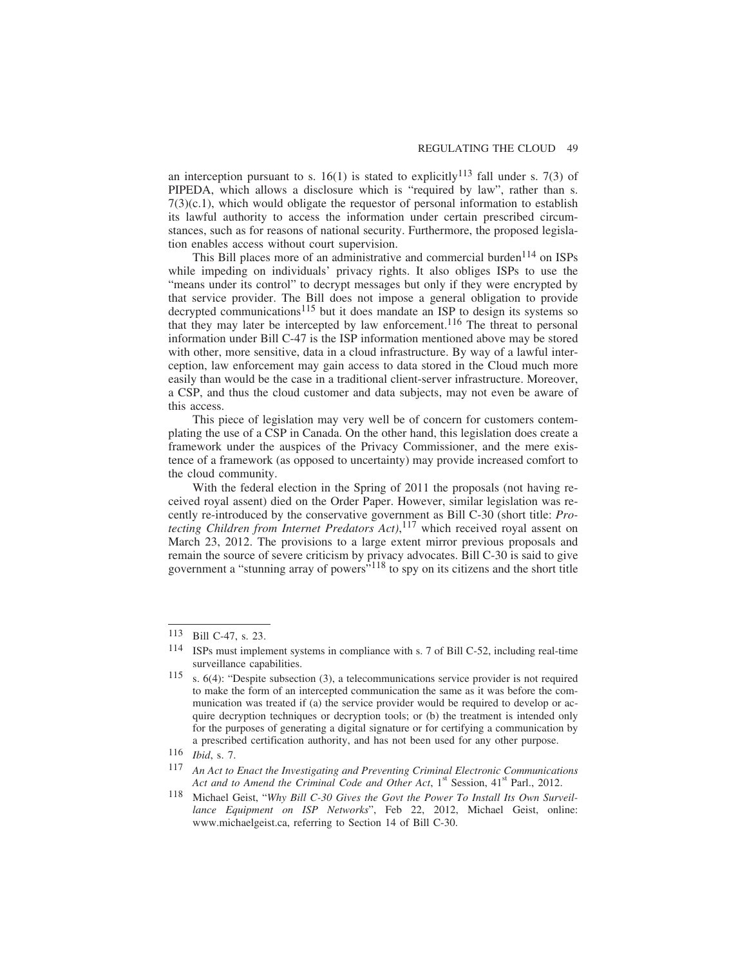an interception pursuant to s. 16(1) is stated to explicitly<sup>113</sup> fall under s. 7(3) of PIPEDA, which allows a disclosure which is "required by law", rather than s.  $7(3)(c.1)$ , which would obligate the requestor of personal information to establish its lawful authority to access the information under certain prescribed circumstances, such as for reasons of national security. Furthermore, the proposed legislation enables access without court supervision.

This Bill places more of an administrative and commercial burden<sup>114</sup> on ISPs while impeding on individuals' privacy rights. It also obliges ISPs to use the "means under its control" to decrypt messages but only if they were encrypted by that service provider. The Bill does not impose a general obligation to provide decrypted communications<sup>115</sup> but it does mandate an ISP to design its systems so that they may later be intercepted by law enforcement.116 The threat to personal information under Bill C-47 is the ISP information mentioned above may be stored with other, more sensitive, data in a cloud infrastructure. By way of a lawful interception, law enforcement may gain access to data stored in the Cloud much more easily than would be the case in a traditional client-server infrastructure. Moreover, a CSP, and thus the cloud customer and data subjects, may not even be aware of this access.

This piece of legislation may very well be of concern for customers contemplating the use of a CSP in Canada. On the other hand, this legislation does create a framework under the auspices of the Privacy Commissioner, and the mere existence of a framework (as opposed to uncertainty) may provide increased comfort to the cloud community.

With the federal election in the Spring of 2011 the proposals (not having received royal assent) died on the Order Paper. However, similar legislation was recently re-introduced by the conservative government as Bill C-30 (short title: *Protecting Children from Internet Predators Act)*, 117 which received royal assent on March 23, 2012. The provisions to a large extent mirror previous proposals and remain the source of severe criticism by privacy advocates. Bill C-30 is said to give government a "stunning array of powers"118 to spy on its citizens and the short title

<sup>113</sup> Bill C-47, s. 23.

<sup>114</sup> ISPs must implement systems in compliance with s. 7 of Bill C-52, including real-time surveillance capabilities.

<sup>&</sup>lt;sup>115</sup> s.  $6(4)$ : "Despite subsection (3), a telecommunications service provider is not required to make the form of an intercepted communication the same as it was before the communication was treated if (a) the service provider would be required to develop or acquire decryption techniques or decryption tools; or (b) the treatment is intended only for the purposes of generating a digital signature or for certifying a communication by a prescribed certification authority, and has not been used for any other purpose.

<sup>116</sup> *Ibid*, s. 7.

<sup>117</sup> *An Act to Enact the Investigating and Preventing Criminal Electronic Communications* Act and to Amend the Criminal Code and Other Act, 1<sup>st</sup> Session, 41<sup>st</sup> Parl., 2012.

<sup>118</sup> Michael Geist, "*Why Bill C-30 Gives the Govt the Power To Install Its Own Surveillance Equipment on ISP Networks*", Feb 22, 2012, Michael Geist, online: www.michaelgeist.ca, referring to Section 14 of Bill C-30.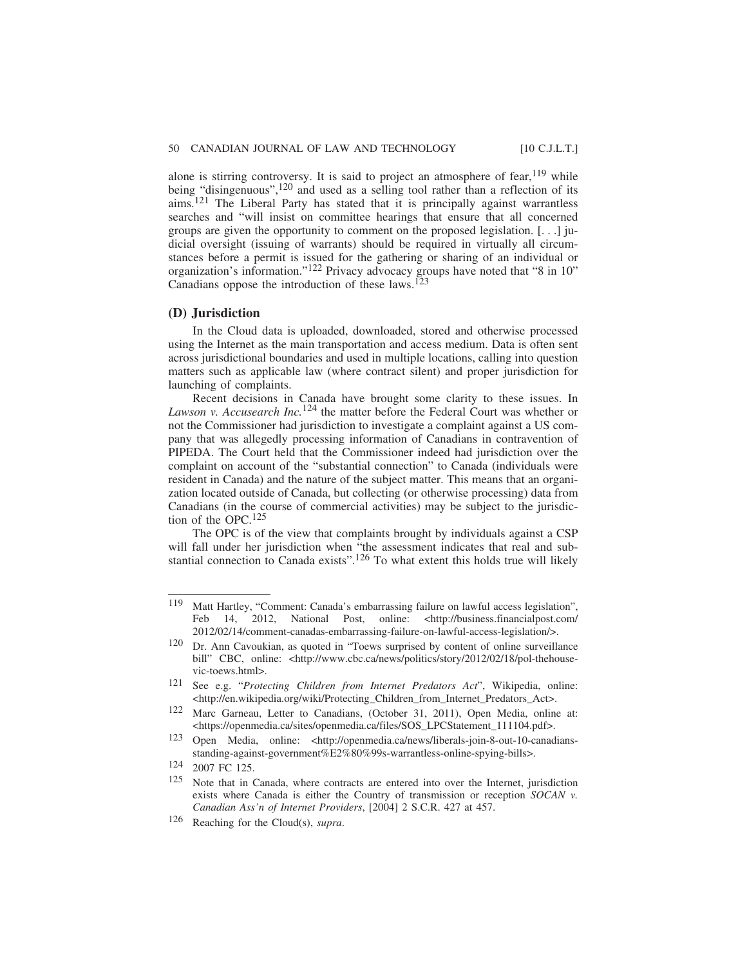alone is stirring controversy. It is said to project an atmosphere of fear,  $119$  while being "disingenuous",<sup>120</sup> and used as a selling tool rather than a reflection of its aims.<sup>121</sup> The Liberal Party has stated that it is principally against warrantless searches and "will insist on committee hearings that ensure that all concerned groups are given the opportunity to comment on the proposed legislation. [. . .] judicial oversight (issuing of warrants) should be required in virtually all circumstances before a permit is issued for the gathering or sharing of an individual or organization's information."122 Privacy advocacy groups have noted that "8 in 10" Canadians oppose the introduction of these laws.<sup>123</sup>

#### **(D) Jurisdiction**

In the Cloud data is uploaded, downloaded, stored and otherwise processed using the Internet as the main transportation and access medium. Data is often sent across jurisdictional boundaries and used in multiple locations, calling into question matters such as applicable law (where contract silent) and proper jurisdiction for launching of complaints.

Recent decisions in Canada have brought some clarity to these issues. In *Lawson v. Accusearch Inc.*124 the matter before the Federal Court was whether or not the Commissioner had jurisdiction to investigate a complaint against a US company that was allegedly processing information of Canadians in contravention of PIPEDA. The Court held that the Commissioner indeed had jurisdiction over the complaint on account of the "substantial connection" to Canada (individuals were resident in Canada) and the nature of the subject matter. This means that an organization located outside of Canada, but collecting (or otherwise processing) data from Canadians (in the course of commercial activities) may be subject to the jurisdiction of the OPC.125

The OPC is of the view that complaints brought by individuals against a CSP will fall under her jurisdiction when "the assessment indicates that real and substantial connection to Canada exists".<sup>126</sup> To what extent this holds true will likely

<sup>119</sup> Matt Hartley, "Comment: Canada's embarrassing failure on lawful access legislation", Feb 14, 2012, National Post, online: <http://business.financialpost.com/ 2012/02/14/comment-canadas-embarrassing-failure-on-lawful-access-legislation/>.

<sup>&</sup>lt;sup>120</sup> Dr. Ann Cavoukian, as quoted in "Toews surprised by content of online surveillance bill" CBC, online: <http://www.cbc.ca/news/politics/story/2012/02/18/pol-thehousevic-toews.html>.

<sup>121</sup> See e.g. "*Protecting Children from Internet Predators Act*", Wikipedia, online: <http://en.wikipedia.org/wiki/Protecting\_Children\_from\_Internet\_Predators\_Act>.

<sup>122</sup> Marc Garneau, Letter to Canadians, (October 31, 2011), Open Media, online at: <https://openmedia.ca/sites/openmedia.ca/files/SOS\_LPCStatement\_111104.pdf>.

<sup>123</sup> Open Media, online: <http://openmedia.ca/news/liberals-join-8-out-10-canadiansstanding-against-government%E2%80%99s-warrantless-online-spying-bills>.

<sup>124</sup> 2007 FC 125.

<sup>125</sup> Note that in Canada, where contracts are entered into over the Internet, jurisdiction exists where Canada is either the Country of transmission or reception *SOCAN v. Canadian Ass'n of Internet Providers*, [2004] 2 S.C.R. 427 at 457.

<sup>126</sup> Reaching for the Cloud(s), *supra*.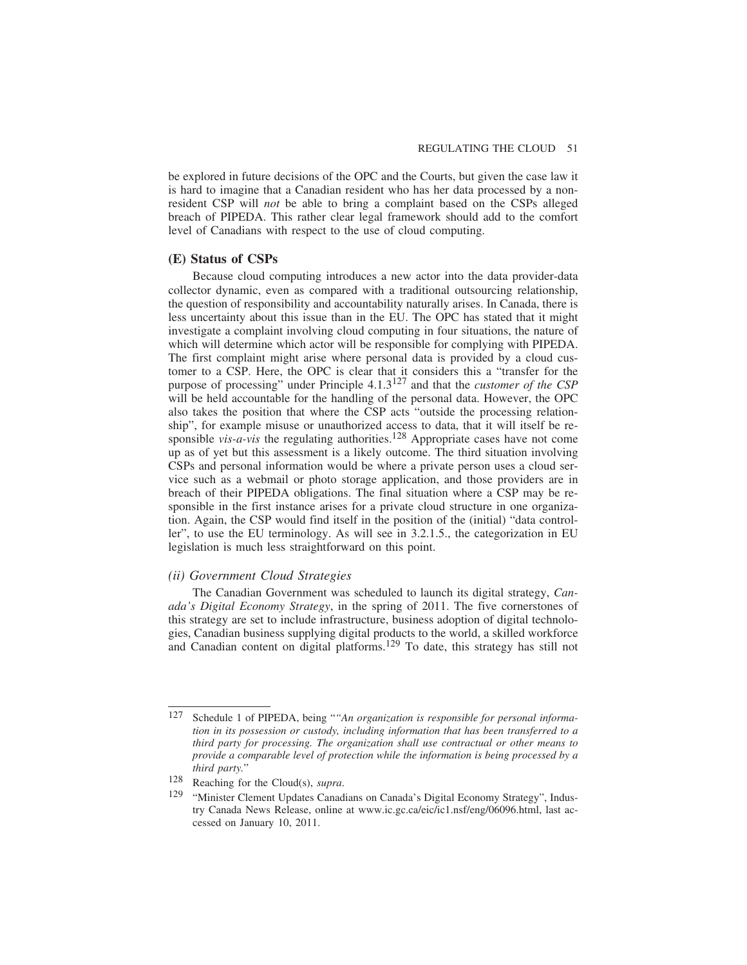be explored in future decisions of the OPC and the Courts, but given the case law it is hard to imagine that a Canadian resident who has her data processed by a nonresident CSP will *not* be able to bring a complaint based on the CSPs alleged breach of PIPEDA. This rather clear legal framework should add to the comfort level of Canadians with respect to the use of cloud computing.

#### **(E) Status of CSPs**

Because cloud computing introduces a new actor into the data provider-data collector dynamic, even as compared with a traditional outsourcing relationship, the question of responsibility and accountability naturally arises. In Canada, there is less uncertainty about this issue than in the EU. The OPC has stated that it might investigate a complaint involving cloud computing in four situations, the nature of which will determine which actor will be responsible for complying with PIPEDA. The first complaint might arise where personal data is provided by a cloud customer to a CSP. Here, the OPC is clear that it considers this a "transfer for the purpose of processing" under Principle 4.1.3127 and that the *customer of the CSP* will be held accountable for the handling of the personal data. However, the OPC also takes the position that where the CSP acts "outside the processing relationship", for example misuse or unauthorized access to data, that it will itself be responsible *vis-a-vis* the regulating authorities.<sup>128</sup> Appropriate cases have not come up as of yet but this assessment is a likely outcome. The third situation involving CSPs and personal information would be where a private person uses a cloud service such as a webmail or photo storage application, and those providers are in breach of their PIPEDA obligations. The final situation where a CSP may be responsible in the first instance arises for a private cloud structure in one organization. Again, the CSP would find itself in the position of the (initial) "data controller", to use the EU terminology. As will see in 3.2.1.5., the categorization in EU legislation is much less straightforward on this point.

## *(ii) Government Cloud Strategies*

The Canadian Government was scheduled to launch its digital strategy, *Canada's Digital Economy Strategy*, in the spring of 2011. The five cornerstones of this strategy are set to include infrastructure, business adoption of digital technologies, Canadian business supplying digital products to the world, a skilled workforce and Canadian content on digital platforms.<sup>129</sup> To date, this strategy has still not

<sup>127</sup> Schedule 1 of PIPEDA, being "*"An organization is responsible for personal information in its possession or custody, including information that has been transferred to a third party for processing. The organization shall use contractual or other means to provide a comparable level of protection while the information is being processed by a third party.*"

<sup>128</sup> Reaching for the Cloud(s), *supra*.

<sup>&</sup>lt;sup>129</sup> "Minister Clement Updates Canadians on Canada's Digital Economy Strategy", Industry Canada News Release, online at www.ic.gc.ca/eic/ic1.nsf/eng/06096.html, last accessed on January 10, 2011.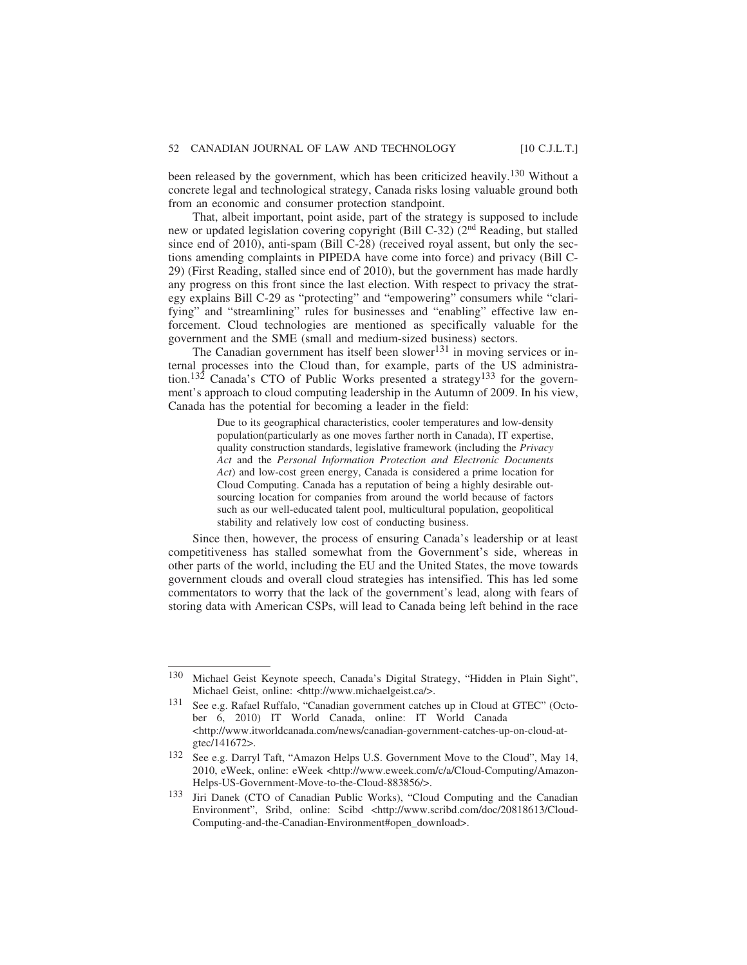been released by the government, which has been criticized heavily.130 Without a concrete legal and technological strategy, Canada risks losing valuable ground both from an economic and consumer protection standpoint.

That, albeit important, point aside, part of the strategy is supposed to include new or updated legislation covering copyright (Bill C-32) (2nd Reading, but stalled since end of 2010), anti-spam (Bill C-28) (received royal assent, but only the sections amending complaints in PIPEDA have come into force) and privacy (Bill C-29) (First Reading, stalled since end of 2010), but the government has made hardly any progress on this front since the last election. With respect to privacy the strategy explains Bill C-29 as "protecting" and "empowering" consumers while "clarifying" and "streamlining" rules for businesses and "enabling" effective law enforcement. Cloud technologies are mentioned as specifically valuable for the government and the SME (small and medium-sized business) sectors.

The Canadian government has itself been slower<sup>131</sup> in moving services or internal processes into the Cloud than, for example, parts of the US administration.<sup>132</sup> Canada's CTO of Public Works presented a strategy<sup>133</sup> for the government's approach to cloud computing leadership in the Autumn of 2009. In his view, Canada has the potential for becoming a leader in the field:

> Due to its geographical characteristics, cooler temperatures and low-density population(particularly as one moves farther north in Canada), IT expertise, quality construction standards, legislative framework (including the *Privacy Act* and the *Personal Information Protection and Electronic Documents Act*) and low-cost green energy, Canada is considered a prime location for Cloud Computing. Canada has a reputation of being a highly desirable outsourcing location for companies from around the world because of factors such as our well-educated talent pool, multicultural population, geopolitical stability and relatively low cost of conducting business.

Since then, however, the process of ensuring Canada's leadership or at least competitiveness has stalled somewhat from the Government's side, whereas in other parts of the world, including the EU and the United States, the move towards government clouds and overall cloud strategies has intensified. This has led some commentators to worry that the lack of the government's lead, along with fears of storing data with American CSPs, will lead to Canada being left behind in the race

<sup>130</sup> Michael Geist Keynote speech, Canada's Digital Strategy, "Hidden in Plain Sight", Michael Geist, online: <http://www.michaelgeist.ca/>.

<sup>131</sup> See e.g. Rafael Ruffalo, "Canadian government catches up in Cloud at GTEC" (October 6, 2010) IT World Canada, online: IT World Canada <http://www.itworldcanada.com/news/canadian-government-catches-up-on-cloud-atgtec/141672>.

<sup>132</sup> See e.g. Darryl Taft, "Amazon Helps U.S. Government Move to the Cloud", May 14, 2010, eWeek, online: eWeek <http://www.eweek.com/c/a/Cloud-Computing/Amazon-Helps-US-Government-Move-to-the-Cloud-883856/>.

<sup>133</sup> Jiri Danek (CTO of Canadian Public Works), "Cloud Computing and the Canadian Environment", Sribd, online: Scibd <http://www.scribd.com/doc/20818613/Cloud-Computing-and-the-Canadian-Environment#open\_download>.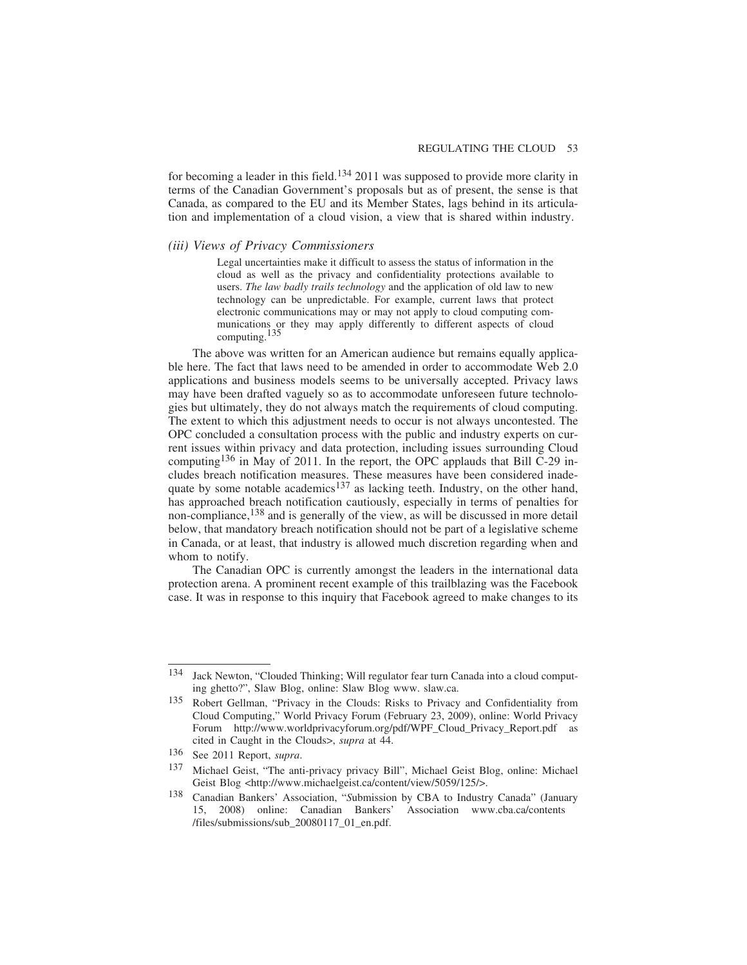for becoming a leader in this field.<sup>134</sup> 2011 was supposed to provide more clarity in terms of the Canadian Government's proposals but as of present, the sense is that Canada, as compared to the EU and its Member States, lags behind in its articulation and implementation of a cloud vision, a view that is shared within industry.

#### *(iii) Views of Privacy Commissioners*

Legal uncertainties make it difficult to assess the status of information in the cloud as well as the privacy and confidentiality protections available to users. *The law badly trails technology* and the application of old law to new technology can be unpredictable. For example, current laws that protect electronic communications may or may not apply to cloud computing communications or they may apply differently to different aspects of cloud computing.135

The above was written for an American audience but remains equally applicable here. The fact that laws need to be amended in order to accommodate Web 2.0 applications and business models seems to be universally accepted. Privacy laws may have been drafted vaguely so as to accommodate unforeseen future technologies but ultimately, they do not always match the requirements of cloud computing. The extent to which this adjustment needs to occur is not always uncontested. The OPC concluded a consultation process with the public and industry experts on current issues within privacy and data protection, including issues surrounding Cloud computing136 in May of 2011. In the report, the OPC applauds that Bill C-29 includes breach notification measures. These measures have been considered inadequate by some notable academics<sup>137</sup> as lacking teeth. Industry, on the other hand, has approached breach notification cautiously, especially in terms of penalties for non-compliance,<sup>138</sup> and is generally of the view, as will be discussed in more detail below, that mandatory breach notification should not be part of a legislative scheme in Canada, or at least, that industry is allowed much discretion regarding when and whom to notify.

The Canadian OPC is currently amongst the leaders in the international data protection arena. A prominent recent example of this trailblazing was the Facebook case. It was in response to this inquiry that Facebook agreed to make changes to its

<sup>134</sup> Jack Newton, "Clouded Thinking; Will regulator fear turn Canada into a cloud computing ghetto?", Slaw Blog, online: Slaw Blog www. slaw.ca.

<sup>135</sup> Robert Gellman, "Privacy in the Clouds: Risks to Privacy and Confidentiality from Cloud Computing," World Privacy Forum (February 23, 2009), online: World Privacy Forum http://www.worldprivacyforum.org/pdf/WPF\_Cloud\_Privacy\_Report.pdf as cited in Caught in the Clouds>, *supra* at 44.

<sup>136</sup> See 2011 Report, *supra*.

<sup>137</sup> Michael Geist, "The anti-privacy privacy Bill", Michael Geist Blog, online: Michael Geist Blog <http://www.michaelgeist.ca/content/view/5059/125/>.

<sup>138</sup> Canadian Bankers' Association, "*S*ubmission by CBA to Industry Canada" (January 15, 2008) online: Canadian Bankers' Association www.cba.ca/contents /files/submissions/sub\_20080117\_01\_en.pdf.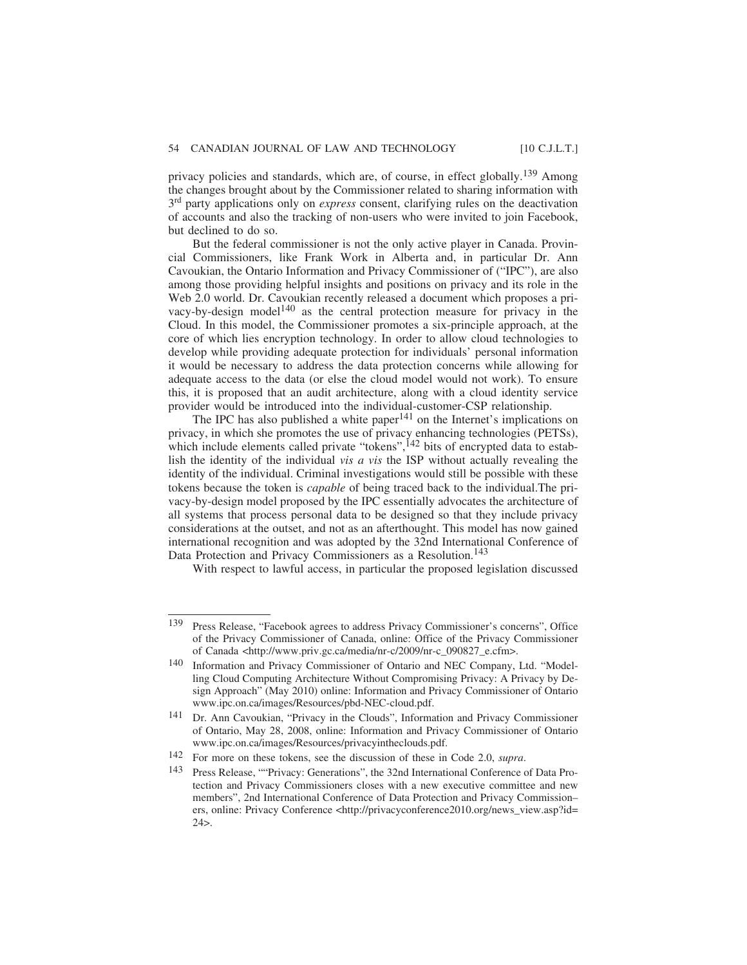privacy policies and standards, which are, of course, in effect globally.<sup>139</sup> Among the changes brought about by the Commissioner related to sharing information with 3<sup>rd</sup> party applications only on *express* consent, clarifying rules on the deactivation of accounts and also the tracking of non-users who were invited to join Facebook, but declined to do so.

But the federal commissioner is not the only active player in Canada. Provincial Commissioners, like Frank Work in Alberta and, in particular Dr. Ann Cavoukian, the Ontario Information and Privacy Commissioner of ("IPC"), are also among those providing helpful insights and positions on privacy and its role in the Web 2.0 world. Dr. Cavoukian recently released a document which proposes a privacy-by-design model<sup>140</sup> as the central protection measure for privacy in the Cloud. In this model, the Commissioner promotes a six-principle approach, at the core of which lies encryption technology. In order to allow cloud technologies to develop while providing adequate protection for individuals' personal information it would be necessary to address the data protection concerns while allowing for adequate access to the data (or else the cloud model would not work). To ensure this, it is proposed that an audit architecture, along with a cloud identity service provider would be introduced into the individual-customer-CSP relationship.

The IPC has also published a white paper<sup>141</sup> on the Internet's implications on privacy, in which she promotes the use of privacy enhancing technologies (PETSs), which include elements called private "tokens", $^{142}$  bits of encrypted data to establish the identity of the individual *vis a vis* the ISP without actually revealing the identity of the individual. Criminal investigations would still be possible with these tokens because the token is *capable* of being traced back to the individual.The privacy-by-design model proposed by the IPC essentially advocates the architecture of all systems that process personal data to be designed so that they include privacy considerations at the outset, and not as an afterthought. This model has now gained international recognition and was adopted by the 32nd International Conference of Data Protection and Privacy Commissioners as a Resolution.<sup>143</sup>

With respect to lawful access, in particular the proposed legislation discussed

<sup>139</sup> Press Release, "Facebook agrees to address Privacy Commissioner's concerns", Office of the Privacy Commissioner of Canada, online: Office of the Privacy Commissioner of Canada <http://www.priv.gc.ca/media/nr-c/2009/nr-c\_090827\_e.cfm>.

<sup>140</sup> Information and Privacy Commissioner of Ontario and NEC Company, Ltd. "Modelling Cloud Computing Architecture Without Compromising Privacy: A Privacy by Design Approach" (May 2010) online: Information and Privacy Commissioner of Ontario www.ipc.on.ca/images/Resources/pbd-NEC-cloud.pdf.

<sup>141</sup> Dr. Ann Cavoukian, "Privacy in the Clouds", Information and Privacy Commissioner of Ontario, May 28, 2008, online: Information and Privacy Commissioner of Ontario www.ipc.on.ca/images/Resources/privacyintheclouds.pdf.

<sup>142</sup> For more on these tokens, see the discussion of these in Code 2.0, *supra*.

<sup>143</sup> Press Release, ""Privacy: Generations", the 32nd International Conference of Data Protection and Privacy Commissioners closes with a new executive committee and new members", 2nd International Conference of Data Protection and Privacy Commission– ers, online: Privacy Conference <http://privacyconference2010.org/news\_view.asp?id= 24>.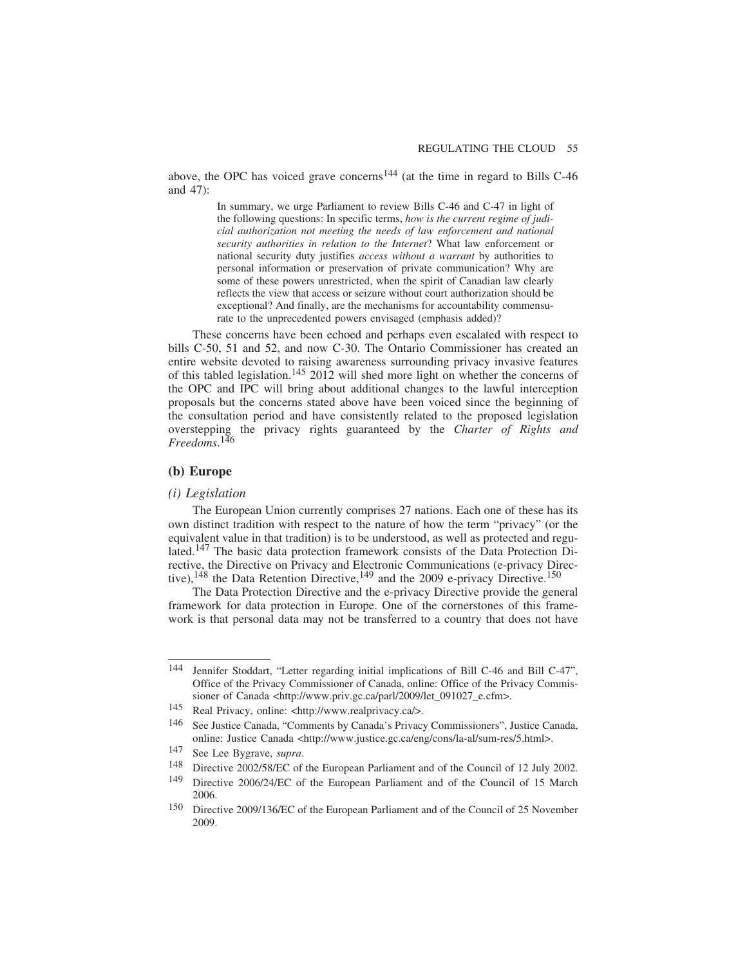above, the OPC has voiced grave concerns<sup>144</sup> (at the time in regard to Bills C-46 and 47):

> In summary, we urge Parliament to review Bills C-46 and C-47 in light of the following questions: In specific terms, *how is the current regime of judicial authorization not meeting the needs of law enforcement and national security authorities in relation to the Internet*? What law enforcement or national security duty justifies *access without a warrant* by authorities to personal information or preservation of private communication? Why are some of these powers unrestricted, when the spirit of Canadian law clearly reflects the view that access or seizure without court authorization should be exceptional? And finally, are the mechanisms for accountability commensurate to the unprecedented powers envisaged (emphasis added)?

These concerns have been echoed and perhaps even escalated with respect to bills C-50, 51 and 52, and now C-30. The Ontario Commissioner has created an entire website devoted to raising awareness surrounding privacy invasive features of this tabled legislation.145 2012 will shed more light on whether the concerns of the OPC and IPC will bring about additional changes to the lawful interception proposals but the concerns stated above have been voiced since the beginning of the consultation period and have consistently related to the proposed legislation overstepping the privacy rights guaranteed by the *Charter of Rights and Freedoms*. 146

## **(b) Europe**

## *(i) Legislation*

The European Union currently comprises 27 nations. Each one of these has its own distinct tradition with respect to the nature of how the term "privacy" (or the equivalent value in that tradition) is to be understood, as well as protected and regulated.147 The basic data protection framework consists of the Data Protection Directive, the Directive on Privacy and Electronic Communications (e-privacy Directive),<sup>148</sup> the Data Retention Directive,<sup>149</sup> and the 2009 e-privacy Directive.<sup>150</sup>

The Data Protection Directive and the e-privacy Directive provide the general framework for data protection in Europe. One of the cornerstones of this framework is that personal data may not be transferred to a country that does not have

<sup>144</sup> Jennifer Stoddart, "Letter regarding initial implications of Bill C-46 and Bill C-47", Office of the Privacy Commissioner of Canada, online: Office of the Privacy Commissioner of Canada <http://www.priv.gc.ca/parl/2009/let\_091027\_e.cfm>.

<sup>145</sup> Real Privacy, online: <http://www.realprivacy.ca/>.

<sup>146</sup> See Justice Canada, "Comments by Canada's Privacy Commissioners", Justice Canada, online: Justice Canada <http://www.justice.gc.ca/eng/cons/la-al/sum-res/5.html>.

<sup>147</sup> See Lee Bygrave, *supra*.

<sup>148</sup> Directive 2002/58/EC of the European Parliament and of the Council of 12 July 2002.

<sup>149</sup> Directive 2006/24/EC of the European Parliament and of the Council of 15 March 2006.

<sup>150</sup> Directive 2009/136/EC of the European Parliament and of the Council of 25 November 2009.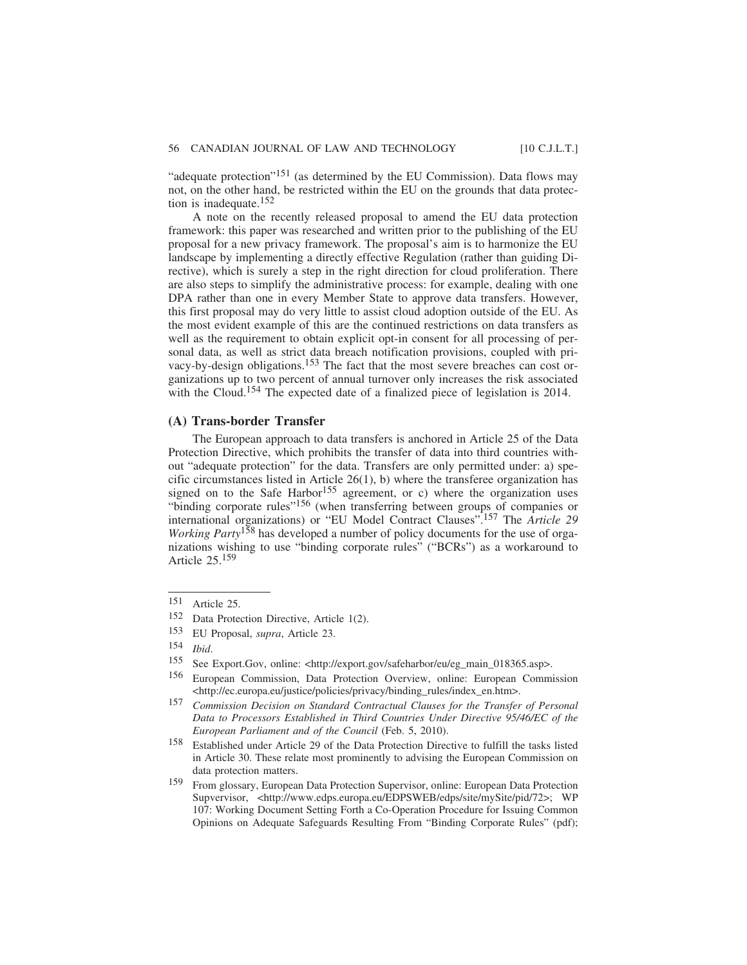"adequate protection"<sup>151</sup> (as determined by the EU Commission). Data flows may not, on the other hand, be restricted within the EU on the grounds that data protection is inadequate.<sup>152</sup>

A note on the recently released proposal to amend the EU data protection framework: this paper was researched and written prior to the publishing of the EU proposal for a new privacy framework. The proposal's aim is to harmonize the EU landscape by implementing a directly effective Regulation (rather than guiding Directive), which is surely a step in the right direction for cloud proliferation. There are also steps to simplify the administrative process: for example, dealing with one DPA rather than one in every Member State to approve data transfers. However, this first proposal may do very little to assist cloud adoption outside of the EU. As the most evident example of this are the continued restrictions on data transfers as well as the requirement to obtain explicit opt-in consent for all processing of personal data, as well as strict data breach notification provisions, coupled with privacy-by-design obligations.153 The fact that the most severe breaches can cost organizations up to two percent of annual turnover only increases the risk associated with the Cloud.<sup>154</sup> The expected date of a finalized piece of legislation is 2014.

## **(A) Trans-border Transfer**

The European approach to data transfers is anchored in Article 25 of the Data Protection Directive, which prohibits the transfer of data into third countries without "adequate protection" for the data. Transfers are only permitted under: a) specific circumstances listed in Article  $26(1)$ , b) where the transferee organization has signed on to the Safe Harbor<sup>155</sup> agreement, or c) where the organization uses "binding corporate rules"<sup>156</sup> (when transferring between groups of companies or international organizations) or "EU Model Contract Clauses".157 The *Article 29 Working Party*158 has developed a number of policy documents for the use of organizations wishing to use "binding corporate rules" ("BCRs") as a workaround to Article 25.159

<sup>151</sup> Article 25.

<sup>152</sup> Data Protection Directive, Article 1(2).

<sup>153</sup> EU Proposal, *supra*, Article 23.

<sup>154</sup> *Ibid*.

<sup>155</sup> See Export.Gov, online: <http://export.gov/safeharbor/eu/eg\_main\_018365.asp>.

<sup>156</sup> European Commission, Data Protection Overview, online: European Commission <http://ec.europa.eu/justice/policies/privacy/binding\_rules/index\_en.htm>.

<sup>157</sup> *Commission Decision on Standard Contractual Clauses for the Transfer of Personal Data to Processors Established in Third Countries Under Directive 95/46/EC of the European Parliament and of the Council* (Feb. 5, 2010).

<sup>158</sup> Established under Article 29 of the Data Protection Directive to fulfill the tasks listed in Article 30. These relate most prominently to advising the European Commission on data protection matters.

<sup>159</sup> From glossary, European Data Protection Supervisor, online: European Data Protection Supvervisor, <http://www.edps.europa.eu/EDPSWEB/edps/site/mySite/pid/72>; WP 107: Working Document Setting Forth a Co-Operation Procedure for Issuing Common Opinions on Adequate Safeguards Resulting From "Binding Corporate Rules" (pdf);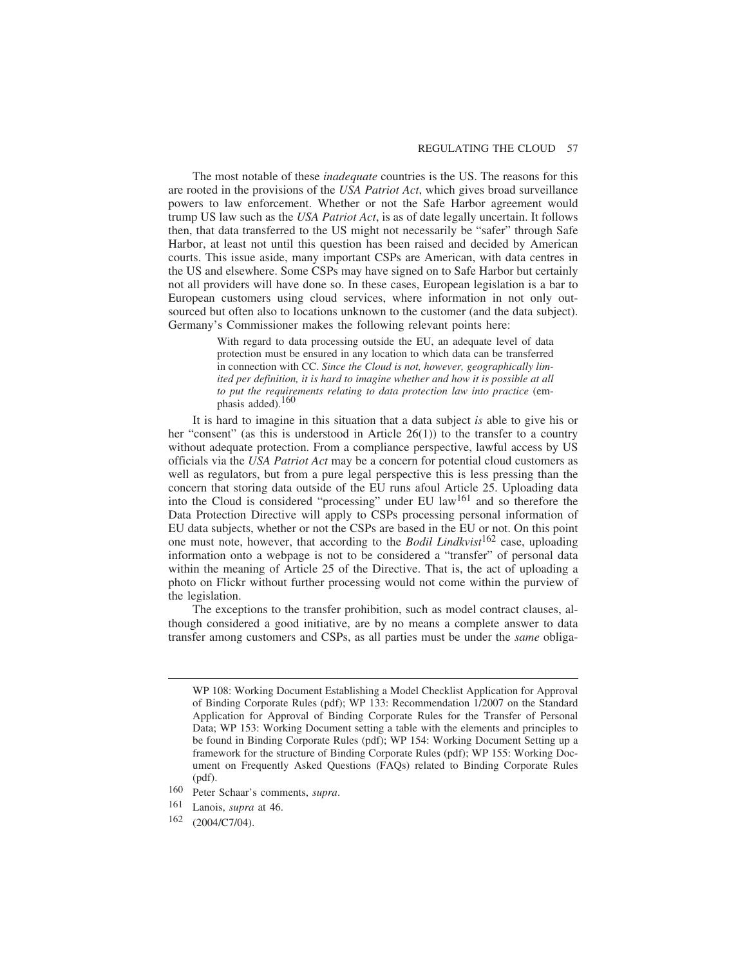## REGULATING THE CLOUD 57

The most notable of these *inadequate* countries is the US. The reasons for this are rooted in the provisions of the *USA Patriot Act*, which gives broad surveillance powers to law enforcement. Whether or not the Safe Harbor agreement would trump US law such as the *USA Patriot Act*, is as of date legally uncertain. It follows then, that data transferred to the US might not necessarily be "safer" through Safe Harbor, at least not until this question has been raised and decided by American courts. This issue aside, many important CSPs are American, with data centres in the US and elsewhere. Some CSPs may have signed on to Safe Harbor but certainly not all providers will have done so. In these cases, European legislation is a bar to European customers using cloud services, where information in not only outsourced but often also to locations unknown to the customer (and the data subject). Germany's Commissioner makes the following relevant points here:

> With regard to data processing outside the EU, an adequate level of data protection must be ensured in any location to which data can be transferred in connection with CC. *Since the Cloud is not, however, geographically limited per definition, it is hard to imagine whether and how it is possible at all to put the requirements relating to data protection law into practice* (emphasis added).160

It is hard to imagine in this situation that a data subject *is* able to give his or her "consent" (as this is understood in Article 26(1)) to the transfer to a country without adequate protection. From a compliance perspective, lawful access by US officials via the *USA Patriot Act* may be a concern for potential cloud customers as well as regulators, but from a pure legal perspective this is less pressing than the concern that storing data outside of the EU runs afoul Article 25. Uploading data into the Cloud is considered "processing" under EU law161 and so therefore the Data Protection Directive will apply to CSPs processing personal information of EU data subjects, whether or not the CSPs are based in the EU or not. On this point one must note, however, that according to the *Bodil Lindkvist*162 case, uploading information onto a webpage is not to be considered a "transfer" of personal data within the meaning of Article 25 of the Directive. That is, the act of uploading a photo on Flickr without further processing would not come within the purview of the legislation.

The exceptions to the transfer prohibition, such as model contract clauses, although considered a good initiative, are by no means a complete answer to data transfer among customers and CSPs, as all parties must be under the *same* obliga-

- 160 Peter Schaar's comments, *supra*.
- 161 Lanois, *supra* at 46.
- $162$  (2004/C7/04).

WP 108: Working Document Establishing a Model Checklist Application for Approval of Binding Corporate Rules (pdf); WP 133: Recommendation 1/2007 on the Standard Application for Approval of Binding Corporate Rules for the Transfer of Personal Data; WP 153: Working Document setting a table with the elements and principles to be found in Binding Corporate Rules (pdf); WP 154: Working Document Setting up a framework for the structure of Binding Corporate Rules (pdf); WP 155: Working Document on Frequently Asked Questions (FAQs) related to Binding Corporate Rules (pdf).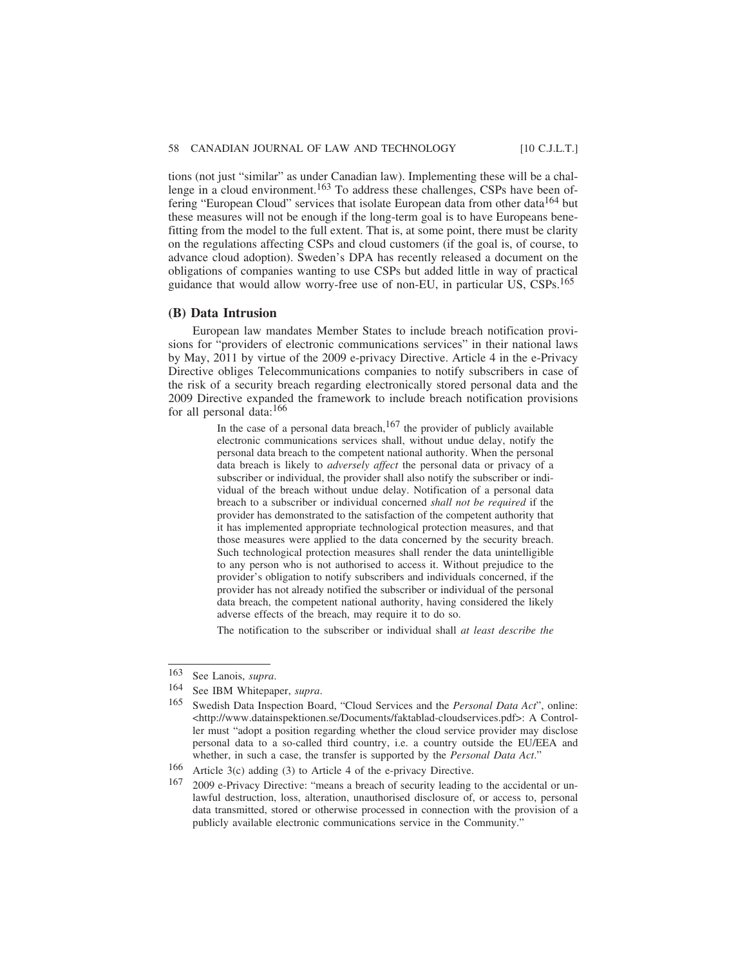tions (not just "similar" as under Canadian law). Implementing these will be a challenge in a cloud environment.<sup>163</sup> To address these challenges. CSPs have been offering "European Cloud" services that isolate European data from other data<sup>164</sup> but these measures will not be enough if the long-term goal is to have Europeans benefitting from the model to the full extent. That is, at some point, there must be clarity on the regulations affecting CSPs and cloud customers (if the goal is, of course, to advance cloud adoption). Sweden's DPA has recently released a document on the obligations of companies wanting to use CSPs but added little in way of practical guidance that would allow worry-free use of non-EU, in particular US, CSPs.<sup>165</sup>

## **(B) Data Intrusion**

European law mandates Member States to include breach notification provisions for "providers of electronic communications services" in their national laws by May, 2011 by virtue of the 2009 e-privacy Directive. Article 4 in the e-Privacy Directive obliges Telecommunications companies to notify subscribers in case of the risk of a security breach regarding electronically stored personal data and the 2009 Directive expanded the framework to include breach notification provisions for all personal data:<sup>166</sup>

> In the case of a personal data breach,  $167$  the provider of publicly available electronic communications services shall, without undue delay, notify the personal data breach to the competent national authority. When the personal data breach is likely to *adversely affect* the personal data or privacy of a subscriber or individual, the provider shall also notify the subscriber or individual of the breach without undue delay. Notification of a personal data breach to a subscriber or individual concerned *shall not be required* if the provider has demonstrated to the satisfaction of the competent authority that it has implemented appropriate technological protection measures, and that those measures were applied to the data concerned by the security breach. Such technological protection measures shall render the data unintelligible to any person who is not authorised to access it. Without prejudice to the provider's obligation to notify subscribers and individuals concerned, if the provider has not already notified the subscriber or individual of the personal data breach, the competent national authority, having considered the likely adverse effects of the breach, may require it to do so.

> The notification to the subscriber or individual shall *at least describe the*

<sup>163</sup> See Lanois, *supra*.

<sup>164</sup> See IBM Whitepaper, *supra*.

<sup>165</sup> Swedish Data Inspection Board, "Cloud Services and the *Personal Data Act*", online: <http://www.datainspektionen.se/Documents/faktablad-cloudservices.pdf>: A Controller must "adopt a position regarding whether the cloud service provider may disclose personal data to a so-called third country, i.e. a country outside the EU/EEA and whether, in such a case, the transfer is supported by the *Personal Data Act*."

<sup>166</sup> Article 3(c) adding (3) to Article 4 of the e-privacy Directive.<br>167 2009 e-Privacy Directive: "means a breach of security leading.

<sup>167</sup> 2009 e-Privacy Directive: "means a breach of security leading to the accidental or unlawful destruction, loss, alteration, unauthorised disclosure of, or access to, personal data transmitted, stored or otherwise processed in connection with the provision of a publicly available electronic communications service in the Community."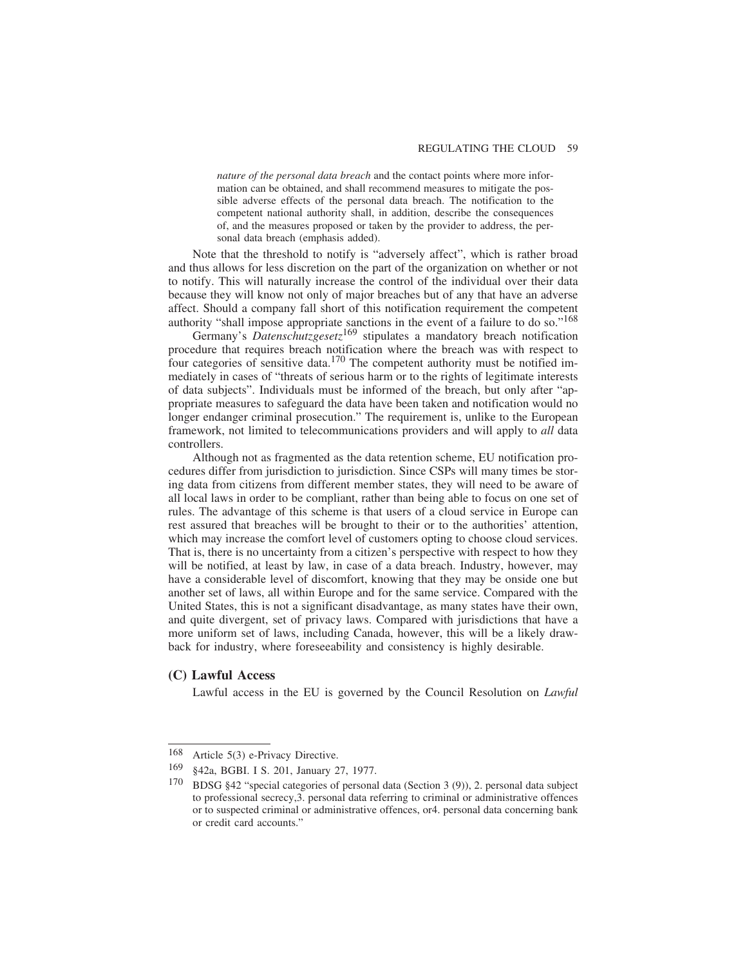*nature of the personal data breach* and the contact points where more information can be obtained, and shall recommend measures to mitigate the possible adverse effects of the personal data breach. The notification to the competent national authority shall, in addition, describe the consequences of, and the measures proposed or taken by the provider to address, the personal data breach (emphasis added).

Note that the threshold to notify is "adversely affect", which is rather broad and thus allows for less discretion on the part of the organization on whether or not to notify. This will naturally increase the control of the individual over their data because they will know not only of major breaches but of any that have an adverse affect. Should a company fall short of this notification requirement the competent authority "shall impose appropriate sanctions in the event of a failure to do so."<sup>168</sup>

Germany's *Datenschutzgesetz*169 stipulates a mandatory breach notification procedure that requires breach notification where the breach was with respect to four categories of sensitive data.<sup>170</sup> The competent authority must be notified immediately in cases of "threats of serious harm or to the rights of legitimate interests of data subjects". Individuals must be informed of the breach, but only after "appropriate measures to safeguard the data have been taken and notification would no longer endanger criminal prosecution." The requirement is, unlike to the European framework, not limited to telecommunications providers and will apply to *all* data controllers.

Although not as fragmented as the data retention scheme, EU notification procedures differ from jurisdiction to jurisdiction. Since CSPs will many times be storing data from citizens from different member states, they will need to be aware of all local laws in order to be compliant, rather than being able to focus on one set of rules. The advantage of this scheme is that users of a cloud service in Europe can rest assured that breaches will be brought to their or to the authorities' attention, which may increase the comfort level of customers opting to choose cloud services. That is, there is no uncertainty from a citizen's perspective with respect to how they will be notified, at least by law, in case of a data breach. Industry, however, may have a considerable level of discomfort, knowing that they may be onside one but another set of laws, all within Europe and for the same service. Compared with the United States, this is not a significant disadvantage, as many states have their own, and quite divergent, set of privacy laws. Compared with jurisdictions that have a more uniform set of laws, including Canada, however, this will be a likely drawback for industry, where foreseeability and consistency is highly desirable.

## **(C) Lawful Access**

Lawful access in the EU is governed by the Council Resolution on *Lawful*

<sup>168</sup> Article 5(3) e-Privacy Directive.

<sup>169</sup> §42a, BGBI. I S. 201, January 27, 1977.

<sup>&</sup>lt;sup>170</sup> BDSG §42 "special categories of personal data (Section 3  $(9)$ ), 2. personal data subject to professional secrecy,3. personal data referring to criminal or administrative offences or to suspected criminal or administrative offences, or4. personal data concerning bank or credit card accounts."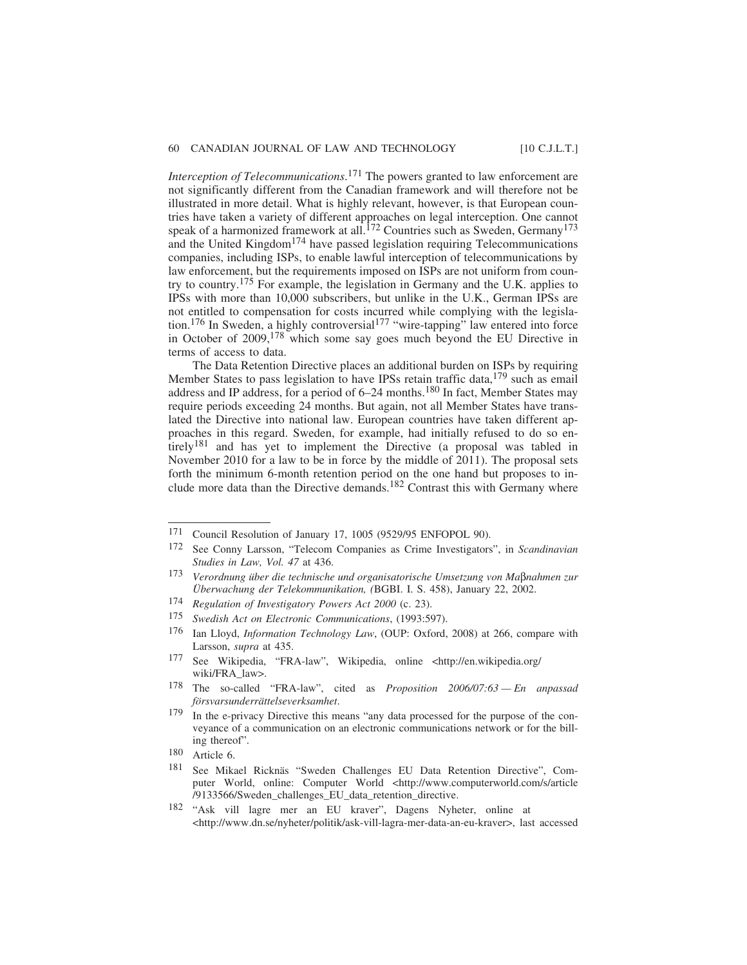*Interception of Telecommunications*. 171 The powers granted to law enforcement are not significantly different from the Canadian framework and will therefore not be illustrated in more detail. What is highly relevant, however, is that European countries have taken a variety of different approaches on legal interception. One cannot speak of a harmonized framework at all.<sup>172</sup> Countries such as Sweden, Germany<sup>173</sup> and the United Kingdom<sup>174</sup> have passed legislation requiring Telecommunications companies, including ISPs, to enable lawful interception of telecommunications by law enforcement, but the requirements imposed on ISPs are not uniform from country to country.175 For example, the legislation in Germany and the U.K. applies to IPSs with more than 10,000 subscribers, but unlike in the U.K., German IPSs are not entitled to compensation for costs incurred while complying with the legislation.<sup>176</sup> In Sweden, a highly controversial<sup>177</sup> "wire-tapping" law entered into force in October of 2009,<sup>178</sup> which some say goes much beyond the EU Directive in terms of access to data.

The Data Retention Directive places an additional burden on ISPs by requiring Member States to pass legislation to have IPSs retain traffic data,  $179$  such as email address and IP address, for a period of 6–24 months.<sup>180</sup> In fact, Member States may require periods exceeding 24 months. But again, not all Member States have translated the Directive into national law. European countries have taken different approaches in this regard. Sweden, for example, had initially refused to do so entirely<sup>181</sup> and has yet to implement the Directive (a proposal was tabled in November 2010 for a law to be in force by the middle of 2011). The proposal sets forth the minimum 6-month retention period on the one hand but proposes to include more data than the Directive demands.<sup>182</sup> Contrast this with Germany where

175 *Swedish Act on Electronic Communications*, (1993:597).

- 177 See Wikipedia, "FRA-law", Wikipedia, online <http://en.wikipedia.org/ wiki/FRA\_law>.
- 178 The so-called "FRA-law", cited as *Proposition 2006/07:63 En anpassad f¨orsvarsunderr¨attelseverksamhet*.

180 Article 6.

<sup>171</sup> Council Resolution of January 17, 1005 (9529/95 ENFOPOL 90).

<sup>172</sup> See Conny Larsson, "Telecom Companies as Crime Investigators", in *Scandinavian Studies in Law, Vol. 47* at 436.

<sup>&</sup>lt;sup>173</sup> Verordnung über die technische und organisatorische Umsetzung von Maβnahmen zur *Überwachung der Telekommunikation, (BGBI. I. S. 458), January 22, 2002.* 

<sup>174</sup> *Regulation of Investigatory Powers Act 2000* (c. 23).

<sup>176</sup> Ian Lloyd, *Information Technology Law*, (OUP: Oxford, 2008) at 266, compare with Larsson, *supra* at 435.

<sup>179</sup> In the e-privacy Directive this means "any data processed for the purpose of the conveyance of a communication on an electronic communications network or for the billing thereof".

<sup>181</sup> See Mikael Ricknäs "Sweden Challenges EU Data Retention Directive", Computer World, online: Computer World <http://www.computerworld.com/s/article /9133566/Sweden\_challenges\_EU\_data\_retention\_directive.

<sup>182</sup> "Ask vill lagre mer an EU kraver", Dagens Nyheter, online at <http://www.dn.se/nyheter/politik/ask-vill-lagra-mer-data-an-eu-kraver>, last accessed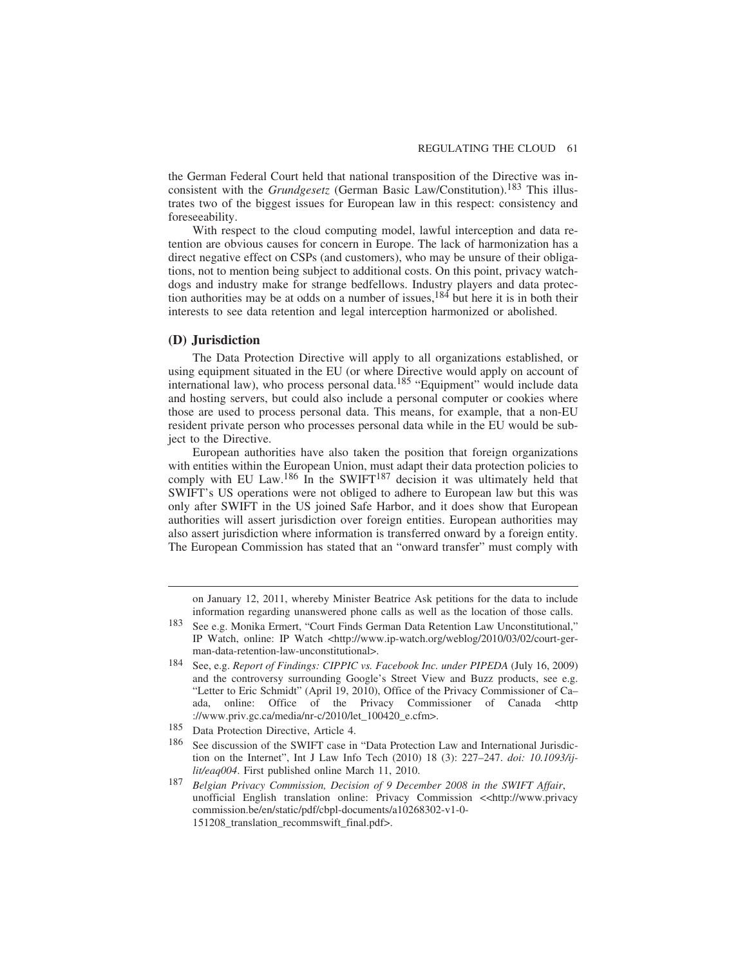the German Federal Court held that national transposition of the Directive was inconsistent with the *Grundgesetz* (German Basic Law/Constitution).183 This illustrates two of the biggest issues for European law in this respect: consistency and foreseeability.

With respect to the cloud computing model, lawful interception and data retention are obvious causes for concern in Europe. The lack of harmonization has a direct negative effect on CSPs (and customers), who may be unsure of their obligations, not to mention being subject to additional costs. On this point, privacy watchdogs and industry make for strange bedfellows. Industry players and data protection authorities may be at odds on a number of issues,  $184$  but here it is in both their interests to see data retention and legal interception harmonized or abolished.

## **(D) Jurisdiction**

The Data Protection Directive will apply to all organizations established, or using equipment situated in the EU (or where Directive would apply on account of international law), who process personal data.185 "Equipment" would include data and hosting servers, but could also include a personal computer or cookies where those are used to process personal data. This means, for example, that a non-EU resident private person who processes personal data while in the EU would be subject to the Directive.

European authorities have also taken the position that foreign organizations with entities within the European Union, must adapt their data protection policies to comply with EU Law.<sup>186</sup> In the SWIFT<sup>187</sup> decision it was ultimately held that SWIFT's US operations were not obliged to adhere to European law but this was only after SWIFT in the US joined Safe Harbor, and it does show that European authorities will assert jurisdiction over foreign entities. European authorities may also assert jurisdiction where information is transferred onward by a foreign entity. The European Commission has stated that an "onward transfer" must comply with

on January 12, 2011, whereby Minister Beatrice Ask petitions for the data to include information regarding unanswered phone calls as well as the location of those calls.

- 183 See e.g. Monika Ermert, "Court Finds German Data Retention Law Unconstitutional," IP Watch, online: IP Watch <http://www.ip-watch.org/weblog/2010/03/02/court-german-data-retention-law-unconstitutional>.
- 184 See, e.g. *Report of Findings: CIPPIC vs. Facebook Inc. under PIPEDA* (July 16, 2009) and the controversy surrounding Google's Street View and Buzz products, see e.g. "Letter to Eric Schmidt" (April 19, 2010), Office of the Privacy Commissioner of Ca– ada, online: Office of the Privacy Commissioner of Canada <http ://www.priv.gc.ca/media/nr-c/2010/let\_100420\_e.cfm>.
- 185 Data Protection Directive, Article 4.
- <sup>186</sup> See discussion of the SWIFT case in "Data Protection Law and International Jurisdiction on the Internet", Int J Law Info Tech (2010) 18 (3): 227–247. *doi: 10.1093/ijlit/eaq004*. First published online March 11, 2010.
- 187 *Belgian Privacy Commission, Decision of 9 December 2008 in the SWIFT Affair*, unofficial English translation online: Privacy Commission <<http://www.privacy commission.be/en/static/pdf/cbpl-documents/a10268302-v1-0- 151208\_translation\_recommswift\_final.pdf>.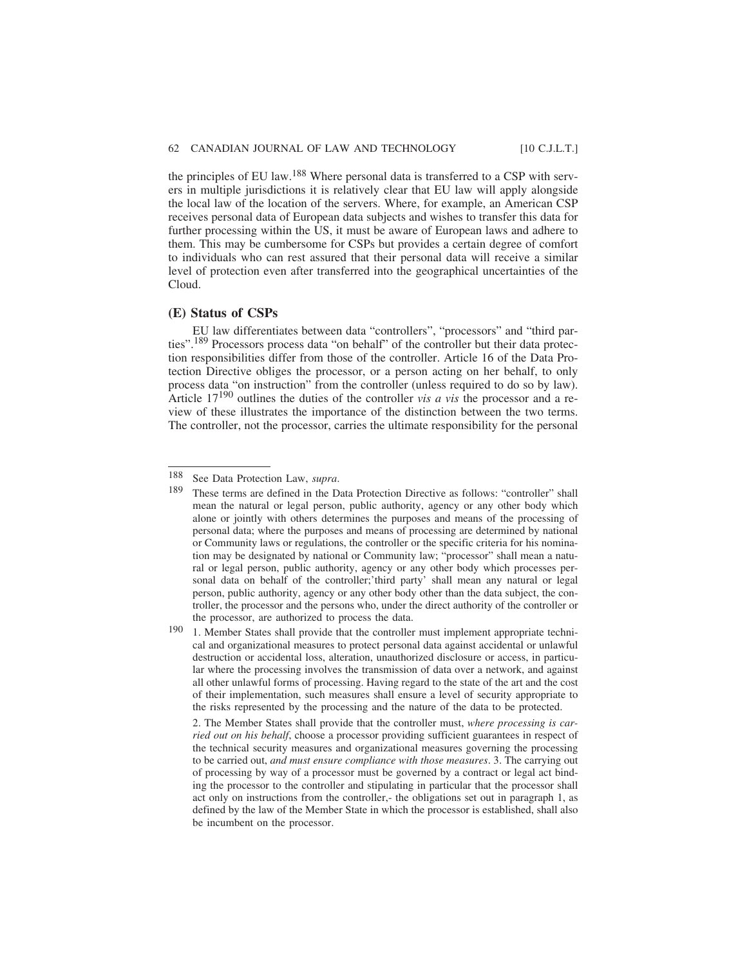the principles of EU law.188 Where personal data is transferred to a CSP with servers in multiple jurisdictions it is relatively clear that EU law will apply alongside the local law of the location of the servers. Where, for example, an American CSP receives personal data of European data subjects and wishes to transfer this data for further processing within the US, it must be aware of European laws and adhere to them. This may be cumbersome for CSPs but provides a certain degree of comfort to individuals who can rest assured that their personal data will receive a similar level of protection even after transferred into the geographical uncertainties of the Cloud.

#### **(E) Status of CSPs**

EU law differentiates between data "controllers", "processors" and "third parties".189 Processors process data "on behalf" of the controller but their data protection responsibilities differ from those of the controller. Article 16 of the Data Protection Directive obliges the processor, or a person acting on her behalf, to only process data "on instruction" from the controller (unless required to do so by law). Article 17190 outlines the duties of the controller *vis a vis* the processor and a review of these illustrates the importance of the distinction between the two terms. The controller, not the processor, carries the ultimate responsibility for the personal

<sup>188</sup> See Data Protection Law, *supra*.

<sup>&</sup>lt;sup>189</sup> These terms are defined in the Data Protection Directive as follows: "controller" shall mean the natural or legal person, public authority, agency or any other body which alone or jointly with others determines the purposes and means of the processing of personal data; where the purposes and means of processing are determined by national or Community laws or regulations, the controller or the specific criteria for his nomination may be designated by national or Community law; "processor" shall mean a natural or legal person, public authority, agency or any other body which processes personal data on behalf of the controller;'third party' shall mean any natural or legal person, public authority, agency or any other body other than the data subject, the controller, the processor and the persons who, under the direct authority of the controller or the processor, are authorized to process the data.

<sup>&</sup>lt;sup>190</sup> 1. Member States shall provide that the controller must implement appropriate technical and organizational measures to protect personal data against accidental or unlawful destruction or accidental loss, alteration, unauthorized disclosure or access, in particular where the processing involves the transmission of data over a network, and against all other unlawful forms of processing. Having regard to the state of the art and the cost of their implementation, such measures shall ensure a level of security appropriate to the risks represented by the processing and the nature of the data to be protected.

<sup>2.</sup> The Member States shall provide that the controller must, *where processing is carried out on his behalf*, choose a processor providing sufficient guarantees in respect of the technical security measures and organizational measures governing the processing to be carried out, *and must ensure compliance with those measures*. 3. The carrying out of processing by way of a processor must be governed by a contract or legal act binding the processor to the controller and stipulating in particular that the processor shall act only on instructions from the controller,- the obligations set out in paragraph 1, as defined by the law of the Member State in which the processor is established, shall also be incumbent on the processor.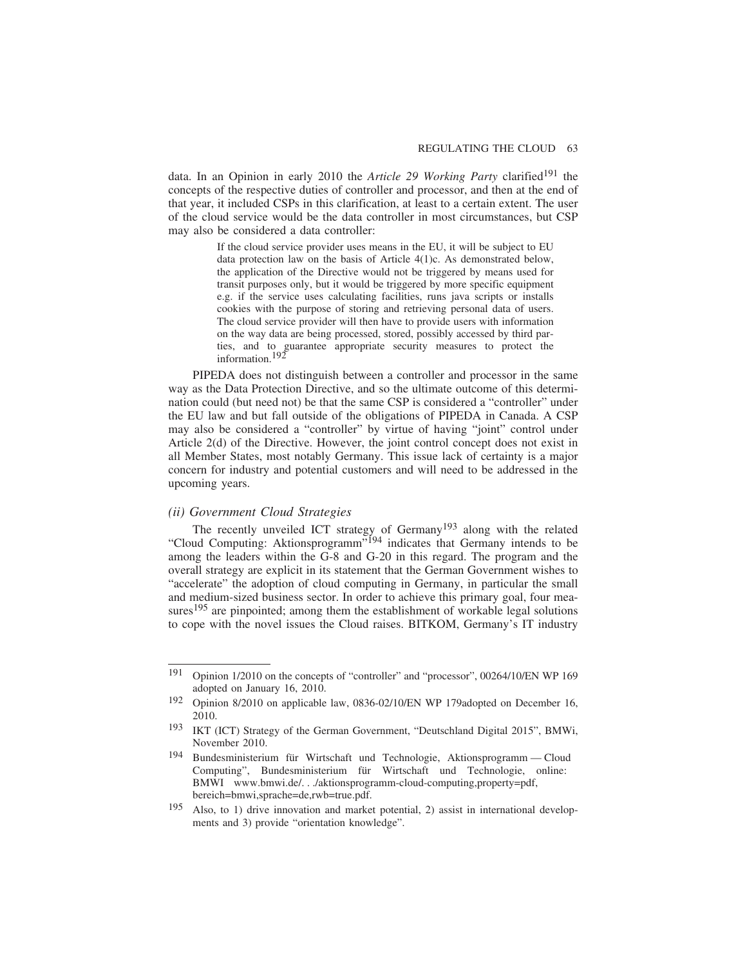data. In an Opinion in early 2010 the *Article 29 Working Party* clarified<sup>191</sup> the concepts of the respective duties of controller and processor, and then at the end of that year, it included CSPs in this clarification, at least to a certain extent. The user of the cloud service would be the data controller in most circumstances, but CSP may also be considered a data controller:

> If the cloud service provider uses means in the EU, it will be subject to EU data protection law on the basis of Article 4(1)c. As demonstrated below, the application of the Directive would not be triggered by means used for transit purposes only, but it would be triggered by more specific equipment e.g. if the service uses calculating facilities, runs java scripts or installs cookies with the purpose of storing and retrieving personal data of users. The cloud service provider will then have to provide users with information on the way data are being processed, stored, possibly accessed by third parties, and to guarantee appropriate security measures to protect the information.192

PIPEDA does not distinguish between a controller and processor in the same way as the Data Protection Directive, and so the ultimate outcome of this determination could (but need not) be that the same CSP is considered a "controller" under the EU law and but fall outside of the obligations of PIPEDA in Canada. A CSP may also be considered a "controller" by virtue of having "joint" control under Article 2(d) of the Directive. However, the joint control concept does not exist in all Member States, most notably Germany. This issue lack of certainty is a major concern for industry and potential customers and will need to be addressed in the upcoming years.

## *(ii) Government Cloud Strategies*

The recently unveiled ICT strategy of Germany<sup>193</sup> along with the related "Cloud Computing: Aktionsprogramm"<sup>194</sup> indicates that Germany intends to be among the leaders within the G-8 and G-20 in this regard. The program and the overall strategy are explicit in its statement that the German Government wishes to "accelerate" the adoption of cloud computing in Germany, in particular the small and medium-sized business sector. In order to achieve this primary goal, four measures<sup>195</sup> are pinpointed; among them the establishment of workable legal solutions to cope with the novel issues the Cloud raises. BITKOM, Germany's IT industry

<sup>191</sup> Opinion 1/2010 on the concepts of "controller" and "processor", 00264/10/EN WP 169 adopted on January 16, 2010.

<sup>&</sup>lt;sup>192</sup> Opinion 8/2010 on applicable law, 0836-02/10/EN WP 179adopted on December 16, 2010.

<sup>193</sup> IKT (ICT) Strategy of the German Government, "Deutschland Digital 2015", BMWi, November 2010.

<sup>194</sup> Bundesministerium für Wirtschaft und Technologie, Aktionsprogramm - Cloud Computing", Bundesministerium für Wirtschaft und Technologie, online: BMWI www.bmwi.de/. . ./aktionsprogramm-cloud-computing,property=pdf, bereich=bmwi,sprache=de,rwb=true.pdf.

<sup>195</sup> Also, to 1) drive innovation and market potential, 2) assist in international developments and 3) provide "orientation knowledge".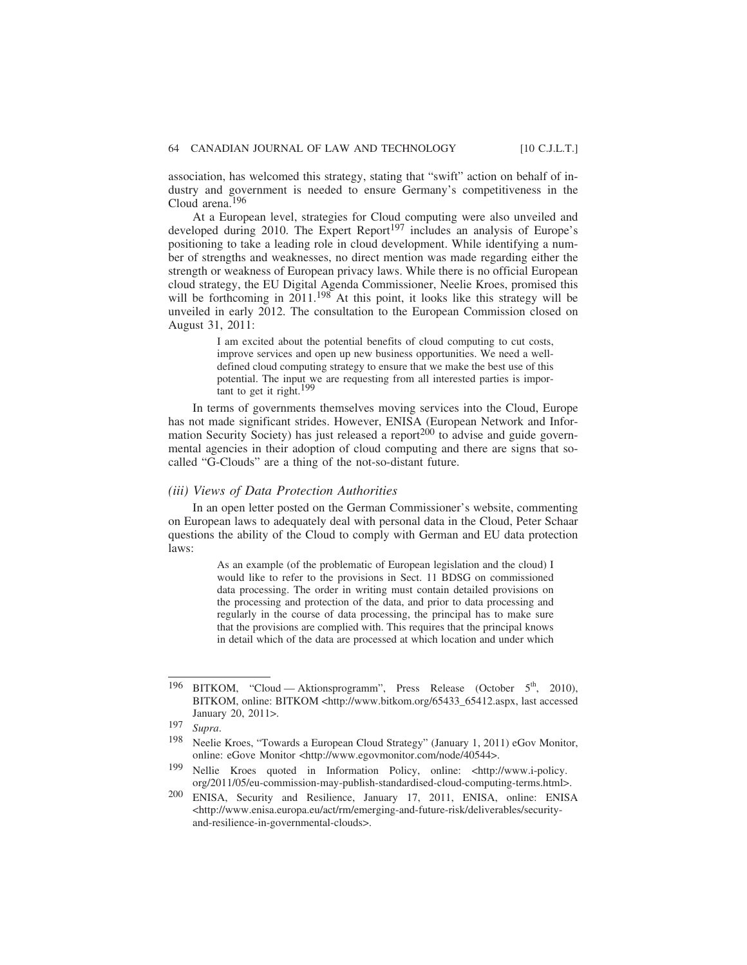association, has welcomed this strategy, stating that "swift" action on behalf of industry and government is needed to ensure Germany's competitiveness in the Cloud arena.196

At a European level, strategies for Cloud computing were also unveiled and developed during 2010. The Expert Report<sup>197</sup> includes an analysis of Europe's positioning to take a leading role in cloud development. While identifying a number of strengths and weaknesses, no direct mention was made regarding either the strength or weakness of European privacy laws. While there is no official European cloud strategy, the EU Digital Agenda Commissioner, Neelie Kroes, promised this will be forthcoming in  $2011$ .<sup>198</sup> At this point, it looks like this strategy will be unveiled in early 2012. The consultation to the European Commission closed on August 31, 2011:

> I am excited about the potential benefits of cloud computing to cut costs, improve services and open up new business opportunities. We need a welldefined cloud computing strategy to ensure that we make the best use of this potential. The input we are requesting from all interested parties is important to get it right.199

In terms of governments themselves moving services into the Cloud, Europe has not made significant strides. However, ENISA (European Network and Information Security Society) has just released a report $^{200}$  to advise and guide governmental agencies in their adoption of cloud computing and there are signs that socalled "G-Clouds" are a thing of the not-so-distant future.

## *(iii) Views of Data Protection Authorities*

In an open letter posted on the German Commissioner's website, commenting on European laws to adequately deal with personal data in the Cloud, Peter Schaar questions the ability of the Cloud to comply with German and EU data protection laws:

> As an example (of the problematic of European legislation and the cloud) I would like to refer to the provisions in Sect. 11 BDSG on commissioned data processing. The order in writing must contain detailed provisions on the processing and protection of the data, and prior to data processing and regularly in the course of data processing, the principal has to make sure that the provisions are complied with. This requires that the principal knows in detail which of the data are processed at which location and under which

<sup>&</sup>lt;sup>196</sup> BITKOM, "Cloud — Aktionsprogramm", Press Release (October  $5<sup>th</sup>$ , 2010), BITKOM, online: BITKOM <http://www.bitkom.org/65433\_65412.aspx, last accessed January 20, 2011>.

<sup>197</sup> *Supra*.

<sup>198</sup> Neelie Kroes, "Towards a European Cloud Strategy" (January 1, 2011) eGov Monitor, online: eGove Monitor <http://www.egovmonitor.com/node/40544>.

<sup>199</sup> Nellie Kroes quoted in Information Policy, online: <http://www.i-policy. org/2011/05/eu-commission-may-publish-standardised-cloud-computing-terms.html>.

<sup>200</sup> ENISA, Security and Resilience, January 17, 2011, ENISA, online: ENISA <http://www.enisa.europa.eu/act/rm/emerging-and-future-risk/deliverables/securityand-resilience-in-governmental-clouds>.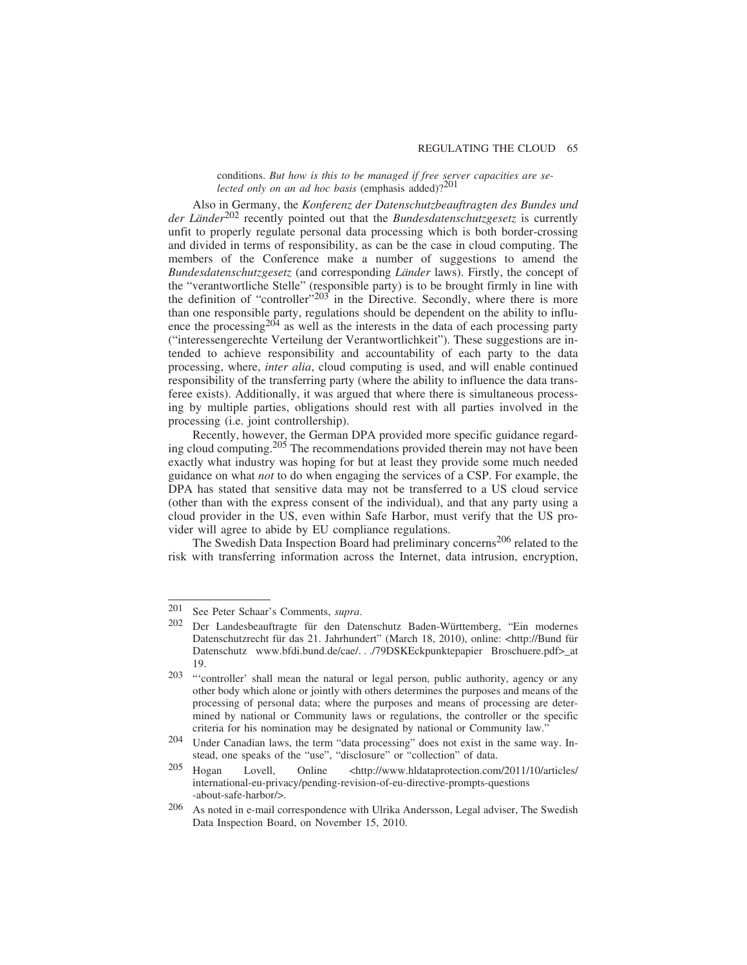## REGULATING THE CLOUD 65

conditions. *But how is this to be managed if free server capacities are se-lected only on an ad hoc basis* (emphasis added)?201

Also in Germany, the *Konferenz der Datenschutzbeauftragten des Bundes und der Länder*<sup>202</sup> recently pointed out that the *Bundesdatenschutzgesetz* is currently unfit to properly regulate personal data processing which is both border-crossing and divided in terms of responsibility, as can be the case in cloud computing. The members of the Conference make a number of suggestions to amend the *Bundesdatenschutzgesetz* (and corresponding *Länder* laws). Firstly, the concept of the "verantwortliche Stelle" (responsible party) is to be brought firmly in line with the definition of "controller"<sup>203</sup> in the Directive. Secondly, where there is more than one responsible party, regulations should be dependent on the ability to influence the processing $2^{04}$  as well as the interests in the data of each processing party ("interessengerechte Verteilung der Verantwortlichkeit"). These suggestions are intended to achieve responsibility and accountability of each party to the data processing, where, *inter alia*, cloud computing is used, and will enable continued responsibility of the transferring party (where the ability to influence the data transferee exists). Additionally, it was argued that where there is simultaneous processing by multiple parties, obligations should rest with all parties involved in the processing (i.e. joint controllership).

Recently, however, the German DPA provided more specific guidance regarding cloud computing.<sup>205</sup> The recommendations provided therein may not have been exactly what industry was hoping for but at least they provide some much needed guidance on what *not* to do when engaging the services of a CSP. For example, the DPA has stated that sensitive data may not be transferred to a US cloud service (other than with the express consent of the individual), and that any party using a cloud provider in the US, even within Safe Harbor, must verify that the US provider will agree to abide by EU compliance regulations.

The Swedish Data Inspection Board had preliminary concerns<sup>206</sup> related to the risk with transferring information across the Internet, data intrusion, encryption,

<sup>201</sup> See Peter Schaar's Comments, *supra*.

<sup>&</sup>lt;sup>202</sup> Der Landesbeauftragte für den Datenschutz Baden-Württemberg, "Ein modernes Datenschutzrecht für das 21. Jahrhundert" (March 18, 2010), online: <http://Bund für Datenschutz www.bfdi.bund.de/cae/. . ./79DSKEckpunktepapier Broschuere.pdf>\_at 19.

<sup>203</sup> "'controller' shall mean the natural or legal person, public authority, agency or any other body which alone or jointly with others determines the purposes and means of the processing of personal data; where the purposes and means of processing are determined by national or Community laws or regulations, the controller or the specific criteria for his nomination may be designated by national or Community law."

<sup>204</sup> Under Canadian laws, the term "data processing" does not exist in the same way. Instead, one speaks of the "use", "disclosure" or "collection" of data.

<sup>205</sup> Hogan Lovell, Online <http://www.hldataprotection.com/2011/10/articles/ international-eu-privacy/pending-revision-of-eu-directive-prompts-questions -about-safe-harbor/>.

<sup>206</sup> As noted in e-mail correspondence with Ulrika Andersson, Legal adviser, The Swedish Data Inspection Board, on November 15, 2010.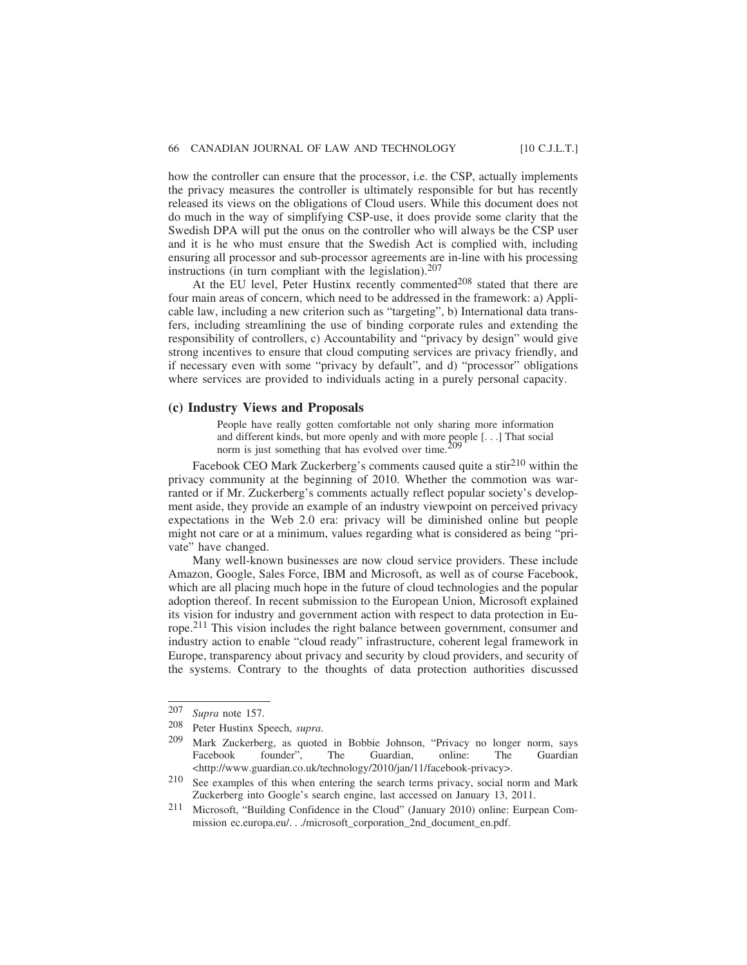how the controller can ensure that the processor, i.e. the CSP, actually implements the privacy measures the controller is ultimately responsible for but has recently released its views on the obligations of Cloud users. While this document does not do much in the way of simplifying CSP-use, it does provide some clarity that the Swedish DPA will put the onus on the controller who will always be the CSP user and it is he who must ensure that the Swedish Act is complied with, including ensuring all processor and sub-processor agreements are in-line with his processing instructions (in turn compliant with the legislation). $207$ 

At the EU level, Peter Hustinx recently commented $208$  stated that there are four main areas of concern, which need to be addressed in the framework: a) Applicable law, including a new criterion such as "targeting", b) International data transfers, including streamlining the use of binding corporate rules and extending the responsibility of controllers, c) Accountability and "privacy by design" would give strong incentives to ensure that cloud computing services are privacy friendly, and if necessary even with some "privacy by default", and d) "processor" obligations where services are provided to individuals acting in a purely personal capacity.

#### **(c) Industry Views and Proposals**

People have really gotten comfortable not only sharing more information and different kinds, but more openly and with more people [. . .] That social norm is just something that has evolved over time.<sup>209</sup>

Facebook CEO Mark Zuckerberg's comments caused quite a stir<sup>210</sup> within the privacy community at the beginning of 2010. Whether the commotion was warranted or if Mr. Zuckerberg's comments actually reflect popular society's development aside, they provide an example of an industry viewpoint on perceived privacy expectations in the Web 2.0 era: privacy will be diminished online but people might not care or at a minimum, values regarding what is considered as being "private" have changed.

Many well-known businesses are now cloud service providers. These include Amazon, Google, Sales Force, IBM and Microsoft, as well as of course Facebook, which are all placing much hope in the future of cloud technologies and the popular adoption thereof. In recent submission to the European Union, Microsoft explained its vision for industry and government action with respect to data protection in Europe.<sup>211</sup> This vision includes the right balance between government, consumer and industry action to enable "cloud ready" infrastructure, coherent legal framework in Europe, transparency about privacy and security by cloud providers, and security of the systems. Contrary to the thoughts of data protection authorities discussed

<sup>207</sup> *Supra* note 157.

<sup>208</sup> Peter Hustinx Speech, *supra*.

<sup>209</sup> Mark Zuckerberg, as quoted in Bobbie Johnson, "Privacy no longer norm, says Facebook founder", The Guardian, online: The Guardian <http://www.guardian.co.uk/technology/2010/jan/11/facebook-privacy>.

<sup>210</sup> See examples of this when entering the search terms privacy, social norm and Mark Zuckerberg into Google's search engine, last accessed on January 13, 2011.

<sup>211</sup> Microsoft, "Building Confidence in the Cloud" (January 2010) online: Eurpean Commission ec.europa.eu/. . ./microsoft\_corporation\_2nd\_document\_en.pdf.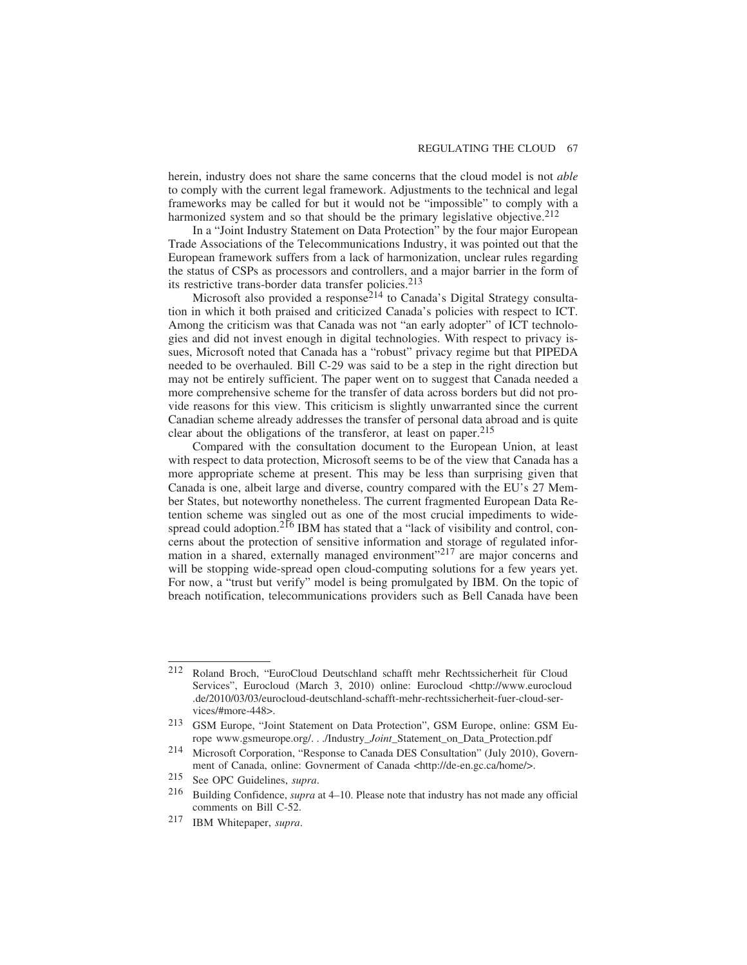herein, industry does not share the same concerns that the cloud model is not *able* to comply with the current legal framework. Adjustments to the technical and legal frameworks may be called for but it would not be "impossible" to comply with a harmonized system and so that should be the primary legislative objective.<sup>212</sup>

In a "Joint Industry Statement on Data Protection" by the four major European Trade Associations of the Telecommunications Industry, it was pointed out that the European framework suffers from a lack of harmonization, unclear rules regarding the status of CSPs as processors and controllers, and a major barrier in the form of its restrictive trans-border data transfer policies.<sup>213</sup>

Microsoft also provided a response<sup>214</sup> to Canada's Digital Strategy consultation in which it both praised and criticized Canada's policies with respect to ICT. Among the criticism was that Canada was not "an early adopter" of ICT technologies and did not invest enough in digital technologies. With respect to privacy issues, Microsoft noted that Canada has a "robust" privacy regime but that PIPEDA needed to be overhauled. Bill C-29 was said to be a step in the right direction but may not be entirely sufficient. The paper went on to suggest that Canada needed a more comprehensive scheme for the transfer of data across borders but did not provide reasons for this view. This criticism is slightly unwarranted since the current Canadian scheme already addresses the transfer of personal data abroad and is quite clear about the obligations of the transferor, at least on paper.215

Compared with the consultation document to the European Union, at least with respect to data protection, Microsoft seems to be of the view that Canada has a more appropriate scheme at present. This may be less than surprising given that Canada is one, albeit large and diverse, country compared with the EU's 27 Member States, but noteworthy nonetheless. The current fragmented European Data Retention scheme was singled out as one of the most crucial impediments to widespread could adoption.<sup>216</sup> IBM has stated that a "lack of visibility and control, concerns about the protection of sensitive information and storage of regulated information in a shared, externally managed environment"<sup>217</sup> are major concerns and will be stopping wide-spread open cloud-computing solutions for a few years yet. For now, a "trust but verify" model is being promulgated by IBM. On the topic of breach notification, telecommunications providers such as Bell Canada have been

<sup>212</sup> Roland Broch, "EuroCloud Deutschland schafft mehr Rechtssicherheit für Cloud Services", Eurocloud (March 3, 2010) online: Eurocloud <http://www.eurocloud .de/2010/03/03/eurocloud-deutschland-schafft-mehr-rechtssicherheit-fuer-cloud-services/#more-448>.

<sup>213</sup> GSM Europe, "Joint Statement on Data Protection", GSM Europe, online: GSM Europe www.gsmeurope.org/. . ./Industry\_*Joint*\_Statement\_on\_Data\_Protection.pdf

<sup>214</sup> Microsoft Corporation, "Response to Canada DES Consultation" (July 2010), Government of Canada, online: Govnerment of Canada <http://de-en.gc.ca/home/>.

<sup>215</sup> See OPC Guidelines, *supra*.

<sup>216</sup> Building Confidence, *supra* at 4–10. Please note that industry has not made any official comments on Bill C-52.

<sup>217</sup> IBM Whitepaper, *supra*.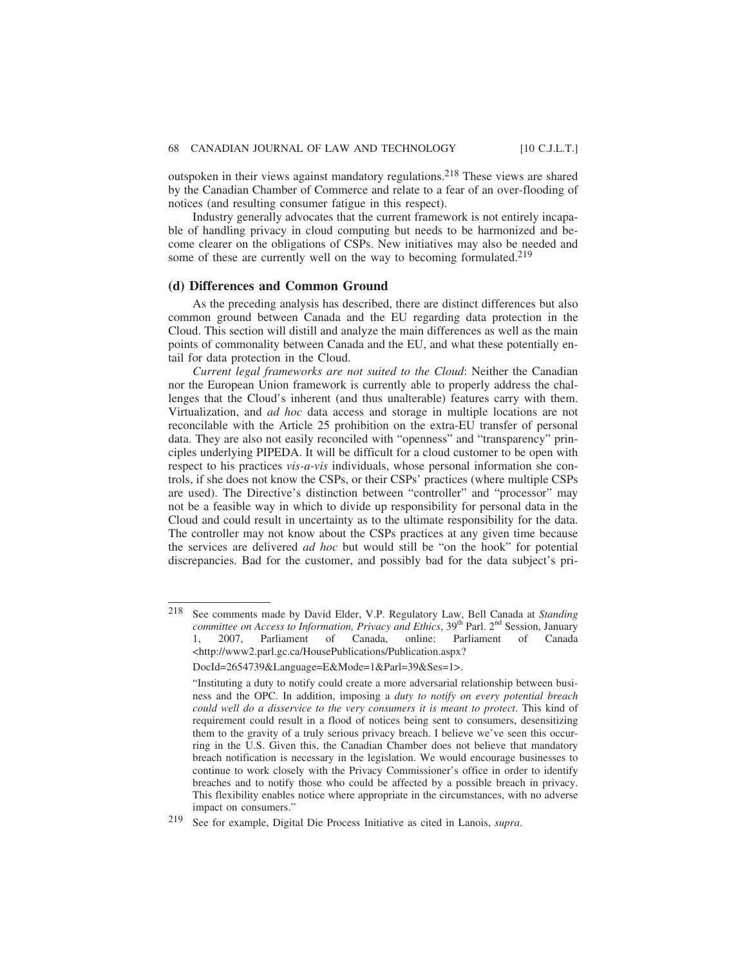outspoken in their views against mandatory regulations.218 These views are shared by the Canadian Chamber of Commerce and relate to a fear of an over-flooding of notices (and resulting consumer fatigue in this respect).

Industry generally advocates that the current framework is not entirely incapable of handling privacy in cloud computing but needs to be harmonized and become clearer on the obligations of CSPs. New initiatives may also be needed and some of these are currently well on the way to becoming formulated.<sup>219</sup>

## **(d) Differences and Common Ground**

As the preceding analysis has described, there are distinct differences but also common ground between Canada and the EU regarding data protection in the Cloud. This section will distill and analyze the main differences as well as the main points of commonality between Canada and the EU, and what these potentially entail for data protection in the Cloud.

*Current legal frameworks are not suited to the Cloud*: Neither the Canadian nor the European Union framework is currently able to properly address the challenges that the Cloud's inherent (and thus unalterable) features carry with them. Virtualization, and *ad hoc* data access and storage in multiple locations are not reconcilable with the Article 25 prohibition on the extra-EU transfer of personal data. They are also not easily reconciled with "openness" and "transparency" principles underlying PIPEDA. It will be difficult for a cloud customer to be open with respect to his practices *vis-a-vis* individuals, whose personal information she controls, if she does not know the CSPs, or their CSPs' practices (where multiple CSPs are used). The Directive's distinction between "controller" and "processor" may not be a feasible way in which to divide up responsibility for personal data in the Cloud and could result in uncertainty as to the ultimate responsibility for the data. The controller may not know about the CSPs practices at any given time because the services are delivered *ad hoc* but would still be "on the hook" for potential discrepancies. Bad for the customer, and possibly bad for the data subject's pri-

<sup>218</sup> See comments made by David Elder, V.P. Regulatory Law, Bell Canada at *Standing committee on Access to Information, Privacy and Ethics*, 39<sup>th</sup> Parl. 2<sup>nd</sup> Session, January 1, 2007, Parliament of Canada, online: Parliament of Canada <http://www2.parl.gc.ca/HousePublications/Publication.aspx?

DocId=2654739&Language=E&Mode=1&Parl=39&Ses=1>.

<sup>&</sup>quot;Instituting a duty to notify could create a more adversarial relationship between business and the OPC. In addition, imposing a *duty to notify on every potential breach could well do a disservice to the very consumers it is meant to protect*. This kind of requirement could result in a flood of notices being sent to consumers, desensitizing them to the gravity of a truly serious privacy breach. I believe we've seen this occurring in the U.S. Given this, the Canadian Chamber does not believe that mandatory breach notification is necessary in the legislation. We would encourage businesses to continue to work closely with the Privacy Commissioner's office in order to identify breaches and to notify those who could be affected by a possible breach in privacy. This flexibility enables notice where appropriate in the circumstances, with no adverse impact on consumers."

<sup>219</sup> See for example, Digital Die Process Initiative as cited in Lanois, *supra*.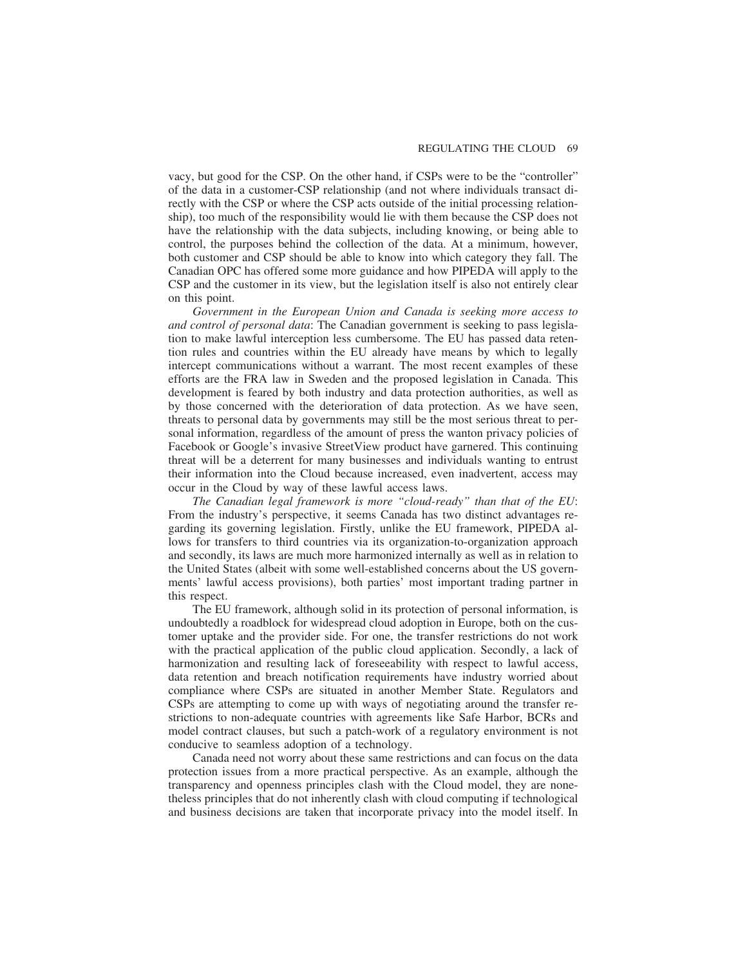vacy, but good for the CSP. On the other hand, if CSPs were to be the "controller" of the data in a customer-CSP relationship (and not where individuals transact directly with the CSP or where the CSP acts outside of the initial processing relationship), too much of the responsibility would lie with them because the CSP does not have the relationship with the data subjects, including knowing, or being able to control, the purposes behind the collection of the data. At a minimum, however, both customer and CSP should be able to know into which category they fall. The Canadian OPC has offered some more guidance and how PIPEDA will apply to the CSP and the customer in its view, but the legislation itself is also not entirely clear on this point.

*Government in the European Union and Canada is seeking more access to and control of personal data*: The Canadian government is seeking to pass legislation to make lawful interception less cumbersome. The EU has passed data retention rules and countries within the EU already have means by which to legally intercept communications without a warrant. The most recent examples of these efforts are the FRA law in Sweden and the proposed legislation in Canada. This development is feared by both industry and data protection authorities, as well as by those concerned with the deterioration of data protection. As we have seen, threats to personal data by governments may still be the most serious threat to personal information, regardless of the amount of press the wanton privacy policies of Facebook or Google's invasive StreetView product have garnered. This continuing threat will be a deterrent for many businesses and individuals wanting to entrust their information into the Cloud because increased, even inadvertent, access may occur in the Cloud by way of these lawful access laws.

*The Canadian legal framework is more "cloud-ready" than that of the EU*: From the industry's perspective, it seems Canada has two distinct advantages regarding its governing legislation. Firstly, unlike the EU framework, PIPEDA allows for transfers to third countries via its organization-to-organization approach and secondly, its laws are much more harmonized internally as well as in relation to the United States (albeit with some well-established concerns about the US governments' lawful access provisions), both parties' most important trading partner in this respect.

The EU framework, although solid in its protection of personal information, is undoubtedly a roadblock for widespread cloud adoption in Europe, both on the customer uptake and the provider side. For one, the transfer restrictions do not work with the practical application of the public cloud application. Secondly, a lack of harmonization and resulting lack of foreseeability with respect to lawful access, data retention and breach notification requirements have industry worried about compliance where CSPs are situated in another Member State. Regulators and CSPs are attempting to come up with ways of negotiating around the transfer restrictions to non-adequate countries with agreements like Safe Harbor, BCRs and model contract clauses, but such a patch-work of a regulatory environment is not conducive to seamless adoption of a technology.

Canada need not worry about these same restrictions and can focus on the data protection issues from a more practical perspective. As an example, although the transparency and openness principles clash with the Cloud model, they are nonetheless principles that do not inherently clash with cloud computing if technological and business decisions are taken that incorporate privacy into the model itself. In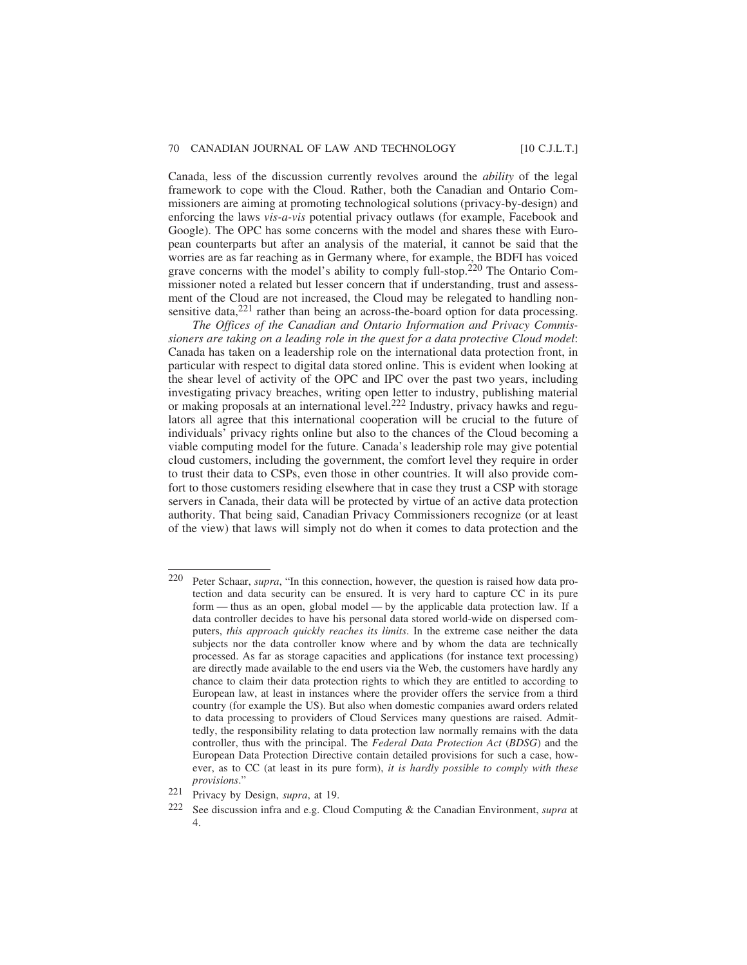Canada, less of the discussion currently revolves around the *ability* of the legal framework to cope with the Cloud. Rather, both the Canadian and Ontario Commissioners are aiming at promoting technological solutions (privacy-by-design) and enforcing the laws *vis-a-vis* potential privacy outlaws (for example, Facebook and Google). The OPC has some concerns with the model and shares these with European counterparts but after an analysis of the material, it cannot be said that the worries are as far reaching as in Germany where, for example, the BDFI has voiced grave concerns with the model's ability to comply full-stop.<sup>220</sup> The Ontario Commissioner noted a related but lesser concern that if understanding, trust and assessment of the Cloud are not increased, the Cloud may be relegated to handling nonsensitive data, $221$  rather than being an across-the-board option for data processing.

*The Offices of the Canadian and Ontario Information and Privacy Commissioners are taking on a leading role in the quest for a data protective Cloud model*: Canada has taken on a leadership role on the international data protection front, in particular with respect to digital data stored online. This is evident when looking at the shear level of activity of the OPC and IPC over the past two years, including investigating privacy breaches, writing open letter to industry, publishing material or making proposals at an international level.222 Industry, privacy hawks and regulators all agree that this international cooperation will be crucial to the future of individuals' privacy rights online but also to the chances of the Cloud becoming a viable computing model for the future. Canada's leadership role may give potential cloud customers, including the government, the comfort level they require in order to trust their data to CSPs, even those in other countries. It will also provide comfort to those customers residing elsewhere that in case they trust a CSP with storage servers in Canada, their data will be protected by virtue of an active data protection authority. That being said, Canadian Privacy Commissioners recognize (or at least of the view) that laws will simply not do when it comes to data protection and the

<sup>220</sup> Peter Schaar, *supra*, "In this connection, however, the question is raised how data protection and data security can be ensured. It is very hard to capture CC in its pure form — thus as an open, global model — by the applicable data protection law. If a data controller decides to have his personal data stored world-wide on dispersed computers, *this approach quickly reaches its limits*. In the extreme case neither the data subjects nor the data controller know where and by whom the data are technically processed. As far as storage capacities and applications (for instance text processing) are directly made available to the end users via the Web, the customers have hardly any chance to claim their data protection rights to which they are entitled to according to European law, at least in instances where the provider offers the service from a third country (for example the US). But also when domestic companies award orders related to data processing to providers of Cloud Services many questions are raised. Admittedly, the responsibility relating to data protection law normally remains with the data controller, thus with the principal. The *Federal Data Protection Act* (*BDSG*) and the European Data Protection Directive contain detailed provisions for such a case, however, as to CC (at least in its pure form), *it is hardly possible to comply with these provisions*."

<sup>221</sup> Privacy by Design, *supra*, at 19.

<sup>222</sup> See discussion infra and e.g. Cloud Computing & the Canadian Environment, *supra* at 4.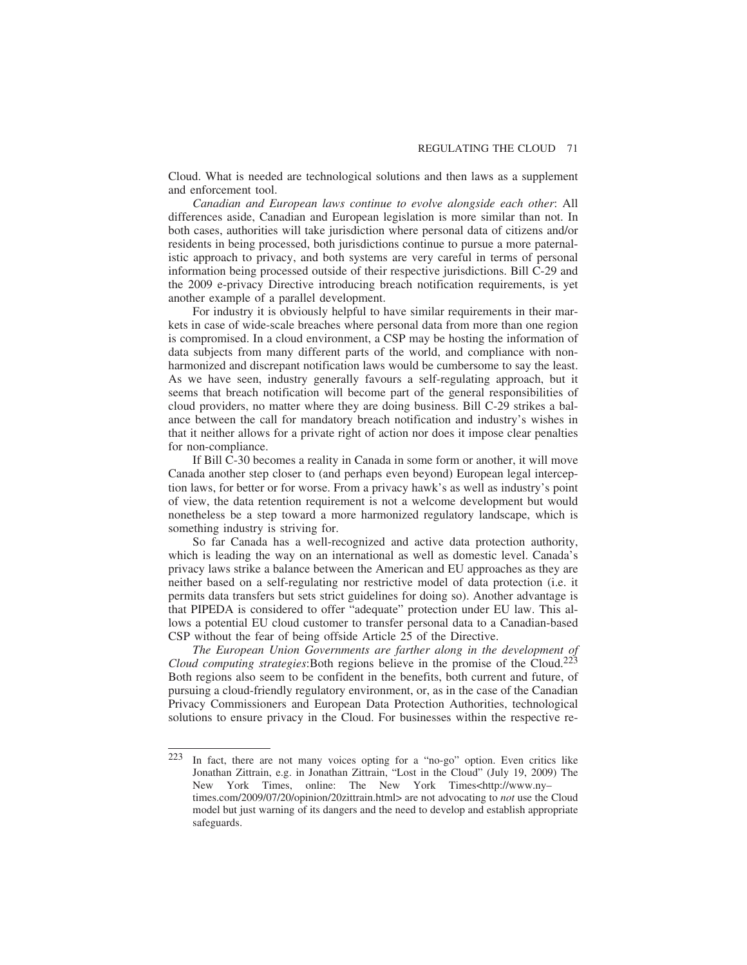Cloud. What is needed are technological solutions and then laws as a supplement and enforcement tool.

*Canadian and European laws continue to evolve alongside each other*: All differences aside, Canadian and European legislation is more similar than not. In both cases, authorities will take jurisdiction where personal data of citizens and/or residents in being processed, both jurisdictions continue to pursue a more paternalistic approach to privacy, and both systems are very careful in terms of personal information being processed outside of their respective jurisdictions. Bill C-29 and the 2009 e-privacy Directive introducing breach notification requirements, is yet another example of a parallel development.

For industry it is obviously helpful to have similar requirements in their markets in case of wide-scale breaches where personal data from more than one region is compromised. In a cloud environment, a CSP may be hosting the information of data subjects from many different parts of the world, and compliance with nonharmonized and discrepant notification laws would be cumbersome to say the least. As we have seen, industry generally favours a self-regulating approach, but it seems that breach notification will become part of the general responsibilities of cloud providers, no matter where they are doing business. Bill C-29 strikes a balance between the call for mandatory breach notification and industry's wishes in that it neither allows for a private right of action nor does it impose clear penalties for non-compliance.

If Bill C-30 becomes a reality in Canada in some form or another, it will move Canada another step closer to (and perhaps even beyond) European legal interception laws, for better or for worse. From a privacy hawk's as well as industry's point of view, the data retention requirement is not a welcome development but would nonetheless be a step toward a more harmonized regulatory landscape, which is something industry is striving for.

So far Canada has a well-recognized and active data protection authority, which is leading the way on an international as well as domestic level. Canada's privacy laws strike a balance between the American and EU approaches as they are neither based on a self-regulating nor restrictive model of data protection (i.e. it permits data transfers but sets strict guidelines for doing so). Another advantage is that PIPEDA is considered to offer "adequate" protection under EU law. This allows a potential EU cloud customer to transfer personal data to a Canadian-based CSP without the fear of being offside Article 25 of the Directive.

*The European Union Governments are farther along in the development of Cloud computing strategies*:Both regions believe in the promise of the Cloud.223 Both regions also seem to be confident in the benefits, both current and future, of pursuing a cloud-friendly regulatory environment, or, as in the case of the Canadian Privacy Commissioners and European Data Protection Authorities, technological solutions to ensure privacy in the Cloud. For businesses within the respective re-

<sup>223</sup> In fact, there are not many voices opting for a "no-go" option. Even critics like Jonathan Zittrain, e.g. in Jonathan Zittrain, "Lost in the Cloud" (July 19, 2009) The New York Times, online: The New York Times<http://www.ny– times.com/2009/07/20/opinion/20zittrain.html> are not advocating to *not* use the Cloud model but just warning of its dangers and the need to develop and establish appropriate safeguards.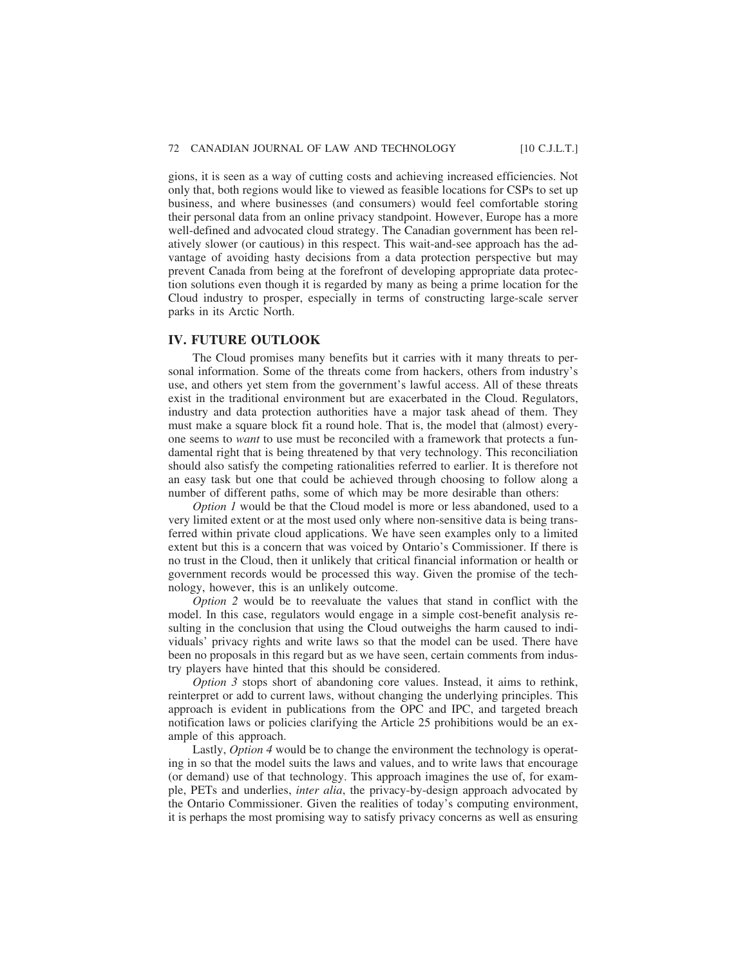gions, it is seen as a way of cutting costs and achieving increased efficiencies. Not only that, both regions would like to viewed as feasible locations for CSPs to set up business, and where businesses (and consumers) would feel comfortable storing their personal data from an online privacy standpoint. However, Europe has a more well-defined and advocated cloud strategy. The Canadian government has been relatively slower (or cautious) in this respect. This wait-and-see approach has the advantage of avoiding hasty decisions from a data protection perspective but may prevent Canada from being at the forefront of developing appropriate data protection solutions even though it is regarded by many as being a prime location for the Cloud industry to prosper, especially in terms of constructing large-scale server parks in its Arctic North.

## **IV. FUTURE OUTLOOK**

The Cloud promises many benefits but it carries with it many threats to personal information. Some of the threats come from hackers, others from industry's use, and others yet stem from the government's lawful access. All of these threats exist in the traditional environment but are exacerbated in the Cloud. Regulators, industry and data protection authorities have a major task ahead of them. They must make a square block fit a round hole. That is, the model that (almost) everyone seems to *want* to use must be reconciled with a framework that protects a fundamental right that is being threatened by that very technology. This reconciliation should also satisfy the competing rationalities referred to earlier. It is therefore not an easy task but one that could be achieved through choosing to follow along a number of different paths, some of which may be more desirable than others:

*Option 1* would be that the Cloud model is more or less abandoned, used to a very limited extent or at the most used only where non-sensitive data is being transferred within private cloud applications. We have seen examples only to a limited extent but this is a concern that was voiced by Ontario's Commissioner. If there is no trust in the Cloud, then it unlikely that critical financial information or health or government records would be processed this way. Given the promise of the technology, however, this is an unlikely outcome.

*Option 2* would be to reevaluate the values that stand in conflict with the model. In this case, regulators would engage in a simple cost-benefit analysis resulting in the conclusion that using the Cloud outweighs the harm caused to individuals' privacy rights and write laws so that the model can be used. There have been no proposals in this regard but as we have seen, certain comments from industry players have hinted that this should be considered.

*Option 3* stops short of abandoning core values. Instead, it aims to rethink, reinterpret or add to current laws, without changing the underlying principles. This approach is evident in publications from the OPC and IPC, and targeted breach notification laws or policies clarifying the Article 25 prohibitions would be an example of this approach.

Lastly, *Option 4* would be to change the environment the technology is operating in so that the model suits the laws and values, and to write laws that encourage (or demand) use of that technology. This approach imagines the use of, for example, PETs and underlies, *inter alia*, the privacy-by-design approach advocated by the Ontario Commissioner. Given the realities of today's computing environment, it is perhaps the most promising way to satisfy privacy concerns as well as ensuring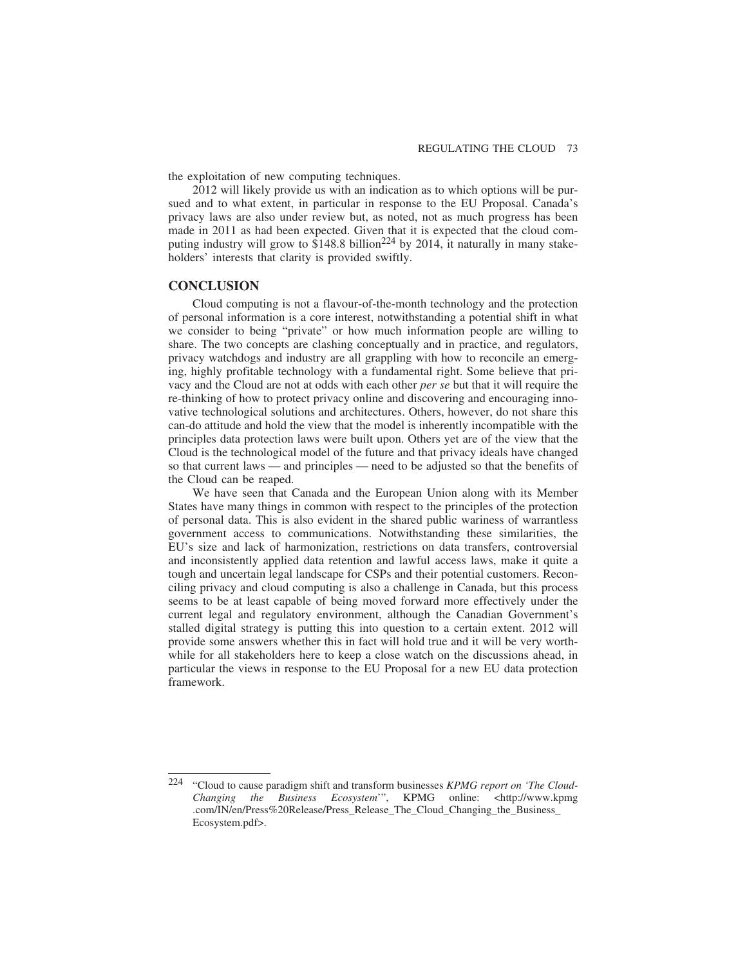the exploitation of new computing techniques.

2012 will likely provide us with an indication as to which options will be pursued and to what extent, in particular in response to the EU Proposal. Canada's privacy laws are also under review but, as noted, not as much progress has been made in 2011 as had been expected. Given that it is expected that the cloud computing industry will grow to  $$148.8$  billion<sup>224</sup> by 2014, it naturally in many stakeholders' interests that clarity is provided swiftly.

#### **CONCLUSION**

Cloud computing is not a flavour-of-the-month technology and the protection of personal information is a core interest, notwithstanding a potential shift in what we consider to being "private" or how much information people are willing to share. The two concepts are clashing conceptually and in practice, and regulators, privacy watchdogs and industry are all grappling with how to reconcile an emerging, highly profitable technology with a fundamental right. Some believe that privacy and the Cloud are not at odds with each other *per se* but that it will require the re-thinking of how to protect privacy online and discovering and encouraging innovative technological solutions and architectures. Others, however, do not share this can-do attitude and hold the view that the model is inherently incompatible with the principles data protection laws were built upon. Others yet are of the view that the Cloud is the technological model of the future and that privacy ideals have changed so that current laws — and principles — need to be adjusted so that the benefits of the Cloud can be reaped.

We have seen that Canada and the European Union along with its Member States have many things in common with respect to the principles of the protection of personal data. This is also evident in the shared public wariness of warrantless government access to communications. Notwithstanding these similarities, the EU's size and lack of harmonization, restrictions on data transfers, controversial and inconsistently applied data retention and lawful access laws, make it quite a tough and uncertain legal landscape for CSPs and their potential customers. Reconciling privacy and cloud computing is also a challenge in Canada, but this process seems to be at least capable of being moved forward more effectively under the current legal and regulatory environment, although the Canadian Government's stalled digital strategy is putting this into question to a certain extent. 2012 will provide some answers whether this in fact will hold true and it will be very worthwhile for all stakeholders here to keep a close watch on the discussions ahead, in particular the views in response to the EU Proposal for a new EU data protection framework.

<sup>224</sup> "Cloud to cause paradigm shift and transform businesses *KPMG report on 'The Cloud-Changing the Business Ecosystem*'", KPMG online: <http://www.kpmg .com/IN/en/Press%20Release/Press\_Release\_The\_Cloud\_Changing\_the\_Business\_ Ecosystem.pdf>.